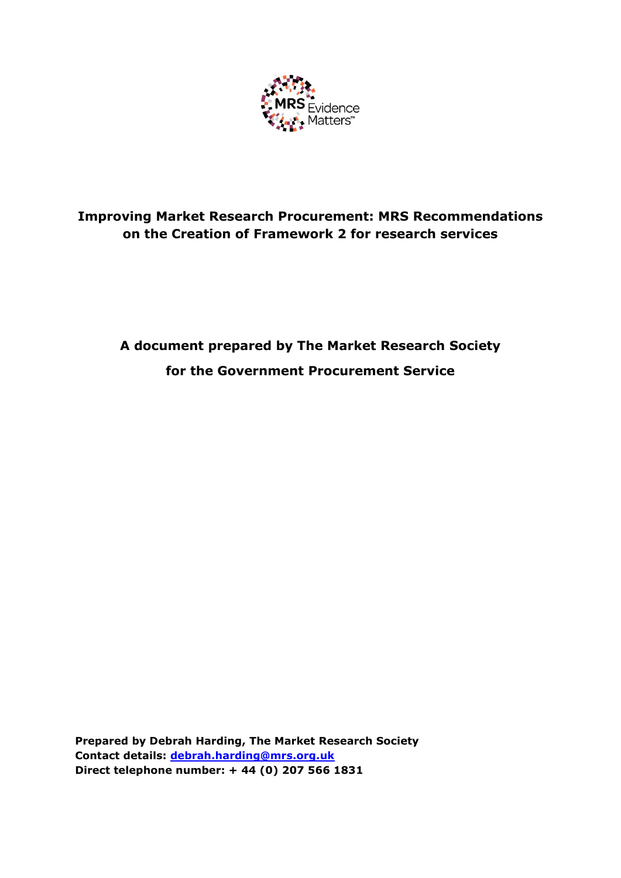

## **Improving Market Research Procurement: MRS Recommendations on the Creation of Framework 2 for research services**

## **A document prepared by The Market Research Society for the Government Procurement Service**

**Prepared by Debrah Harding, The Market Research Society Contact details: [debrah.harding@mrs.org.uk](mailto:debrah.harding@mrs.org.uk) Direct telephone number: + 44 (0) 207 566 1831**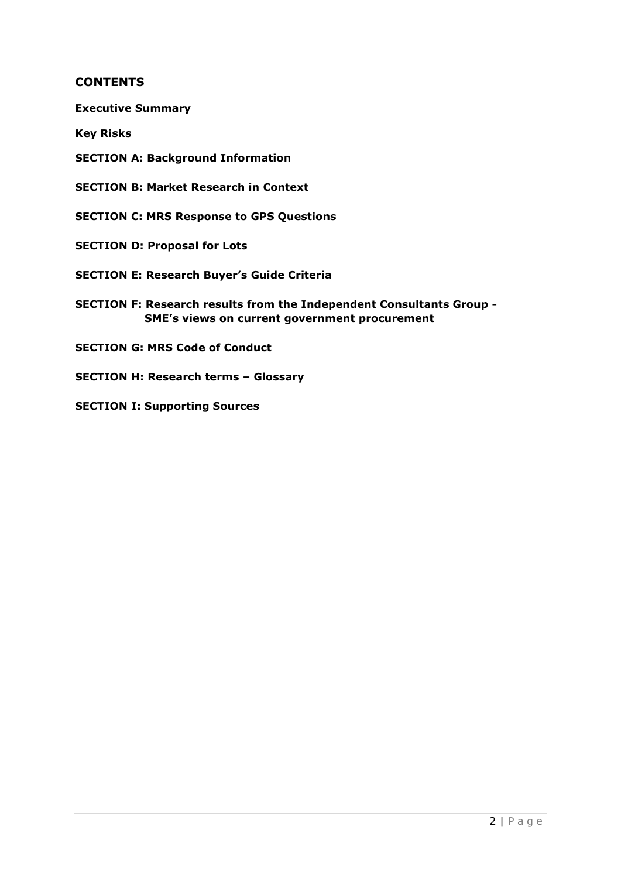## **CONTENTS**

**Executive Summary**

**Key Risks**

- **SECTION A: Background Information**
- **SECTION B: Market Research in Context**
- **SECTION C: MRS Response to GPS Questions**
- **SECTION D: Proposal for Lots**
- **SECTION E: Research Buyer's Guide Criteria**
- **SECTION F: Research results from the Independent Consultants Group SME's views on current government procurement**
- **SECTION G: MRS Code of Conduct**
- **SECTION H: Research terms – Glossary**
- **SECTION I: Supporting Sources**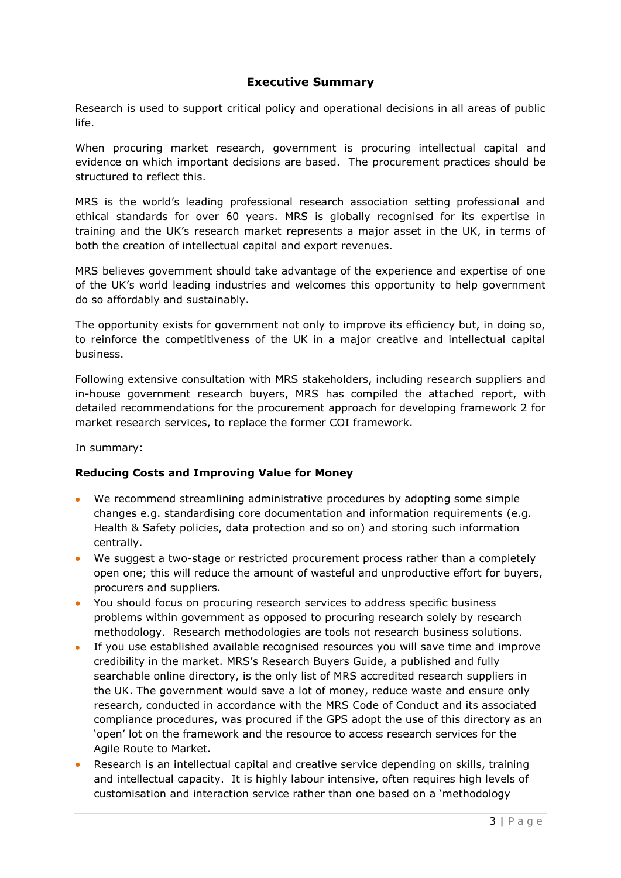## **Executive Summary**

Research is used to support critical policy and operational decisions in all areas of public life.

When procuring market research, government is procuring intellectual capital and evidence on which important decisions are based. The procurement practices should be structured to reflect this.

MRS is the world's leading professional research association setting professional and ethical standards for over 60 years. MRS is globally recognised for its expertise in training and the UK's research market represents a major asset in the UK, in terms of both the creation of intellectual capital and export revenues.

MRS believes government should take advantage of the experience and expertise of one of the UK's world leading industries and welcomes this opportunity to help government do so affordably and sustainably.

The opportunity exists for government not only to improve its efficiency but, in doing so, to reinforce the competitiveness of the UK in a major creative and intellectual capital business.

Following extensive consultation with MRS stakeholders, including research suppliers and in-house government research buyers, MRS has compiled the attached report, with detailed recommendations for the procurement approach for developing framework 2 for market research services, to replace the former COI framework.

In summary:

## **Reducing Costs and Improving Value for Money**

- We recommend streamlining administrative procedures by adopting some simple changes e.g. standardising core documentation and information requirements (e.g. Health & Safety policies, data protection and so on) and storing such information centrally.
- We suggest a two-stage or restricted procurement process rather than a completely open one; this will reduce the amount of wasteful and unproductive effort for buyers, procurers and suppliers.
- You should focus on procuring research services to address specific business problems within government as opposed to procuring research solely by research methodology. Research methodologies are tools not research business solutions.
- If you use established available recognised resources you will save time and improve credibility in the market. MRS's Research Buyers Guide, a published and fully searchable online directory, is the only list of MRS accredited research suppliers in the UK. The government would save a lot of money, reduce waste and ensure only research, conducted in accordance with the MRS Code of Conduct and its associated compliance procedures, was procured if the GPS adopt the use of this directory as an 'open' lot on the framework and the resource to access research services for the Agile Route to Market.
- Research is an intellectual capital and creative service depending on skills, training and intellectual capacity. It is highly labour intensive, often requires high levels of customisation and interaction service rather than one based on a 'methodology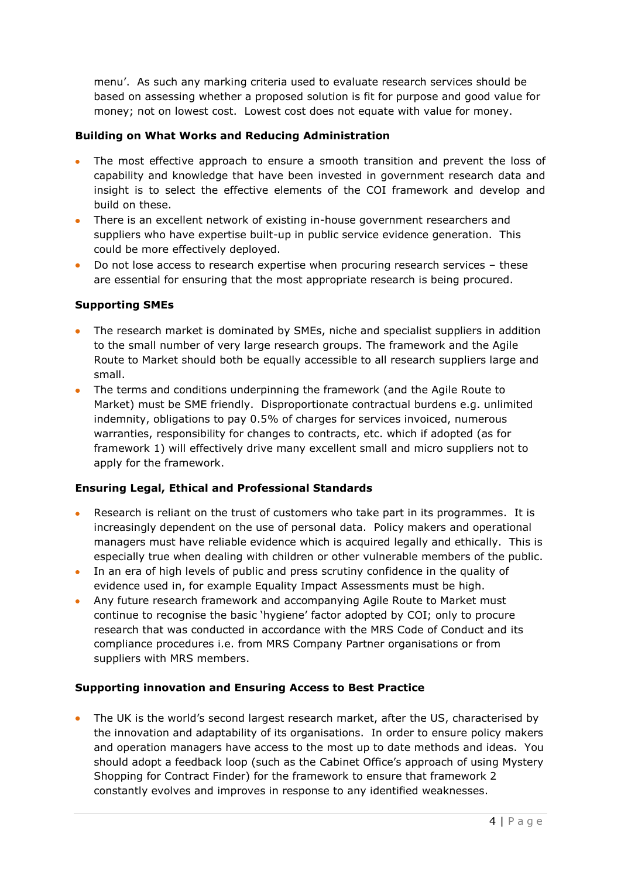menu'. As such any marking criteria used to evaluate research services should be based on assessing whether a proposed solution is fit for purpose and good value for money; not on lowest cost. Lowest cost does not equate with value for money.

## **Building on What Works and Reducing Administration**

- The most effective approach to ensure a smooth transition and prevent the loss of capability and knowledge that have been invested in government research data and insight is to select the effective elements of the COI framework and develop and build on these.
- There is an excellent network of existing in-house government researchers and suppliers who have expertise built-up in public service evidence generation. This could be more effectively deployed.
- Do not lose access to research expertise when procuring research services these are essential for ensuring that the most appropriate research is being procured.

## **Supporting SMEs**

- The research market is dominated by SMEs, niche and specialist suppliers in addition to the small number of very large research groups. The framework and the Agile Route to Market should both be equally accessible to all research suppliers large and small.
- The terms and conditions underpinning the framework (and the Agile Route to Market) must be SME friendly. Disproportionate contractual burdens e.g. unlimited indemnity, obligations to pay 0.5% of charges for services invoiced, numerous warranties, responsibility for changes to contracts, etc. which if adopted (as for framework 1) will effectively drive many excellent small and micro suppliers not to apply for the framework.

## **Ensuring Legal, Ethical and Professional Standards**

- Research is reliant on the trust of customers who take part in its programmes. It is increasingly dependent on the use of personal data. Policy makers and operational managers must have reliable evidence which is acquired legally and ethically. This is especially true when dealing with children or other vulnerable members of the public.
- In an era of high levels of public and press scrutiny confidence in the quality of evidence used in, for example Equality Impact Assessments must be high.
- Any future research framework and accompanying Agile Route to Market must continue to recognise the basic 'hygiene' factor adopted by COI; only to procure research that was conducted in accordance with the MRS Code of Conduct and its compliance procedures i.e. from MRS Company Partner organisations or from suppliers with MRS members.

## **Supporting innovation and Ensuring Access to Best Practice**

The UK is the world's second largest research market, after the US, characterised by the innovation and adaptability of its organisations. In order to ensure policy makers and operation managers have access to the most up to date methods and ideas. You should adopt a feedback loop (such as the Cabinet Office's approach of using Mystery Shopping for Contract Finder) for the framework to ensure that framework 2 constantly evolves and improves in response to any identified weaknesses.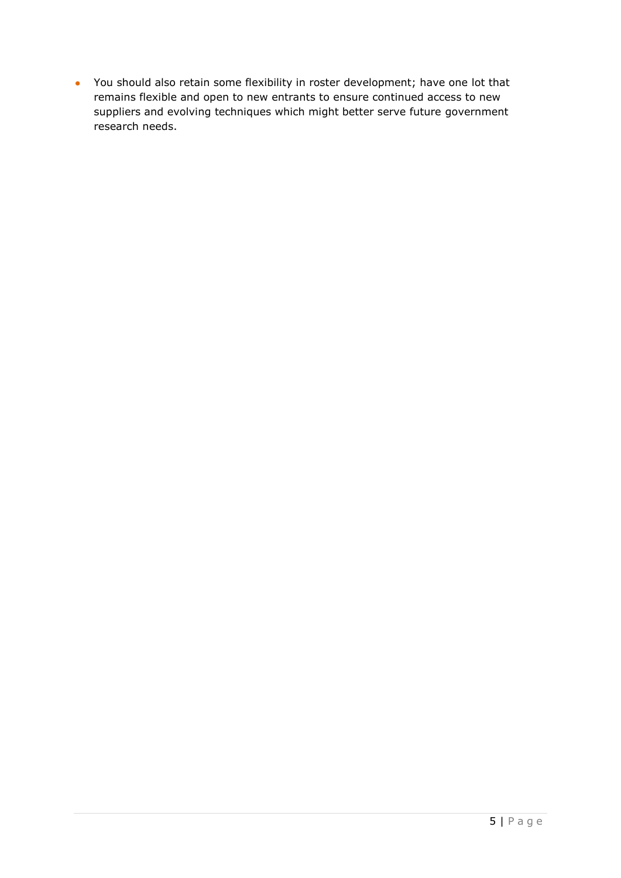You should also retain some flexibility in roster development; have one lot that remains flexible and open to new entrants to ensure continued access to new suppliers and evolving techniques which might better serve future government research needs.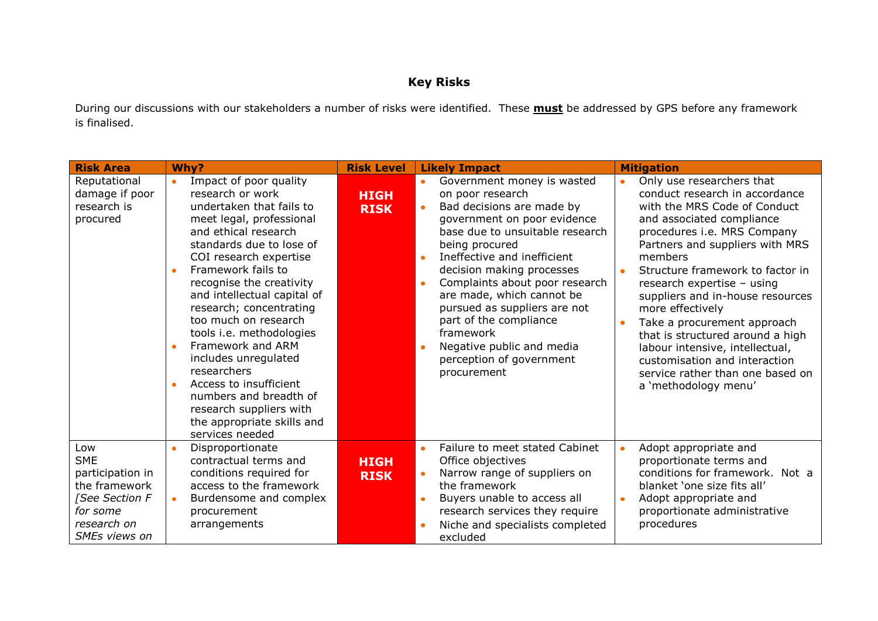## **Key Risks**

During our discussions with our stakeholders a number of risks were identified. These **must** be addressed by GPS before any framework is finalised.

| <b>Risk Area</b>                                                                                                           | Why?                                                                                                                                                                                                                                                                                                                                                                                                                                                                                                                                                                                             | <b>Risk Level</b>          | <b>Likely Impact</b>                                                                                                                                                                                                                                                                                                                                                                                                                                                | <b>Mitigation</b>                                                                                                                                                                                                                                                                                                                                                                                                                                                                                                                               |
|----------------------------------------------------------------------------------------------------------------------------|--------------------------------------------------------------------------------------------------------------------------------------------------------------------------------------------------------------------------------------------------------------------------------------------------------------------------------------------------------------------------------------------------------------------------------------------------------------------------------------------------------------------------------------------------------------------------------------------------|----------------------------|---------------------------------------------------------------------------------------------------------------------------------------------------------------------------------------------------------------------------------------------------------------------------------------------------------------------------------------------------------------------------------------------------------------------------------------------------------------------|-------------------------------------------------------------------------------------------------------------------------------------------------------------------------------------------------------------------------------------------------------------------------------------------------------------------------------------------------------------------------------------------------------------------------------------------------------------------------------------------------------------------------------------------------|
| Reputational<br>damage if poor<br>research is<br>procured                                                                  | Impact of poor quality<br>$\bullet$<br>research or work<br>undertaken that fails to<br>meet legal, professional<br>and ethical research<br>standards due to lose of<br>COI research expertise<br>Framework fails to<br>$\bullet$<br>recognise the creativity<br>and intellectual capital of<br>research; concentrating<br>too much on research<br>tools i.e. methodologies<br>Framework and ARM<br>$\bullet$<br>includes unregulated<br>researchers<br>Access to insufficient<br>$\bullet$<br>numbers and breadth of<br>research suppliers with<br>the appropriate skills and<br>services needed | <b>HIGH</b><br><b>RISK</b> | Government money is wasted<br>on poor research<br>Bad decisions are made by<br>$\bullet$<br>government on poor evidence<br>base due to unsuitable research<br>being procured<br>Ineffective and inefficient<br>decision making processes<br>Complaints about poor research<br>$\bullet$<br>are made, which cannot be<br>pursued as suppliers are not<br>part of the compliance<br>framework<br>Negative public and media<br>perception of government<br>procurement | Only use researchers that<br>conduct research in accordance<br>with the MRS Code of Conduct<br>and associated compliance<br>procedures i.e. MRS Company<br>Partners and suppliers with MRS<br>members<br>Structure framework to factor in<br>research expertise - using<br>suppliers and in-house resources<br>more effectively<br>Take a procurement approach<br>$\bullet$<br>that is structured around a high<br>labour intensive, intellectual,<br>customisation and interaction<br>service rather than one based on<br>a 'methodology menu' |
| Low<br><b>SME</b><br>participation in<br>the framework<br><b>See Section F</b><br>for some<br>research on<br>SMEs views on | Disproportionate<br>$\bullet$<br>contractual terms and<br>conditions required for<br>access to the framework<br>Burdensome and complex<br>$\bullet$<br>procurement<br>arrangements                                                                                                                                                                                                                                                                                                                                                                                                               | <b>HIGH</b><br><b>RISK</b> | Failure to meet stated Cabinet<br>$\bullet$<br>Office objectives<br>Narrow range of suppliers on<br>the framework<br>Buyers unable to access all<br>research services they require<br>Niche and specialists completed<br>excluded                                                                                                                                                                                                                                   | Adopt appropriate and<br>$\bullet$<br>proportionate terms and<br>conditions for framework. Not a<br>blanket 'one size fits all'<br>Adopt appropriate and<br>proportionate administrative<br>procedures                                                                                                                                                                                                                                                                                                                                          |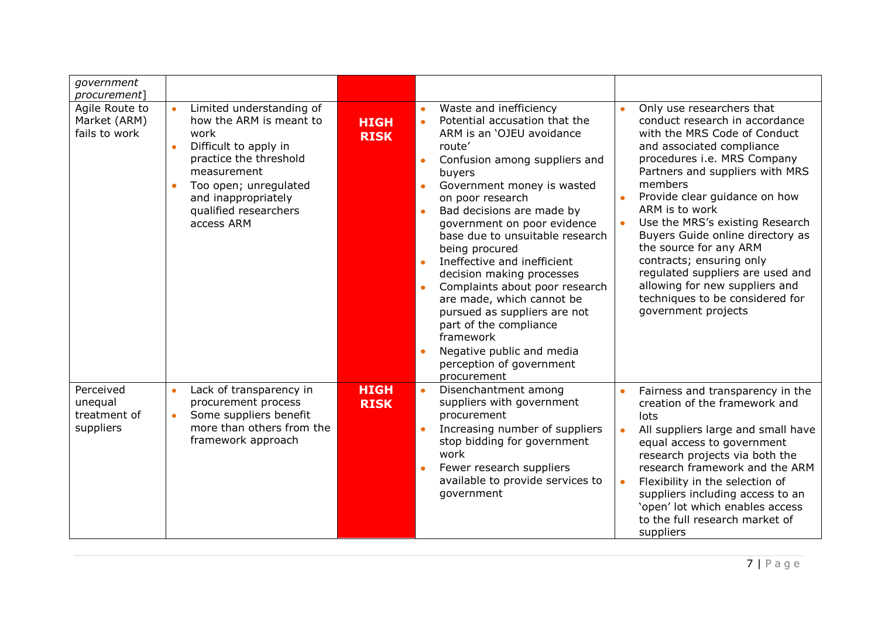| government                                                      |                                                                                                                                                                                                                                                |                            |                                                                                                                                                                                                                                                                                                                                                                                                                                                                                                                                                                                      |                                                                                                                                                                                                                                                                                                                                                                                                                                                                                                                       |
|-----------------------------------------------------------------|------------------------------------------------------------------------------------------------------------------------------------------------------------------------------------------------------------------------------------------------|----------------------------|--------------------------------------------------------------------------------------------------------------------------------------------------------------------------------------------------------------------------------------------------------------------------------------------------------------------------------------------------------------------------------------------------------------------------------------------------------------------------------------------------------------------------------------------------------------------------------------|-----------------------------------------------------------------------------------------------------------------------------------------------------------------------------------------------------------------------------------------------------------------------------------------------------------------------------------------------------------------------------------------------------------------------------------------------------------------------------------------------------------------------|
| procurement]<br>Agile Route to<br>Market (ARM)<br>fails to work | Limited understanding of<br>$\bullet$<br>how the ARM is meant to<br>work<br>Difficult to apply in<br>$\bullet$<br>practice the threshold<br>measurement<br>Too open; unregulated<br>and inappropriately<br>qualified researchers<br>access ARM | <b>HIGH</b><br><b>RISK</b> | Waste and inefficiency<br>Potential accusation that the<br>ARM is an 'OJEU avoidance<br>route'<br>Confusion among suppliers and<br>buyers<br>Government money is wasted<br>on poor research<br>Bad decisions are made by<br>government on poor evidence<br>base due to unsuitable research<br>being procured<br>Ineffective and inefficient<br>$\bullet$<br>decision making processes<br>Complaints about poor research<br>are made, which cannot be<br>pursued as suppliers are not<br>part of the compliance<br>framework<br>Negative public and media<br>perception of government | Only use researchers that<br>conduct research in accordance<br>with the MRS Code of Conduct<br>and associated compliance<br>procedures i.e. MRS Company<br>Partners and suppliers with MRS<br>members<br>Provide clear guidance on how<br>ARM is to work<br>Use the MRS's existing Research<br>Buyers Guide online directory as<br>the source for any ARM<br>contracts; ensuring only<br>regulated suppliers are used and<br>allowing for new suppliers and<br>techniques to be considered for<br>government projects |
| Perceived<br>unequal<br>treatment of<br>suppliers               | Lack of transparency in<br>$\bullet$<br>procurement process<br>Some suppliers benefit<br>$\bullet$<br>more than others from the<br>framework approach                                                                                          | <b>HIGH</b><br><b>RISK</b> | procurement<br>Disenchantment among<br>suppliers with government<br>procurement<br>Increasing number of suppliers<br>stop bidding for government<br>work<br>Fewer research suppliers<br>available to provide services to<br>government                                                                                                                                                                                                                                                                                                                                               | Fairness and transparency in the<br>creation of the framework and<br>lots<br>All suppliers large and small have<br>equal access to government<br>research projects via both the<br>research framework and the ARM<br>Flexibility in the selection of<br>suppliers including access to an<br>'open' lot which enables access<br>to the full research market of<br>suppliers                                                                                                                                            |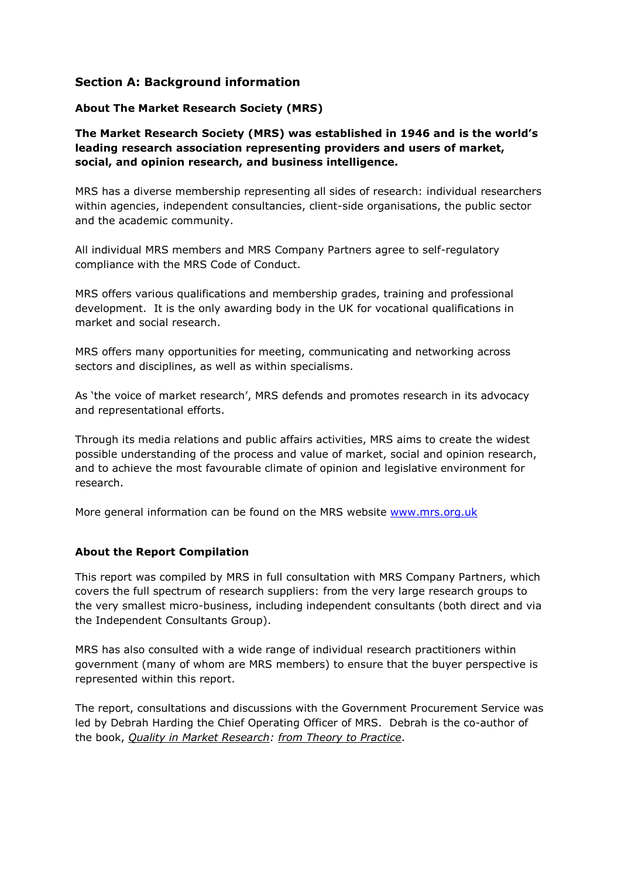## **Section A: Background information**

#### **About The Market Research Society (MRS)**

**The Market Research Society (MRS) was established in 1946 and is the world's leading research association representing providers and users of market, social, and opinion research, and business intelligence.**

MRS has a diverse membership representing all sides of research: individual researchers within agencies, independent consultancies, client-side organisations, the public sector and the academic community.

All individual MRS members and MRS Company Partners agree to self-regulatory compliance with the MRS Code of Conduct.

MRS offers various qualifications and membership grades, training and professional development. It is the only awarding body in the UK for vocational qualifications in market and social research.

MRS offers many opportunities for meeting, communicating and networking across sectors and disciplines, as well as within specialisms.

As 'the voice of market research', MRS defends and promotes research in its advocacy and representational efforts.

Through its media relations and public affairs activities, MRS aims to create the widest possible understanding of the process and value of market, social and opinion research, and to achieve the most favourable climate of opinion and legislative environment for research.

More general information can be found on the MRS website [www.mrs.org.uk](http://www.mrs.org.uk/)

#### **About the Report Compilation**

This report was compiled by MRS in full consultation with MRS Company Partners, which covers the full spectrum of research suppliers: from the very large research groups to the very smallest micro-business, including independent consultants (both direct and via the Independent Consultants Group).

MRS has also consulted with a wide range of individual research practitioners within government (many of whom are MRS members) to ensure that the buyer perspective is represented within this report.

The report, consultations and discussions with the Government Procurement Service was led by Debrah Harding the Chief Operating Officer of MRS. Debrah is the co-author of the book, *[Quality in Market Research: from Theory to Practice](http://shop.bsigroup.com/en/ProductDetail/?pid=000000000030217521)*.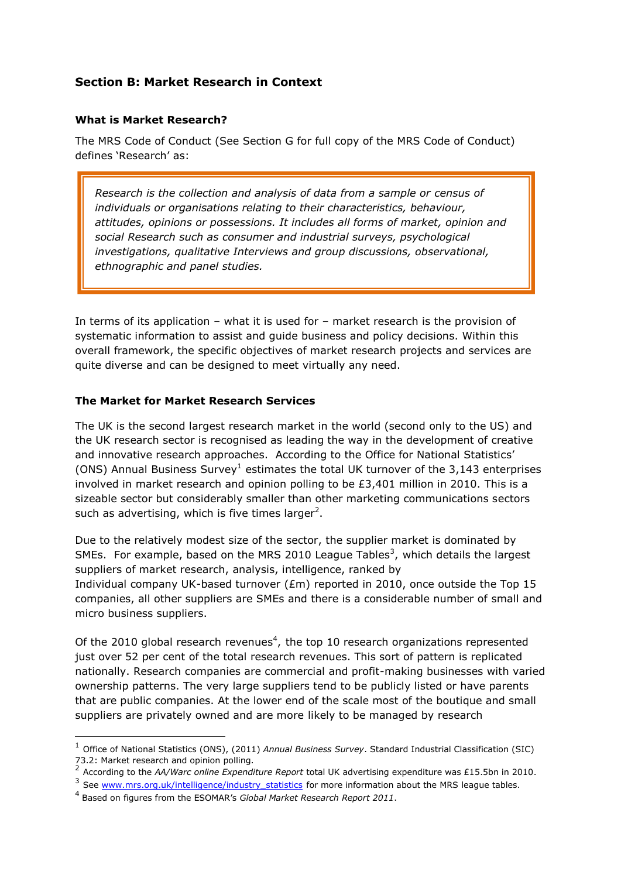## **Section B: Market Research in Context**

## **What is Market Research?**

The MRS Code of Conduct (See Section G for full copy of the MRS Code of Conduct) defines 'Research' as:

*Research is the collection and analysis of data from a sample or census of individuals or organisations relating to their characteristics, behaviour, attitudes, opinions or possessions. It includes all forms of market, opinion and social Research such as consumer and industrial surveys, psychological investigations, qualitative Interviews and group discussions, observational, ethnographic and panel studies.*

In terms of its application – what it is used for – market research is the provision of systematic information to assist and guide business and policy decisions. Within this overall framework, the specific objectives of market research projects and services are quite diverse and can be designed to meet virtually any need.

## **The Market for Market Research Services**

The UK is the second largest research market in the world (second only to the US) and the UK research sector is recognised as leading the way in the development of creative and innovative research approaches. According to the Office for National Statistics' (ONS) Annual Business Survey<sup>1</sup> estimates the total UK turnover of the 3,143 enterprises involved in market research and opinion polling to be £3,401 million in 2010. This is a sizeable sector but considerably smaller than other marketing communications sectors such as advertising, which is five times larger<sup>2</sup>.

Due to the relatively modest size of the sector, the supplier market is dominated by SMEs. For example, based on the MRS 2010 League Tables<sup>3</sup>, which details the largest suppliers of market research, analysis, intelligence, ranked by Individual company UK-based turnover (£m) reported in 2010, once outside the Top 15 companies, all other suppliers are SMEs and there is a considerable number of small and micro business suppliers.

Of the 2010 global research revenues<sup>4</sup>, the top 10 research organizations represented just over 52 per cent of the total research revenues. This sort of pattern is replicated nationally. Research companies are commercial and profit-making businesses with varied ownership patterns. The very large suppliers tend to be publicly listed or have parents that are public companies. At the lower end of the scale most of the boutique and small suppliers are privately owned and are more likely to be managed by research

**.** 

<sup>1</sup> Office of National Statistics (ONS), (2011) *Annual Business Survey*. Standard Industrial Classification (SIC) 73.2: Market research and opinion polling.

<sup>2</sup> According to the *AA/Warc online Expenditure Report* total UK advertising expenditure was £15.5bn in 2010.

<sup>&</sup>lt;sup>3</sup> See www.mrs.org.uk/intelligence/industry statistics for more information about the MRS league tables.

<sup>4</sup> Based on figures from the ESOMAR's *Global Market Research Report 2011*.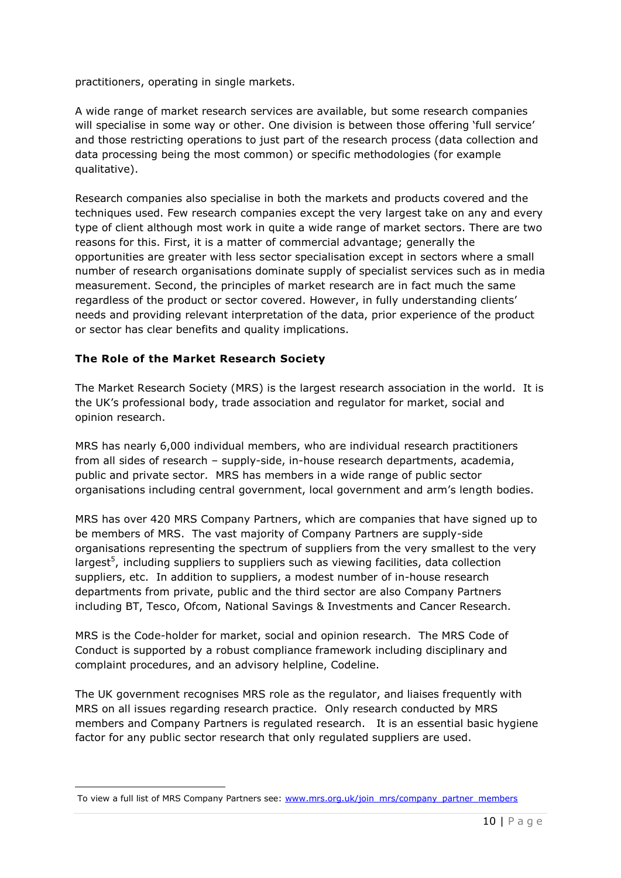practitioners, operating in single markets.

A wide range of market research services are available, but some research companies will specialise in some way or other. One division is between those offering 'full service' and those restricting operations to just part of the research process (data collection and data processing being the most common) or specific methodologies (for example qualitative).

Research companies also specialise in both the markets and products covered and the techniques used. Few research companies except the very largest take on any and every type of client although most work in quite a wide range of market sectors. There are two reasons for this. First, it is a matter of commercial advantage; generally the opportunities are greater with less sector specialisation except in sectors where a small number of research organisations dominate supply of specialist services such as in media measurement. Second, the principles of market research are in fact much the same regardless of the product or sector covered. However, in fully understanding clients' needs and providing relevant interpretation of the data, prior experience of the product or sector has clear benefits and quality implications.

## **The Role of the Market Research Society**

 $\overline{a}$ 

The Market Research Society (MRS) is the largest research association in the world. It is the UK's professional body, trade association and regulator for market, social and opinion research.

MRS has nearly 6,000 individual members, who are individual research practitioners from all sides of research – supply-side, in-house research departments, academia, public and private sector. MRS has members in a wide range of public sector organisations including central government, local government and arm's length bodies.

MRS has over 420 MRS Company Partners, which are companies that have signed up to be members of MRS. The vast majority of Company Partners are supply-side organisations representing the spectrum of suppliers from the very smallest to the very largest<sup>5</sup>, including suppliers to suppliers such as viewing facilities, data collection suppliers, etc. In addition to suppliers, a modest number of in-house research departments from private, public and the third sector are also Company Partners including BT, Tesco, Ofcom, National Savings & Investments and Cancer Research.

MRS is the Code-holder for market, social and opinion research. The MRS Code of Conduct is supported by a robust compliance framework including disciplinary and complaint procedures, and an advisory helpline, Codeline.

The UK government recognises MRS role as the regulator, and liaises frequently with MRS on all issues regarding research practice. Only research conducted by MRS members and Company Partners is regulated research. It is an essential basic hygiene factor for any public sector research that only regulated suppliers are used.

To view a full list of MRS Company Partners see: [www.mrs.org.uk/join\\_mrs/company\\_partner\\_members](http://www.mrs.org.uk/join_mrs/company_partner_members)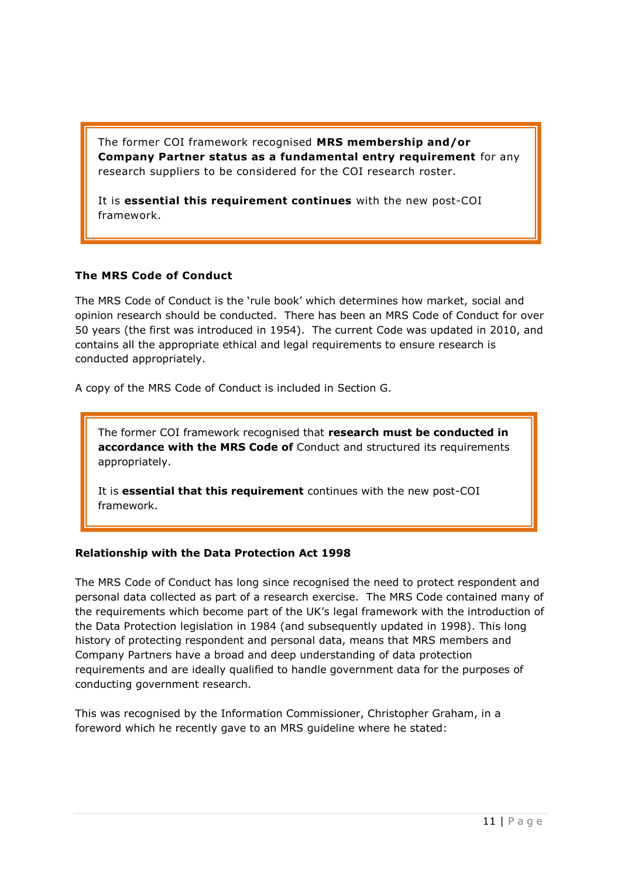The former COI framework recognised **MRS membership and/or Company Partner status as a fundamental entry requirement** for any research suppliers to be considered for the COI research roster.

It is **essential this requirement continues** with the new post-COI framework.

## **The MRS Code of Conduct**

The MRS Code of Conduct is the 'rule book' which determines how market, social and opinion research should be conducted. There has been an MRS Code of Conduct for over 50 years (the first was introduced in 1954). The current Code was updated in 2010, and contains all the appropriate ethical and legal requirements to ensure research is conducted appropriately.

A copy of the MRS Code of Conduct is included in Section G.

The former COI framework recognised that **research must be conducted in accordance with the MRS Code of** Conduct and structured its requirements appropriately.

It is **essential that this requirement** continues with the new post-COI framework.

## **Relationship with the Data Protection Act 1998**

The MRS Code of Conduct has long since recognised the need to protect respondent and personal data collected as part of a research exercise. The MRS Code contained many of the requirements which become part of the UK's legal framework with the introduction of the Data Protection legislation in 1984 (and subsequently updated in 1998). This long history of protecting respondent and personal data, means that MRS members and Company Partners have a broad and deep understanding of data protection requirements and are ideally qualified to handle government data for the purposes of conducting government research.

This was recognised by the Information Commissioner, Christopher Graham, in a foreword which he recently gave to an MRS guideline where he stated: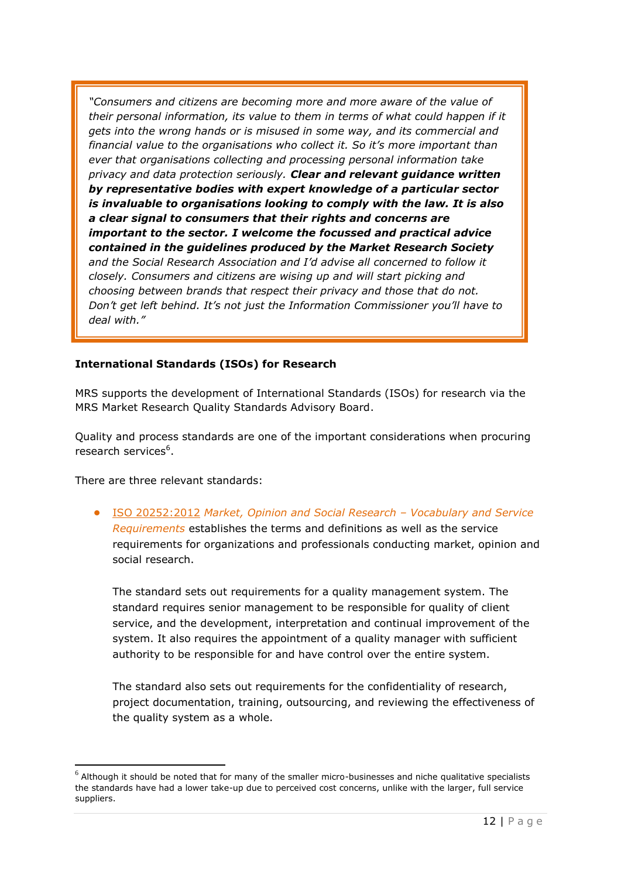*"Consumers and citizens are becoming more and more aware of the value of their personal information, its value to them in terms of what could happen if it gets into the wrong hands or is misused in some way, and its commercial and financial value to the organisations who collect it. So it's more important than ever that organisations collecting and processing personal information take privacy and data protection seriously. Clear and relevant guidance written by representative bodies with expert knowledge of a particular sector is invaluable to organisations looking to comply with the law. It is also a clear signal to consumers that their rights and concerns are important to the sector. I welcome the focussed and practical advice contained in the guidelines produced by the Market Research Society and the Social Research Association and I'd advise all concerned to follow it closely. Consumers and citizens are wising up and will start picking and choosing between brands that respect their privacy and those that do not. Don't get left behind. It's not just the Information Commissioner you'll have to deal with."*

## **International Standards (ISOs) for Research**

MRS supports the development of International Standards (ISOs) for research via the MRS Market Research Quality Standards Advisory Board.

Quality and process standards are one of the important considerations when procuring research services<sup>6</sup>.

There are three relevant standards:

**.** 

ISO [20252:2012](http://www.iso.org/iso/iso_catalogue/catalogue_tc/catalogue_detail.htm?csnumber=39339) *Market, Opinion and Social Research – Vocabulary and Service Requirements* establishes the terms and definitions as well as the service requirements for organizations and professionals conducting market, opinion and social research.

The standard sets out requirements for a quality management system. The standard requires senior management to be responsible for quality of client service, and the development, interpretation and continual improvement of the system. It also requires the appointment of a quality manager with sufficient authority to be responsible for and have control over the entire system.

The standard also sets out requirements for the confidentiality of research, project documentation, training, outsourcing, and reviewing the effectiveness of the quality system as a whole.

 $<sup>6</sup>$  Although it should be noted that for many of the smaller micro-businesses and niche qualitative specialists</sup> the standards have had a lower take-up due to perceived cost concerns, unlike with the larger, full service suppliers.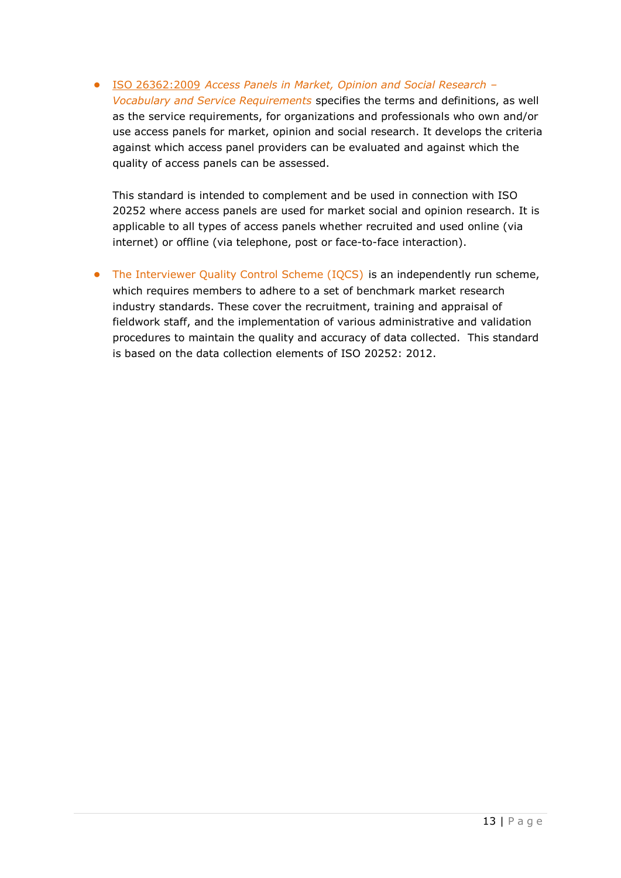ISO [26362:2009](http://www.iso.org/iso/iso_catalogue/catalogue_tc/catalogue_detail.htm?csnumber=43521) *Access Panels in Market, Opinion and Social Research – Vocabulary and Service Requirements* specifies the terms and definitions, as well as the service requirements, for organizations and professionals who own and/or use access panels for market, opinion and social research. It develops the criteria against which access panel providers can be evaluated and against which the quality of access panels can be assessed.

This standard is intended to complement and be used in connection with ISO 20252 where access panels are used for market social and opinion research. It is applicable to all types of access panels whether recruited and used online (via internet) or offline (via telephone, post or face-to-face interaction).

• The Interviewer Quality Control Scheme (IQCS) is an independently run scheme, which requires members to adhere to a set of benchmark market research industry standards. These cover the recruitment, training and appraisal of fieldwork staff, and the implementation of various administrative and validation procedures to maintain the quality and accuracy of data collected. This standard is based on the data collection elements of ISO 20252: 2012.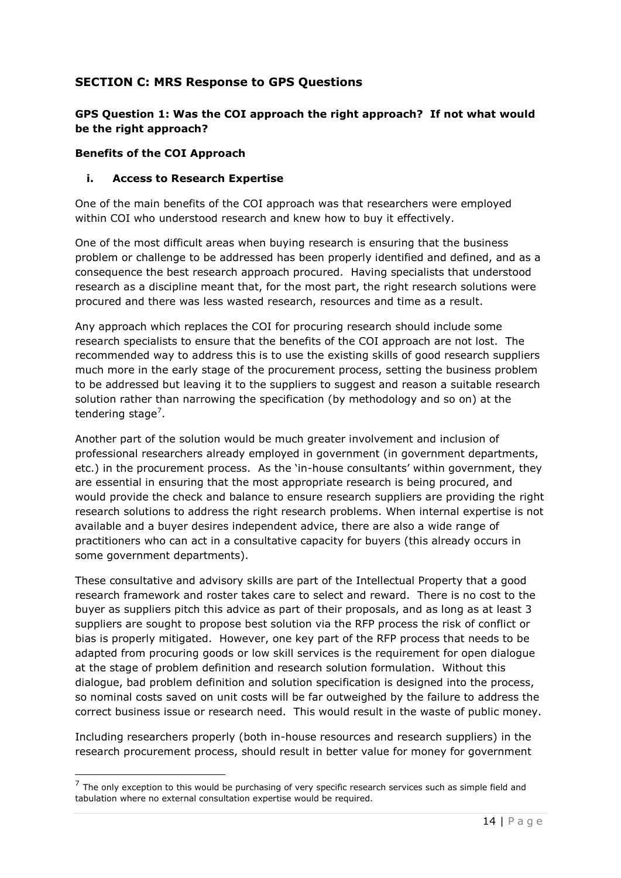## **SECTION C: MRS Response to GPS Questions**

## **GPS Question 1: Was the COI approach the right approach? If not what would be the right approach?**

## **Benefits of the COI Approach**

**.** 

## **i. Access to Research Expertise**

One of the main benefits of the COI approach was that researchers were employed within COI who understood research and knew how to buy it effectively.

One of the most difficult areas when buying research is ensuring that the business problem or challenge to be addressed has been properly identified and defined, and as a consequence the best research approach procured. Having specialists that understood research as a discipline meant that, for the most part, the right research solutions were procured and there was less wasted research, resources and time as a result.

Any approach which replaces the COI for procuring research should include some research specialists to ensure that the benefits of the COI approach are not lost. The recommended way to address this is to use the existing skills of good research suppliers much more in the early stage of the procurement process, setting the business problem to be addressed but leaving it to the suppliers to suggest and reason a suitable research solution rather than narrowing the specification (by methodology and so on) at the tendering stage<sup>7</sup>.

Another part of the solution would be much greater involvement and inclusion of professional researchers already employed in government (in government departments, etc.) in the procurement process. As the 'in-house consultants' within government, they are essential in ensuring that the most appropriate research is being procured, and would provide the check and balance to ensure research suppliers are providing the right research solutions to address the right research problems. When internal expertise is not available and a buyer desires independent advice, there are also a wide range of practitioners who can act in a consultative capacity for buyers (this already occurs in some government departments).

These consultative and advisory skills are part of the Intellectual Property that a good research framework and roster takes care to select and reward. There is no cost to the buyer as suppliers pitch this advice as part of their proposals, and as long as at least 3 suppliers are sought to propose best solution via the RFP process the risk of conflict or bias is properly mitigated. However, one key part of the RFP process that needs to be adapted from procuring goods or low skill services is the requirement for open dialogue at the stage of problem definition and research solution formulation. Without this dialogue, bad problem definition and solution specification is designed into the process, so nominal costs saved on unit costs will be far outweighed by the failure to address the correct business issue or research need. This would result in the waste of public money.

Including researchers properly (both in-house resources and research suppliers) in the research procurement process, should result in better value for money for government

 $<sup>7</sup>$  The only exception to this would be purchasing of very specific research services such as simple field and</sup> tabulation where no external consultation expertise would be required.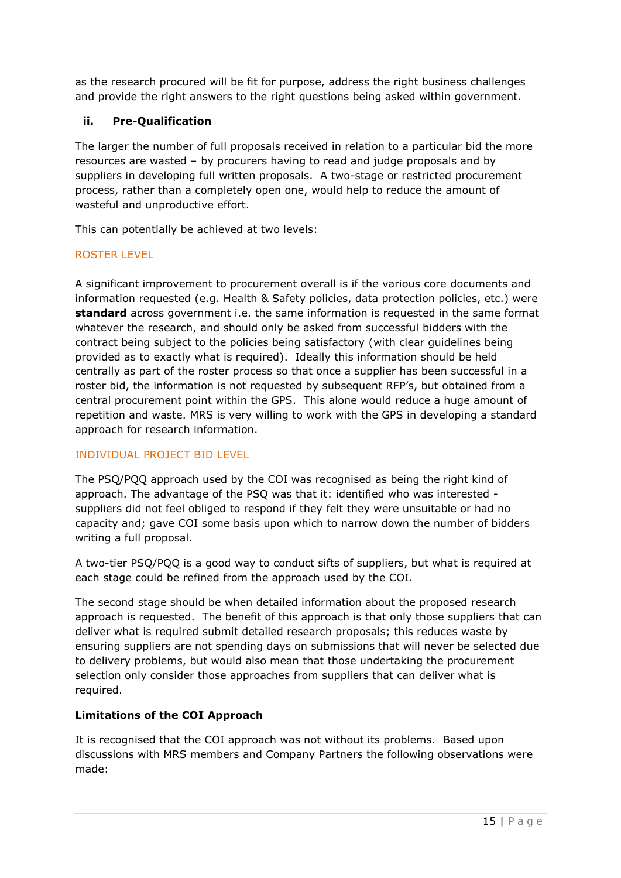as the research procured will be fit for purpose, address the right business challenges and provide the right answers to the right questions being asked within government.

## **ii. Pre-Qualification**

The larger the number of full proposals received in relation to a particular bid the more resources are wasted – by procurers having to read and judge proposals and by suppliers in developing full written proposals. A two-stage or restricted procurement process, rather than a completely open one, would help to reduce the amount of wasteful and unproductive effort.

This can potentially be achieved at two levels:

## ROSTER LEVEL

A significant improvement to procurement overall is if the various core documents and information requested (e.g. Health & Safety policies, data protection policies, etc.) were **standard** across government i.e. the same information is requested in the same format whatever the research, and should only be asked from successful bidders with the contract being subject to the policies being satisfactory (with clear guidelines being provided as to exactly what is required). Ideally this information should be held centrally as part of the roster process so that once a supplier has been successful in a roster bid, the information is not requested by subsequent RFP's, but obtained from a central procurement point within the GPS. This alone would reduce a huge amount of repetition and waste. MRS is very willing to work with the GPS in developing a standard approach for research information.

## INDIVIDUAL PROJECT BID LEVEL

The PSQ/PQQ approach used by the COI was recognised as being the right kind of approach. The advantage of the PSQ was that it: identified who was interested suppliers did not feel obliged to respond if they felt they were unsuitable or had no capacity and; gave COI some basis upon which to narrow down the number of bidders writing a full proposal.

A two-tier PSQ/PQQ is a good way to conduct sifts of suppliers, but what is required at each stage could be refined from the approach used by the COI.

The second stage should be when detailed information about the proposed research approach is requested. The benefit of this approach is that only those suppliers that can deliver what is required submit detailed research proposals; this reduces waste by ensuring suppliers are not spending days on submissions that will never be selected due to delivery problems, but would also mean that those undertaking the procurement selection only consider those approaches from suppliers that can deliver what is required.

## **Limitations of the COI Approach**

It is recognised that the COI approach was not without its problems. Based upon discussions with MRS members and Company Partners the following observations were made: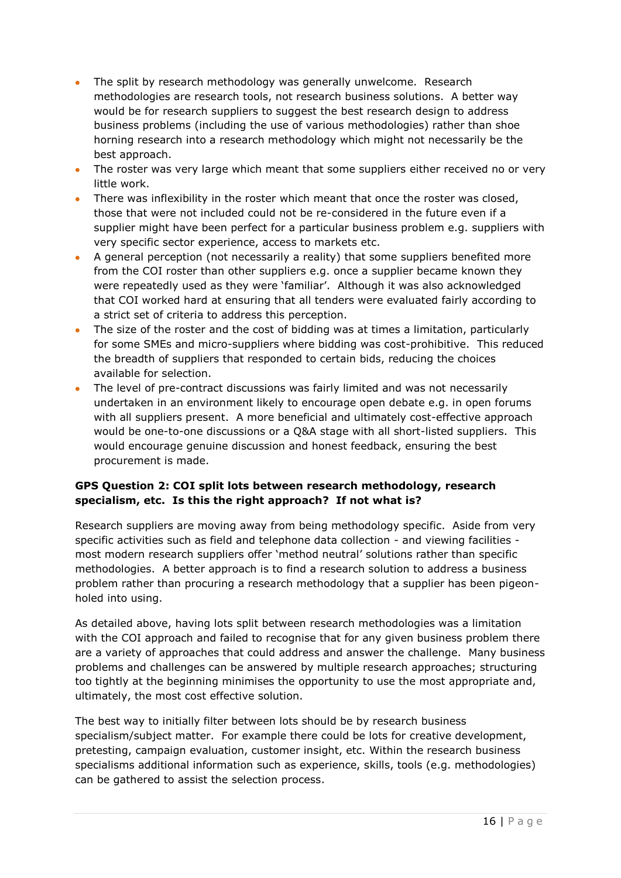- The split by research methodology was generally unwelcome. Research  $\bullet$ methodologies are research tools, not research business solutions. A better way would be for research suppliers to suggest the best research design to address business problems (including the use of various methodologies) rather than shoe horning research into a research methodology which might not necessarily be the best approach.
- The roster was very large which meant that some suppliers either received no or very little work.
- There was inflexibility in the roster which meant that once the roster was closed, those that were not included could not be re-considered in the future even if a supplier might have been perfect for a particular business problem e.g. suppliers with very specific sector experience, access to markets etc.
- A general perception (not necessarily a reality) that some suppliers benefited more from the COI roster than other suppliers e.g. once a supplier became known they were repeatedly used as they were 'familiar'. Although it was also acknowledged that COI worked hard at ensuring that all tenders were evaluated fairly according to a strict set of criteria to address this perception.
- The size of the roster and the cost of bidding was at times a limitation, particularly for some SMEs and micro-suppliers where bidding was cost-prohibitive. This reduced the breadth of suppliers that responded to certain bids, reducing the choices available for selection.
- The level of pre-contract discussions was fairly limited and was not necessarily undertaken in an environment likely to encourage open debate e.g. in open forums with all suppliers present. A more beneficial and ultimately cost-effective approach would be one-to-one discussions or a Q&A stage with all short-listed suppliers. This would encourage genuine discussion and honest feedback, ensuring the best procurement is made.

## **GPS Question 2: COI split lots between research methodology, research specialism, etc. Is this the right approach? If not what is?**

Research suppliers are moving away from being methodology specific. Aside from very specific activities such as field and telephone data collection - and viewing facilities most modern research suppliers offer 'method neutral' solutions rather than specific methodologies. A better approach is to find a research solution to address a business problem rather than procuring a research methodology that a supplier has been pigeonholed into using.

As detailed above, having lots split between research methodologies was a limitation with the COI approach and failed to recognise that for any given business problem there are a variety of approaches that could address and answer the challenge. Many business problems and challenges can be answered by multiple research approaches; structuring too tightly at the beginning minimises the opportunity to use the most appropriate and, ultimately, the most cost effective solution.

The best way to initially filter between lots should be by research business specialism/subject matter. For example there could be lots for creative development, pretesting, campaign evaluation, customer insight, etc. Within the research business specialisms additional information such as experience, skills, tools (e.g. methodologies) can be gathered to assist the selection process.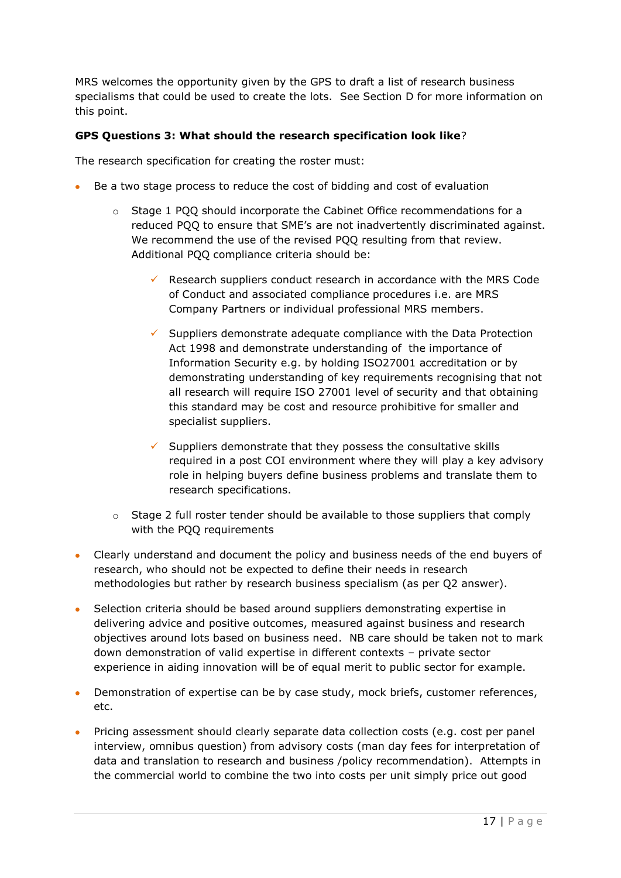MRS welcomes the opportunity given by the GPS to draft a list of research business specialisms that could be used to create the lots. See Section D for more information on this point.

## **GPS Questions 3: What should the research specification look like**?

The research specification for creating the roster must:

- Be a two stage process to reduce the cost of bidding and cost of evaluation
	- o Stage 1 PQQ should incorporate the Cabinet Office recommendations for a reduced PQQ to ensure that SME's are not inadvertently discriminated against. We recommend the use of the revised PQQ resulting from that review. Additional PQQ compliance criteria should be:
		- $\checkmark$  Research suppliers conduct research in accordance with the MRS Code of Conduct and associated compliance procedures i.e. are MRS Company Partners or individual professional MRS members.
		- $\checkmark$  Suppliers demonstrate adequate compliance with the Data Protection Act 1998 and demonstrate understanding of the importance of Information Security e.g. by holding ISO27001 accreditation or by demonstrating understanding of key requirements recognising that not all research will require ISO 27001 level of security and that obtaining this standard may be cost and resource prohibitive for smaller and specialist suppliers.
		- $\checkmark$  Suppliers demonstrate that they possess the consultative skills required in a post COI environment where they will play a key advisory role in helping buyers define business problems and translate them to research specifications.
	- $\circ$  Stage 2 full roster tender should be available to those suppliers that comply with the PQQ requirements
- Clearly understand and document the policy and business needs of the end buyers of research, who should not be expected to define their needs in research methodologies but rather by research business specialism (as per Q2 answer).
- Selection criteria should be based around suppliers demonstrating expertise in  $\bullet$ delivering advice and positive outcomes, measured against business and research objectives around lots based on business need. NB care should be taken not to mark down demonstration of valid expertise in different contexts – private sector experience in aiding innovation will be of equal merit to public sector for example.
- Demonstration of expertise can be by case study, mock briefs, customer references, etc.
- Pricing assessment should clearly separate data collection costs (e.g. cost per panel interview, omnibus question) from advisory costs (man day fees for interpretation of data and translation to research and business /policy recommendation). Attempts in the commercial world to combine the two into costs per unit simply price out good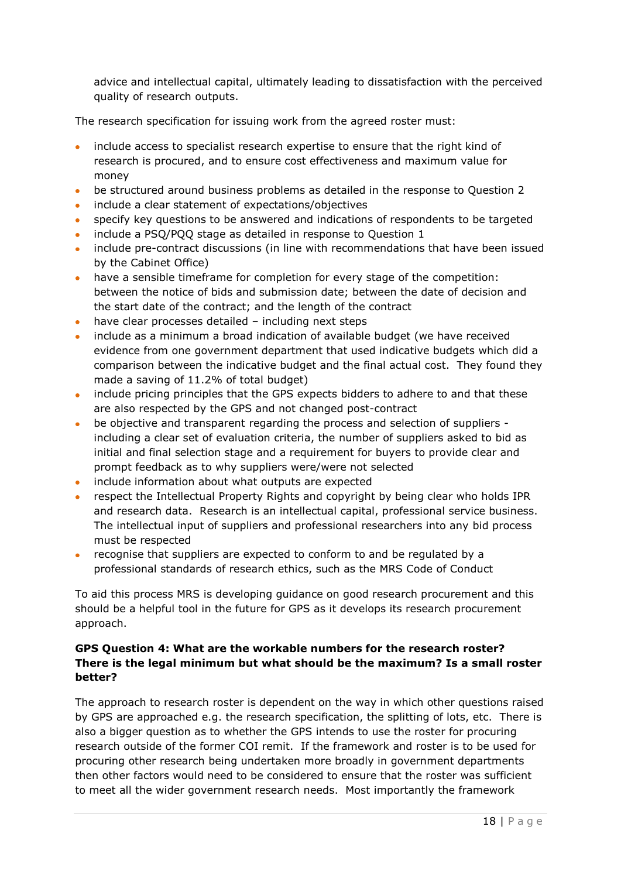advice and intellectual capital, ultimately leading to dissatisfaction with the perceived quality of research outputs.

The research specification for issuing work from the agreed roster must:

- include access to specialist research expertise to ensure that the right kind of research is procured, and to ensure cost effectiveness and maximum value for money
- be structured around business problems as detailed in the response to Question 2
- include a clear statement of expectations/objectives
- specify key questions to be answered and indications of respondents to be targeted
- include a PSQ/PQQ stage as detailed in response to Question 1
- include pre-contract discussions (in line with recommendations that have been issued by the Cabinet Office)
- have a sensible timeframe for completion for every stage of the competition: between the notice of bids and submission date; between the date of decision and the start date of the contract; and the length of the contract
- have clear processes detailed including next steps
- include as a minimum a broad indication of available budget (we have received evidence from one government department that used indicative budgets which did a comparison between the indicative budget and the final actual cost. They found they made a saving of 11.2% of total budget)
- include pricing principles that the GPS expects bidders to adhere to and that these are also respected by the GPS and not changed post-contract
- be objective and transparent regarding the process and selection of suppliers including a clear set of evaluation criteria, the number of suppliers asked to bid as initial and final selection stage and a requirement for buyers to provide clear and prompt feedback as to why suppliers were/were not selected
- include information about what outputs are expected
- respect the Intellectual Property Rights and copyright by being clear who holds IPR and research data. Research is an intellectual capital, professional service business. The intellectual input of suppliers and professional researchers into any bid process must be respected
- recognise that suppliers are expected to conform to and be regulated by a professional standards of research ethics, such as the MRS Code of Conduct

To aid this process MRS is developing guidance on good research procurement and this should be a helpful tool in the future for GPS as it develops its research procurement approach.

## **GPS Question 4: What are the workable numbers for the research roster? There is the legal minimum but what should be the maximum? Is a small roster better?**

The approach to research roster is dependent on the way in which other questions raised by GPS are approached e.g. the research specification, the splitting of lots, etc. There is also a bigger question as to whether the GPS intends to use the roster for procuring research outside of the former COI remit. If the framework and roster is to be used for procuring other research being undertaken more broadly in government departments then other factors would need to be considered to ensure that the roster was sufficient to meet all the wider government research needs. Most importantly the framework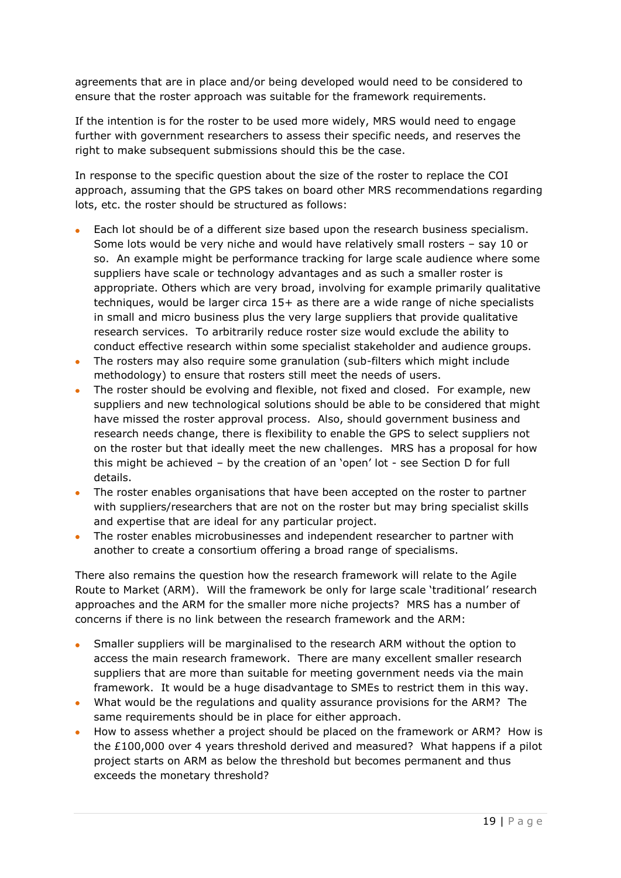agreements that are in place and/or being developed would need to be considered to ensure that the roster approach was suitable for the framework requirements.

If the intention is for the roster to be used more widely, MRS would need to engage further with government researchers to assess their specific needs, and reserves the right to make subsequent submissions should this be the case.

In response to the specific question about the size of the roster to replace the COI approach, assuming that the GPS takes on board other MRS recommendations regarding lots, etc. the roster should be structured as follows:

- Each lot should be of a different size based upon the research business specialism. Some lots would be very niche and would have relatively small rosters – say 10 or so. An example might be performance tracking for large scale audience where some suppliers have scale or technology advantages and as such a smaller roster is appropriate. Others which are very broad, involving for example primarily qualitative techniques, would be larger circa 15+ as there are a wide range of niche specialists in small and micro business plus the very large suppliers that provide qualitative research services. To arbitrarily reduce roster size would exclude the ability to conduct effective research within some specialist stakeholder and audience groups.
- The rosters may also require some granulation (sub-filters which might include methodology) to ensure that rosters still meet the needs of users.
- The roster should be evolving and flexible, not fixed and closed. For example, new suppliers and new technological solutions should be able to be considered that might have missed the roster approval process. Also, should government business and research needs change, there is flexibility to enable the GPS to select suppliers not on the roster but that ideally meet the new challenges. MRS has a proposal for how this might be achieved – by the creation of an 'open' lot - see Section D for full details.
- The roster enables organisations that have been accepted on the roster to partner with suppliers/researchers that are not on the roster but may bring specialist skills and expertise that are ideal for any particular project.
- The roster enables microbusinesses and independent researcher to partner with another to create a consortium offering a broad range of specialisms.

There also remains the question how the research framework will relate to the Agile Route to Market (ARM). Will the framework be only for large scale 'traditional' research approaches and the ARM for the smaller more niche projects? MRS has a number of concerns if there is no link between the research framework and the ARM:

- Smaller suppliers will be marginalised to the research ARM without the option to  $\bullet$ access the main research framework. There are many excellent smaller research suppliers that are more than suitable for meeting government needs via the main framework. It would be a huge disadvantage to SMEs to restrict them in this way.
- What would be the regulations and quality assurance provisions for the ARM? The same requirements should be in place for either approach.
- How to assess whether a project should be placed on the framework or ARM? How is the £100,000 over 4 years threshold derived and measured? What happens if a pilot project starts on ARM as below the threshold but becomes permanent and thus exceeds the monetary threshold?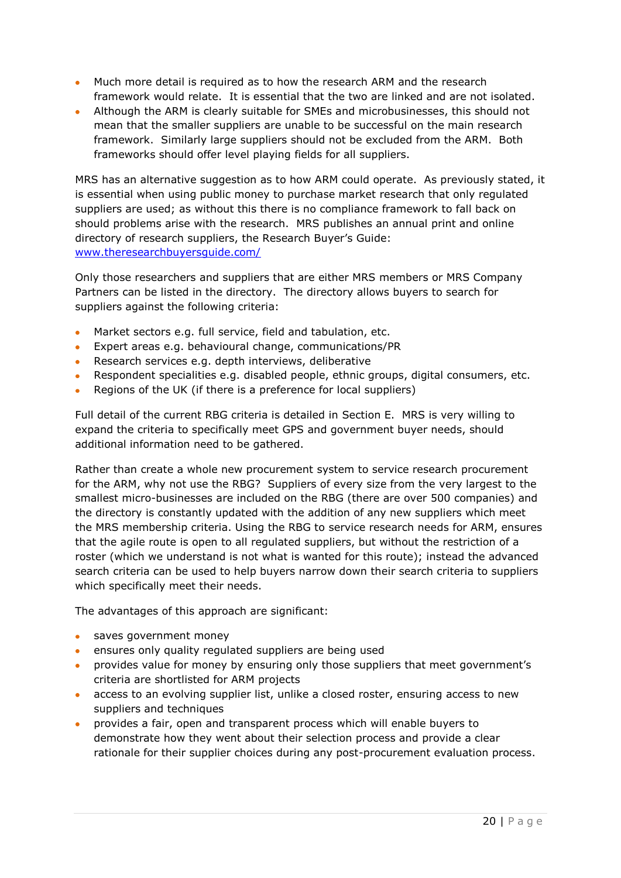- Much more detail is required as to how the research ARM and the research framework would relate. It is essential that the two are linked and are not isolated.
- Although the ARM is clearly suitable for SMEs and microbusinesses, this should not mean that the smaller suppliers are unable to be successful on the main research framework. Similarly large suppliers should not be excluded from the ARM. Both frameworks should offer level playing fields for all suppliers.

MRS has an alternative suggestion as to how ARM could operate. As previously stated, it is essential when using public money to purchase market research that only regulated suppliers are used; as without this there is no compliance framework to fall back on should problems arise with the research. MRS publishes an annual print and online directory of research suppliers, the Research Buyer's Guide: [www.theresearchbuyersguide.com/](http://www.theresearchbuyersguide.com/)

Only those researchers and suppliers that are either MRS members or MRS Company Partners can be listed in the directory. The directory allows buyers to search for suppliers against the following criteria:

- Market sectors e.g. full service, field and tabulation, etc.
- Expert areas e.g. behavioural change, communications/PR
- Research services e.g. depth interviews, deliberative
- Respondent specialities e.g. disabled people, ethnic groups, digital consumers, etc.
- Regions of the UK (if there is a preference for local suppliers)

Full detail of the current RBG criteria is detailed in Section E. MRS is very willing to expand the criteria to specifically meet GPS and government buyer needs, should additional information need to be gathered.

Rather than create a whole new procurement system to service research procurement for the ARM, why not use the RBG? Suppliers of every size from the very largest to the smallest micro-businesses are included on the RBG (there are over 500 companies) and the directory is constantly updated with the addition of any new suppliers which meet the MRS membership criteria. Using the RBG to service research needs for ARM, ensures that the agile route is open to all regulated suppliers, but without the restriction of a roster (which we understand is not what is wanted for this route); instead the advanced search criteria can be used to help buyers narrow down their search criteria to suppliers which specifically meet their needs.

The advantages of this approach are significant:

- **saves government money**
- ensures only quality regulated suppliers are being used
- provides value for money by ensuring only those suppliers that meet government's criteria are shortlisted for ARM projects
- access to an evolving supplier list, unlike a closed roster, ensuring access to new suppliers and techniques
- provides a fair, open and transparent process which will enable buyers to  $\bullet$ demonstrate how they went about their selection process and provide a clear rationale for their supplier choices during any post-procurement evaluation process.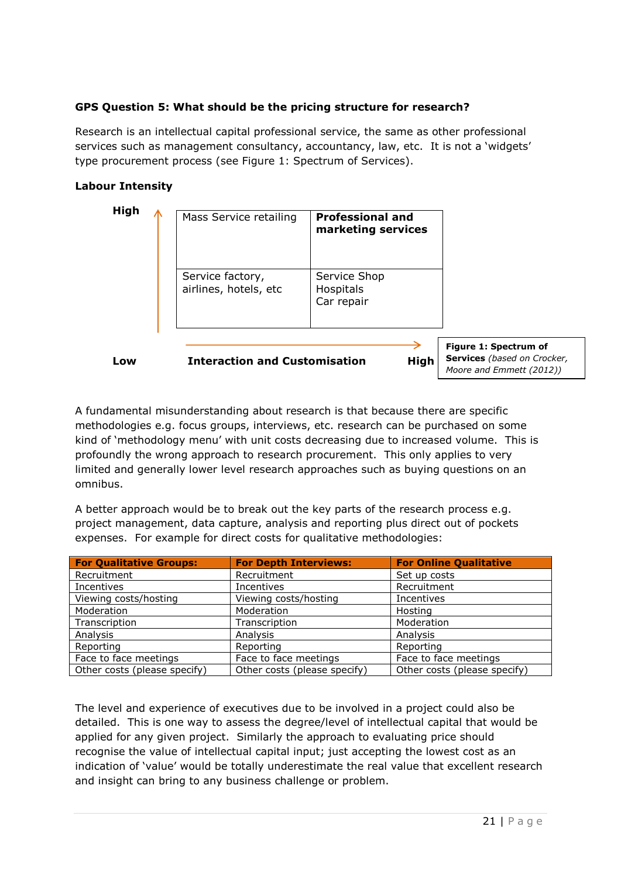## **GPS Question 5: What should be the pricing structure for research?**

Research is an intellectual capital professional service, the same as other professional services such as management consultancy, accountancy, law, etc. It is not a 'widgets' type procurement process (see Figure 1: Spectrum of Services).

## **Labour Intensity**



A fundamental misunderstanding about research is that because there are specific methodologies e.g. focus groups, interviews, etc. research can be purchased on some kind of 'methodology menu' with unit costs decreasing due to increased volume. This is profoundly the wrong approach to research procurement. This only applies to very limited and generally lower level research approaches such as buying questions on an omnibus.

A better approach would be to break out the key parts of the research process e.g. project management, data capture, analysis and reporting plus direct out of pockets expenses. For example for direct costs for qualitative methodologies:

| <b>For Qualitative Groups:</b> | <b>For Depth Interviews:</b> | <b>For Online Qualitative</b> |
|--------------------------------|------------------------------|-------------------------------|
| Recruitment                    | Recruitment                  | Set up costs                  |
| Incentives                     | Incentives                   | Recruitment                   |
| Viewing costs/hosting          | Viewing costs/hosting        | Incentives                    |
| Moderation                     | Moderation                   | Hosting                       |
| Transcription                  | Transcription                | Moderation                    |
| Analysis                       | Analysis                     | Analysis                      |
| Reporting                      | Reporting                    | Reporting                     |
| Face to face meetings          | Face to face meetings        | Face to face meetings         |
| Other costs (please specify)   | Other costs (please specify) | Other costs (please specify)  |

The level and experience of executives due to be involved in a project could also be detailed. This is one way to assess the degree/level of intellectual capital that would be applied for any given project. Similarly the approach to evaluating price should recognise the value of intellectual capital input; just accepting the lowest cost as an indication of 'value' would be totally underestimate the real value that excellent research and insight can bring to any business challenge or problem.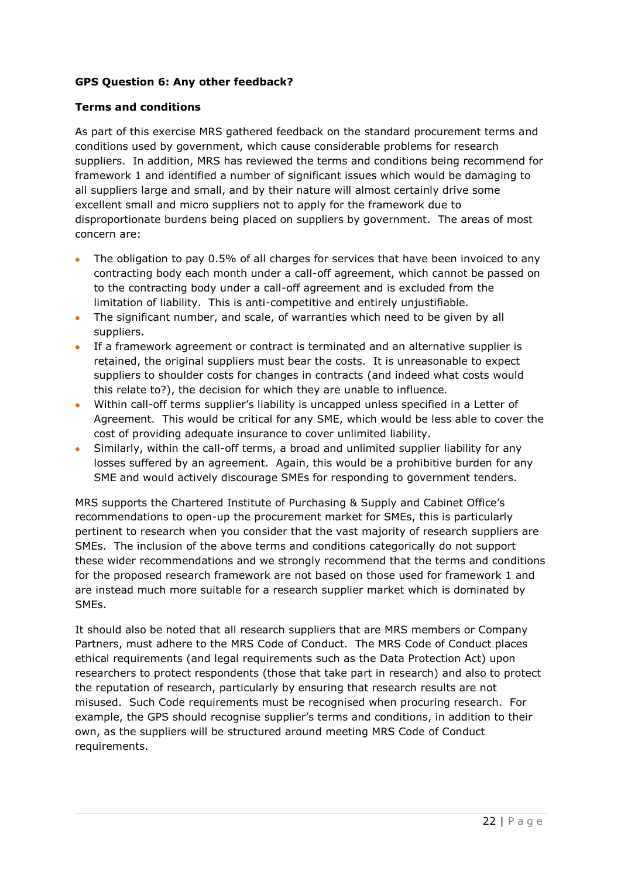## **GPS Question 6: Any other feedback?**

## **Terms and conditions**

As part of this exercise MRS gathered feedback on the standard procurement terms and conditions used by government, which cause considerable problems for research suppliers. In addition, MRS has reviewed the terms and conditions being recommend for framework 1 and identified a number of significant issues which would be damaging to all suppliers large and small, and by their nature will almost certainly drive some excellent small and micro suppliers not to apply for the framework due to disproportionate burdens being placed on suppliers by government. The areas of most concern are:

- The obligation to pay 0.5% of all charges for services that have been invoiced to any contracting body each month under a call-off agreement, which cannot be passed on to the contracting body under a call-off agreement and is excluded from the limitation of liability. This is anti-competitive and entirely unjustifiable.
- The significant number, and scale, of warranties which need to be given by all suppliers.
- If a framework agreement or contract is terminated and an alternative supplier is retained, the original suppliers must bear the costs. It is unreasonable to expect suppliers to shoulder costs for changes in contracts (and indeed what costs would this relate to?), the decision for which they are unable to influence.
- Within call-off terms supplier's liability is uncapped unless specified in a Letter of Agreement. This would be critical for any SME, which would be less able to cover the cost of providing adequate insurance to cover unlimited liability.
- Similarly, within the call-off terms, a broad and unlimited supplier liability for any  $\bullet$ losses suffered by an agreement. Again, this would be a prohibitive burden for any SME and would actively discourage SMEs for responding to government tenders.

MRS supports the Chartered Institute of Purchasing & Supply and Cabinet Office's recommendations to open-up the procurement market for SMEs, this is particularly pertinent to research when you consider that the vast majority of research suppliers are SMEs. The inclusion of the above terms and conditions categorically do not support these wider recommendations and we strongly recommend that the terms and conditions for the proposed research framework are not based on those used for framework 1 and are instead much more suitable for a research supplier market which is dominated by SMEs.

It should also be noted that all research suppliers that are MRS members or Company Partners, must adhere to the MRS Code of Conduct. The MRS Code of Conduct places ethical requirements (and legal requirements such as the Data Protection Act) upon researchers to protect respondents (those that take part in research) and also to protect the reputation of research, particularly by ensuring that research results are not misused. Such Code requirements must be recognised when procuring research. For example, the GPS should recognise supplier's terms and conditions, in addition to their own, as the suppliers will be structured around meeting MRS Code of Conduct requirements.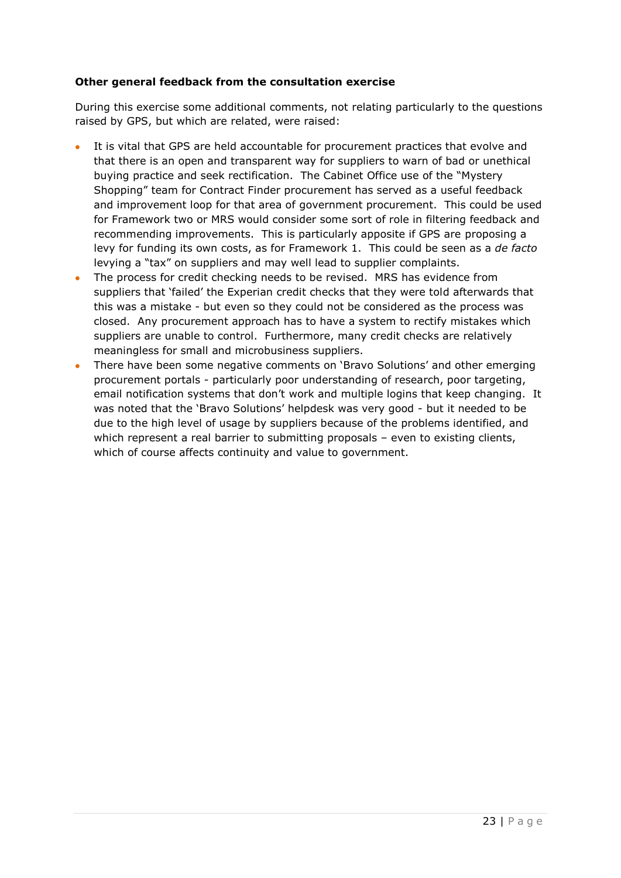## **Other general feedback from the consultation exercise**

During this exercise some additional comments, not relating particularly to the questions raised by GPS, but which are related, were raised:

- It is vital that GPS are held accountable for procurement practices that evolve and  $\bullet$ that there is an open and transparent way for suppliers to warn of bad or unethical buying practice and seek rectification. The Cabinet Office use of the "Mystery Shopping" team for Contract Finder procurement has served as a useful feedback and improvement loop for that area of government procurement. This could be used for Framework two or MRS would consider some sort of role in filtering feedback and recommending improvements. This is particularly apposite if GPS are proposing a levy for funding its own costs, as for Framework 1. This could be seen as a *de facto*  levying a "tax" on suppliers and may well lead to supplier complaints.
- The process for credit checking needs to be revised. MRS has evidence from suppliers that 'failed' the Experian credit checks that they were told afterwards that this was a mistake - but even so they could not be considered as the process was closed. Any procurement approach has to have a system to rectify mistakes which suppliers are unable to control. Furthermore, many credit checks are relatively meaningless for small and microbusiness suppliers.
- There have been some negative comments on 'Bravo Solutions' and other emerging procurement portals - particularly poor understanding of research, poor targeting, email notification systems that don't work and multiple logins that keep changing. It was noted that the 'Bravo Solutions' helpdesk was very good - but it needed to be due to the high level of usage by suppliers because of the problems identified, and which represent a real barrier to submitting proposals – even to existing clients, which of course affects continuity and value to government.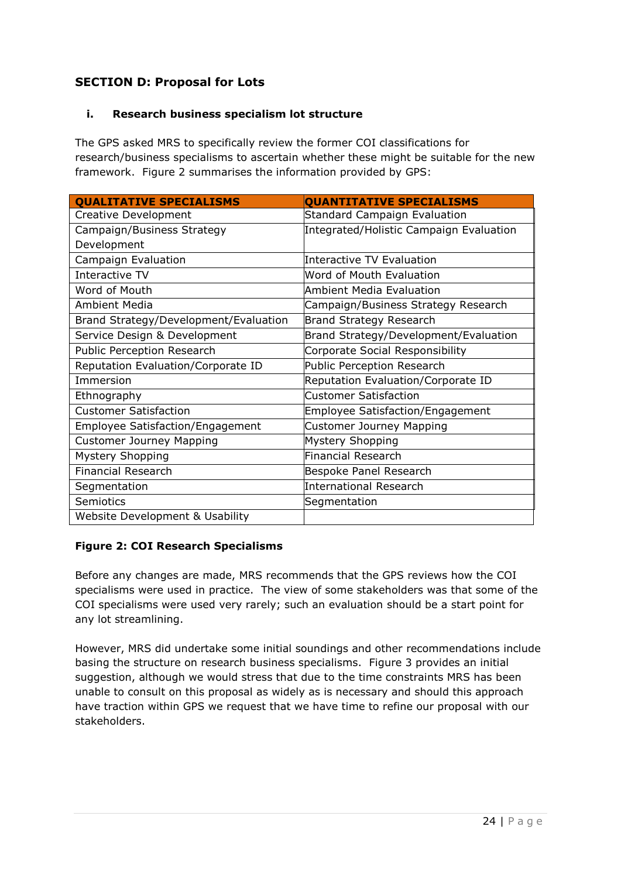## **SECTION D: Proposal for Lots**

## **i. Research business specialism lot structure**

The GPS asked MRS to specifically review the former COI classifications for research/business specialisms to ascertain whether these might be suitable for the new framework. Figure 2 summarises the information provided by GPS:

| <b>QUALITATIVE SPECIALISMS</b>          | <b>QUANTITATIVE SPECIALISMS</b>         |
|-----------------------------------------|-----------------------------------------|
| <b>Creative Development</b>             | <b>Standard Campaign Evaluation</b>     |
| Campaign/Business Strategy              | Integrated/Holistic Campaign Evaluation |
| Development                             |                                         |
| Campaign Evaluation                     | <b>Interactive TV Evaluation</b>        |
| Interactive TV                          | Word of Mouth Evaluation                |
| Word of Mouth                           | <b>Ambient Media Evaluation</b>         |
| <b>Ambient Media</b>                    | Campaign/Business Strategy Research     |
| Brand Strategy/Development/Evaluation   | Brand Strategy Research                 |
| Service Design & Development            | Brand Strategy/Development/Evaluation   |
| <b>Public Perception Research</b>       | Corporate Social Responsibility         |
| Reputation Evaluation/Corporate ID      | Public Perception Research              |
| Immersion                               | Reputation Evaluation/Corporate ID      |
| Ethnography                             | <b>Customer Satisfaction</b>            |
| <b>Customer Satisfaction</b>            | <b>Employee Satisfaction/Engagement</b> |
| <b>Employee Satisfaction/Engagement</b> | Customer Journey Mapping                |
| <b>Customer Journey Mapping</b>         | Mystery Shopping                        |
| <b>Mystery Shopping</b>                 | <b>Financial Research</b>               |
| <b>Financial Research</b>               | Bespoke Panel Research                  |
| Segmentation                            | <b>International Research</b>           |
| Semiotics                               | Segmentation                            |
| Website Development & Usability         |                                         |

## **Figure 2: COI Research Specialisms**

Before any changes are made, MRS recommends that the GPS reviews how the COI specialisms were used in practice. The view of some stakeholders was that some of the COI specialisms were used very rarely; such an evaluation should be a start point for any lot streamlining.

However, MRS did undertake some initial soundings and other recommendations include basing the structure on research business specialisms. Figure 3 provides an initial suggestion, although we would stress that due to the time constraints MRS has been unable to consult on this proposal as widely as is necessary and should this approach have traction within GPS we request that we have time to refine our proposal with our stakeholders.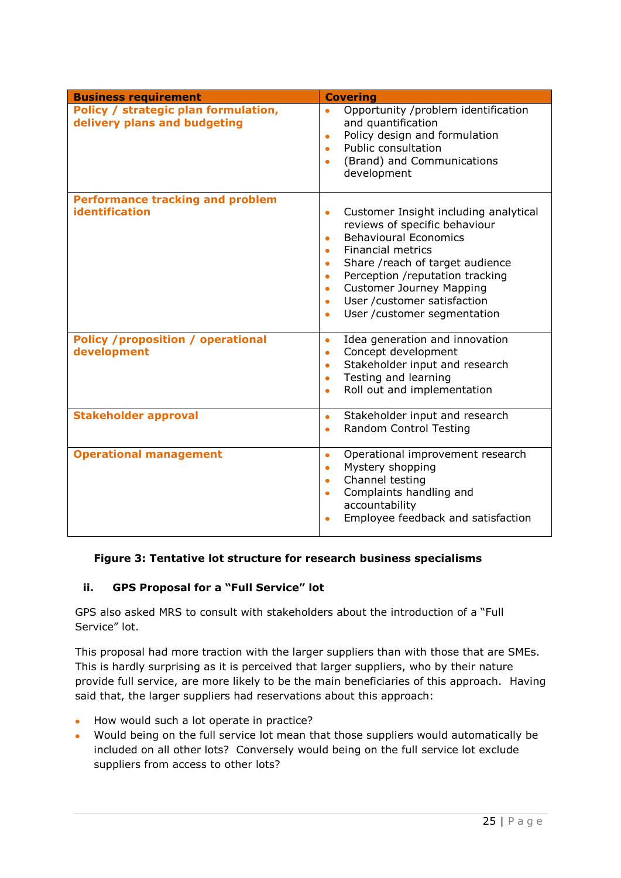| <b>Business requirement</b>                                          | <b>Covering</b>                                                                                                                                                                                                                                                                                                                                                                                                     |
|----------------------------------------------------------------------|---------------------------------------------------------------------------------------------------------------------------------------------------------------------------------------------------------------------------------------------------------------------------------------------------------------------------------------------------------------------------------------------------------------------|
| Policy / strategic plan formulation,<br>delivery plans and budgeting | Opportunity /problem identification<br>$\bullet$<br>and quantification<br>Policy design and formulation<br>$\bullet$<br>Public consultation<br>$\bullet$<br>(Brand) and Communications<br>$\bullet$<br>development                                                                                                                                                                                                  |
| <b>Performance tracking and problem</b><br><b>identification</b>     | Customer Insight including analytical<br>$\bullet$<br>reviews of specific behaviour<br><b>Behavioural Economics</b><br>$\bullet$<br><b>Financial metrics</b><br>$\bullet$<br>Share /reach of target audience<br>$\bullet$<br>Perception /reputation tracking<br>$\bullet$<br><b>Customer Journey Mapping</b><br>$\bullet$<br>User / customer satisfaction<br>$\bullet$<br>User / customer segmentation<br>$\bullet$ |
| <b>Policy /proposition / operational</b><br>development              | Idea generation and innovation<br>$\bullet$<br>Concept development<br>$\bullet$<br>Stakeholder input and research<br>$\bullet$<br>Testing and learning<br>$\bullet$<br>Roll out and implementation<br>$\bullet$                                                                                                                                                                                                     |
| <b>Stakeholder approval</b>                                          | Stakeholder input and research<br>$\bullet$<br>Random Control Testing<br>$\bullet$                                                                                                                                                                                                                                                                                                                                  |
| <b>Operational management</b>                                        | Operational improvement research<br>$\bullet$<br>Mystery shopping<br>$\bullet$<br>Channel testing<br>$\bullet$<br>Complaints handling and<br>$\bullet$<br>accountability<br>Employee feedback and satisfaction<br>$\bullet$                                                                                                                                                                                         |

## **Figure 3: Tentative lot structure for research business specialisms**

## **ii. GPS Proposal for a "Full Service" lot**

GPS also asked MRS to consult with stakeholders about the introduction of a "Full Service" lot.

This proposal had more traction with the larger suppliers than with those that are SMEs. This is hardly surprising as it is perceived that larger suppliers, who by their nature provide full service, are more likely to be the main beneficiaries of this approach. Having said that, the larger suppliers had reservations about this approach:

- $\bullet$  . How would such a lot operate in practice?
- Would being on the full service lot mean that those suppliers would automatically be included on all other lots? Conversely would being on the full service lot exclude suppliers from access to other lots?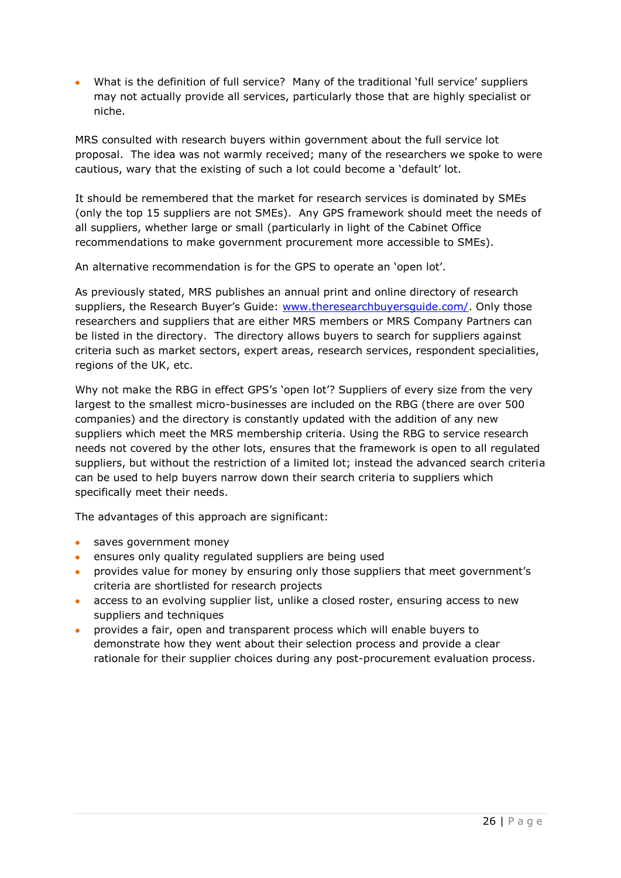What is the definition of full service? Many of the traditional 'full service' suppliers may not actually provide all services, particularly those that are highly specialist or niche.

MRS consulted with research buyers within government about the full service lot proposal. The idea was not warmly received; many of the researchers we spoke to were cautious, wary that the existing of such a lot could become a 'default' lot.

It should be remembered that the market for research services is dominated by SMEs (only the top 15 suppliers are not SMEs). Any GPS framework should meet the needs of all suppliers, whether large or small (particularly in light of the Cabinet Office recommendations to make government procurement more accessible to SMEs).

An alternative recommendation is for the GPS to operate an 'open lot'.

As previously stated, MRS publishes an annual print and online directory of research suppliers, the Research Buyer's Guide: [www.theresearchbuyersguide.com/.](http://www.theresearchbuyersguide.com/) Only those researchers and suppliers that are either MRS members or MRS Company Partners can be listed in the directory. The directory allows buyers to search for suppliers against criteria such as market sectors, expert areas, research services, respondent specialities, regions of the UK, etc.

Why not make the RBG in effect GPS's 'open lot'? Suppliers of every size from the very largest to the smallest micro-businesses are included on the RBG (there are over 500 companies) and the directory is constantly updated with the addition of any new suppliers which meet the MRS membership criteria. Using the RBG to service research needs not covered by the other lots, ensures that the framework is open to all regulated suppliers, but without the restriction of a limited lot; instead the advanced search criteria can be used to help buyers narrow down their search criteria to suppliers which specifically meet their needs.

The advantages of this approach are significant:

- **saves government money**
- ensures only quality regulated suppliers are being used
- provides value for money by ensuring only those suppliers that meet government's criteria are shortlisted for research projects
- access to an evolving supplier list, unlike a closed roster, ensuring access to new suppliers and techniques
- provides a fair, open and transparent process which will enable buyers to demonstrate how they went about their selection process and provide a clear rationale for their supplier choices during any post-procurement evaluation process.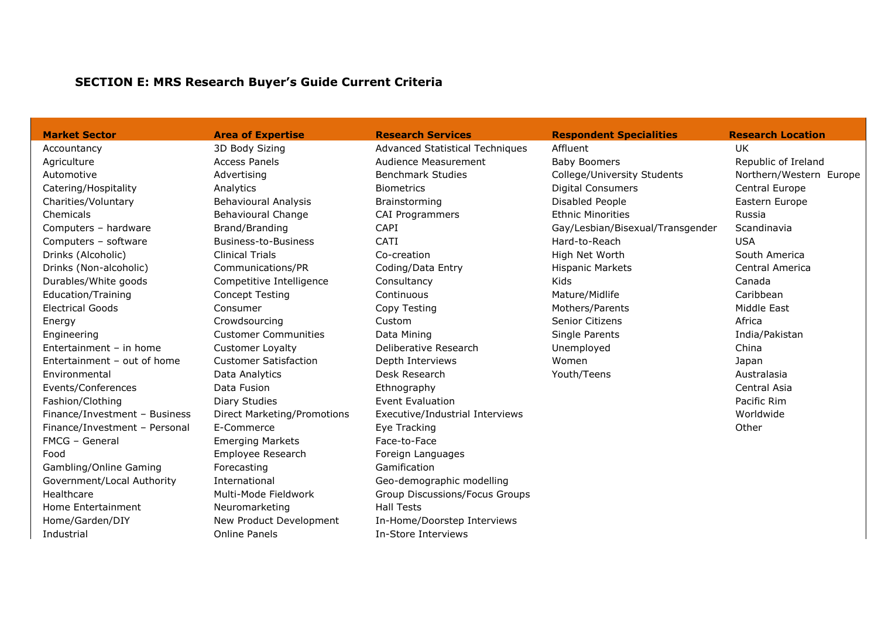## **SECTION E: MRS Research Buyer's Guide Current Criteria**

| <b>Market Sector</b>          | <b>Area of Expertise</b>     | <b>Research Services</b>               | <b>Respondent Specialities</b>   | <b>Research Location</b> |
|-------------------------------|------------------------------|----------------------------------------|----------------------------------|--------------------------|
| Accountancy                   | 3D Body Sizing               | <b>Advanced Statistical Techniques</b> | Affluent                         | <b>UK</b>                |
| Agriculture                   | <b>Access Panels</b>         | Audience Measurement                   | <b>Baby Boomers</b>              | Republic of Ireland      |
| Automotive                    | Advertising                  | <b>Benchmark Studies</b>               | College/University Students      | Northern/Western Europe  |
| Catering/Hospitality          | Analytics                    | <b>Biometrics</b>                      | Digital Consumers                | Central Europe           |
| Charities/Voluntary           | <b>Behavioural Analysis</b>  | Brainstorming                          | Disabled People                  | Eastern Europe           |
| Chemicals                     | Behavioural Change           | <b>CAI Programmers</b>                 | <b>Ethnic Minorities</b>         | Russia                   |
| Computers - hardware          | Brand/Branding               | CAPI                                   | Gay/Lesbian/Bisexual/Transgender | Scandinavia              |
| Computers - software          | <b>Business-to-Business</b>  | CATI                                   | Hard-to-Reach                    | <b>USA</b>               |
| Drinks (Alcoholic)            | <b>Clinical Trials</b>       | Co-creation                            | High Net Worth                   | South America            |
| Drinks (Non-alcoholic)        | Communications/PR            | Coding/Data Entry                      | <b>Hispanic Markets</b>          | Central America          |
| Durables/White goods          | Competitive Intelligence     | Consultancy                            | Kids                             | Canada                   |
| Education/Training            | <b>Concept Testing</b>       | Continuous                             | Mature/Midlife                   | Caribbean                |
| <b>Electrical Goods</b>       | Consumer                     | Copy Testing                           | Mothers/Parents                  | Middle East              |
| Energy                        | Crowdsourcing                | Custom                                 | <b>Senior Citizens</b>           | Africa                   |
| Engineering                   | <b>Customer Communities</b>  | Data Mining                            | Single Parents                   | India/Pakistan           |
| Entertainment - in home       | Customer Loyalty             | Deliberative Research                  | Unemployed                       | China                    |
| Entertainment - out of home   | <b>Customer Satisfaction</b> | Depth Interviews                       | Women                            | Japan                    |
| Environmental                 | Data Analytics               | Desk Research                          | Youth/Teens                      | Australasia              |
| Events/Conferences            | Data Fusion                  | Ethnography                            |                                  | Central Asia             |
| Fashion/Clothing              | Diary Studies                | <b>Event Evaluation</b>                |                                  | Pacific Rim              |
| Finance/Investment - Business | Direct Marketing/Promotions  | Executive/Industrial Interviews        |                                  | Worldwide                |
| Finance/Investment - Personal | E-Commerce                   | Eye Tracking                           |                                  | Other                    |
| FMCG - General                | <b>Emerging Markets</b>      | Face-to-Face                           |                                  |                          |
| Food                          | Employee Research            | Foreign Languages                      |                                  |                          |
| Gambling/Online Gaming        | Forecasting                  | Gamification                           |                                  |                          |
| Government/Local Authority    | International                | Geo-demographic modelling              |                                  |                          |
| Healthcare                    | Multi-Mode Fieldwork         | Group Discussions/Focus Groups         |                                  |                          |
| Home Entertainment            | Neuromarketing               | <b>Hall Tests</b>                      |                                  |                          |
| Home/Garden/DIY               | New Product Development      | In-Home/Doorstep Interviews            |                                  |                          |
| Industrial                    | Online Panels                | In-Store Interviews                    |                                  |                          |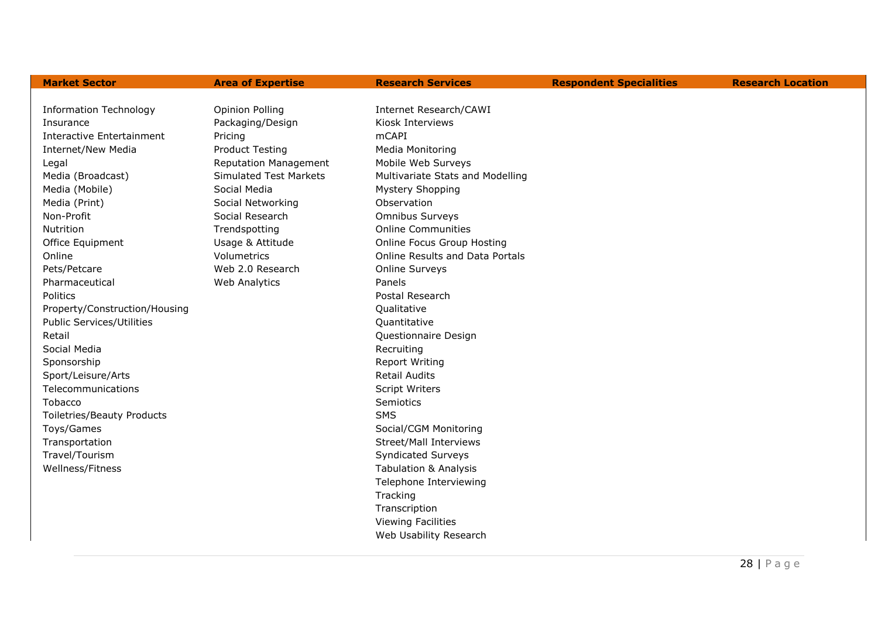| <b>Market Sector</b>                       | <b>Area of Expertise</b>                   | <b>Research Services</b>                   | <b>Respondent Specialities</b> | <b>Research Location</b> |
|--------------------------------------------|--------------------------------------------|--------------------------------------------|--------------------------------|--------------------------|
|                                            |                                            |                                            |                                |                          |
| <b>Information Technology</b><br>Insurance | <b>Opinion Polling</b><br>Packaging/Design | Internet Research/CAWI<br>Kiosk Interviews |                                |                          |
|                                            |                                            |                                            |                                |                          |
| <b>Interactive Entertainment</b>           | Pricing                                    | <b>mCAPI</b>                               |                                |                          |
| Internet/New Media                         | <b>Product Testing</b>                     | <b>Media Monitoring</b>                    |                                |                          |
| Legal                                      | <b>Reputation Management</b>               | Mobile Web Surveys                         |                                |                          |
| Media (Broadcast)                          | <b>Simulated Test Markets</b>              | Multivariate Stats and Modelling           |                                |                          |
| Media (Mobile)                             | Social Media                               | <b>Mystery Shopping</b>                    |                                |                          |
| Media (Print)                              | Social Networking                          | Observation                                |                                |                          |
| Non-Profit                                 | Social Research                            | Omnibus Surveys                            |                                |                          |
| Nutrition                                  | Trendspotting                              | <b>Online Communities</b>                  |                                |                          |
| Office Equipment                           | Usage & Attitude                           | Online Focus Group Hosting                 |                                |                          |
| Online                                     | Volumetrics                                | Online Results and Data Portals            |                                |                          |
| Pets/Petcare                               | Web 2.0 Research                           | Online Surveys                             |                                |                          |
| Pharmaceutical                             | <b>Web Analytics</b>                       | Panels                                     |                                |                          |
| Politics                                   |                                            | Postal Research                            |                                |                          |
| Property/Construction/Housing              |                                            | Qualitative                                |                                |                          |
| Public Services/Utilities                  |                                            | Quantitative                               |                                |                          |
| Retail                                     |                                            | Questionnaire Design                       |                                |                          |
| Social Media                               |                                            | Recruiting                                 |                                |                          |
| Sponsorship                                |                                            | <b>Report Writing</b>                      |                                |                          |
| Sport/Leisure/Arts                         |                                            | <b>Retail Audits</b>                       |                                |                          |
| Telecommunications                         |                                            | <b>Script Writers</b>                      |                                |                          |
| Tobacco                                    |                                            | Semiotics                                  |                                |                          |
| Toiletries/Beauty Products                 |                                            | <b>SMS</b>                                 |                                |                          |
| Toys/Games                                 |                                            | Social/CGM Monitoring                      |                                |                          |
| Transportation                             |                                            | Street/Mall Interviews                     |                                |                          |
| Travel/Tourism                             |                                            | Syndicated Surveys                         |                                |                          |
| Wellness/Fitness                           |                                            | <b>Tabulation &amp; Analysis</b>           |                                |                          |
|                                            |                                            | Telephone Interviewing                     |                                |                          |
|                                            |                                            | Tracking                                   |                                |                          |
|                                            |                                            | Transcription                              |                                |                          |
|                                            |                                            | <b>Viewing Facilities</b>                  |                                |                          |
|                                            |                                            | Web Usability Research                     |                                |                          |
|                                            |                                            |                                            |                                |                          |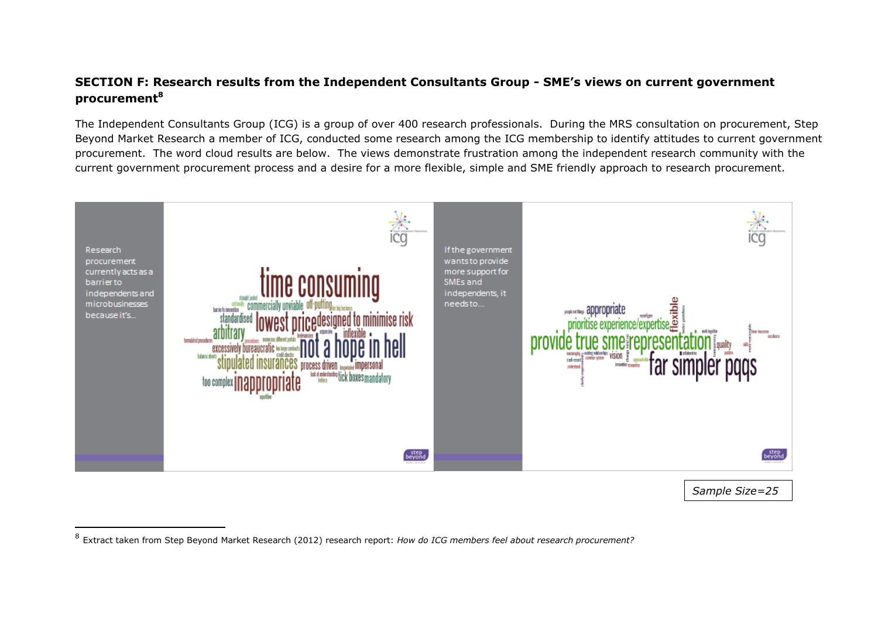## **SECTION F: Research results from the Independent Consultants Group - SME's views on current government procurement<sup>8</sup>**

The Independent Consultants Group (ICG) is a group of over 400 research professionals. During the MRS consultation on procurement, Step Beyond Market Research a member of ICG, conducted some research among the ICG membership to identify attitudes to current government procurement. The word cloud results are below. The views demonstrate frustration among the independent research community with the current government procurement process and a desire for a more flexible, simple and SME friendly approach to research procurement.



*Sample Size=25*

 $\overline{a}$ 

<sup>8</sup> Extract taken from Step Beyond Market Research (2012) research report: *How do ICG members feel about research procurement?*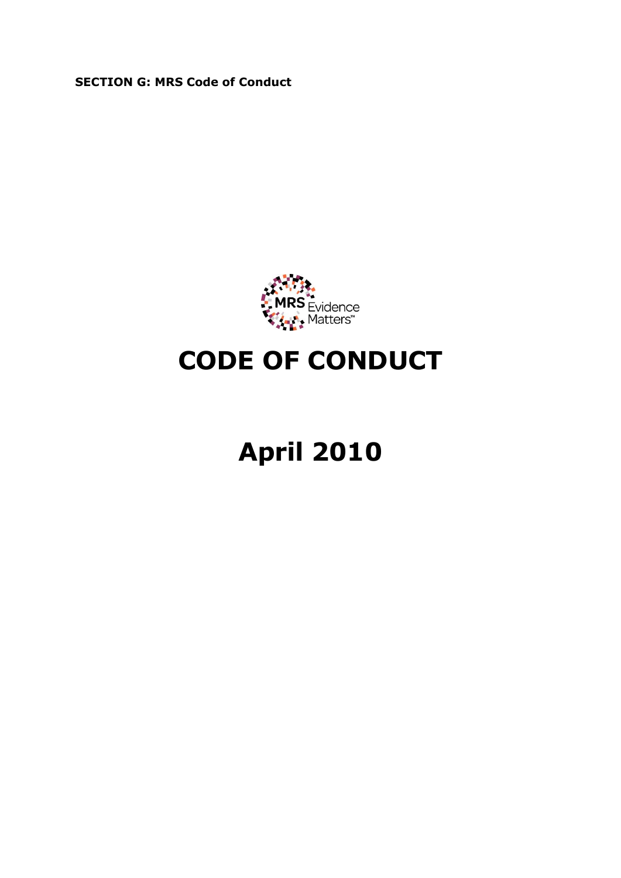**SECTION G: MRS Code of Conduct**



## **CODE OF CONDUCT**

# **April 2010**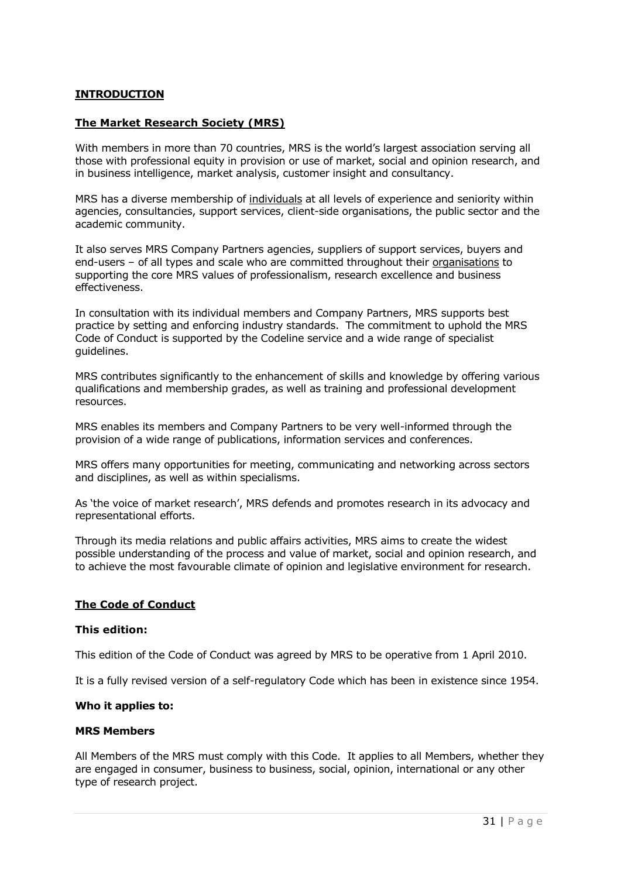#### **INTRODUCTION**

#### **The Market Research Society (MRS)**

With members in more than 70 countries, MRS is the world's largest association serving all those with professional equity in provision or use of market, social and opinion research, and in business intelligence, market analysis, customer insight and consultancy.

MRS has a diverse membership of individuals at all levels of experience and seniority within agencies, consultancies, support services, client-side organisations, the public sector and the academic community.

It also serves MRS Company Partners agencies, suppliers of support services, buyers and end-users – of all types and scale who are committed throughout their organisations to supporting the core MRS values of professionalism, research excellence and business effectiveness.

In consultation with its individual members and Company Partners, MRS supports best practice by setting and enforcing industry standards. The commitment to uphold the MRS Code of Conduct is supported by the Codeline service and a wide range of specialist guidelines.

MRS contributes significantly to the enhancement of skills and knowledge by offering various qualifications and membership grades, as well as training and professional development resources.

MRS enables its members and Company Partners to be very well-informed through the provision of a wide range of publications, information services and conferences.

MRS offers many opportunities for meeting, communicating and networking across sectors and disciplines, as well as within specialisms.

As 'the voice of market research', MRS defends and promotes research in its advocacy and representational efforts.

Through its media relations and public affairs activities, MRS aims to create the widest possible understanding of the process and value of market, social and opinion research, and to achieve the most favourable climate of opinion and legislative environment for research.

#### **The Code of Conduct**

#### **This edition:**

This edition of the Code of Conduct was agreed by MRS to be operative from 1 April 2010.

It is a fully revised version of a self-regulatory Code which has been in existence since 1954.

#### **Who it applies to:**

#### **MRS Members**

All Members of the MRS must comply with this Code. It applies to all Members, whether they are engaged in consumer, business to business, social, opinion, international or any other type of research project.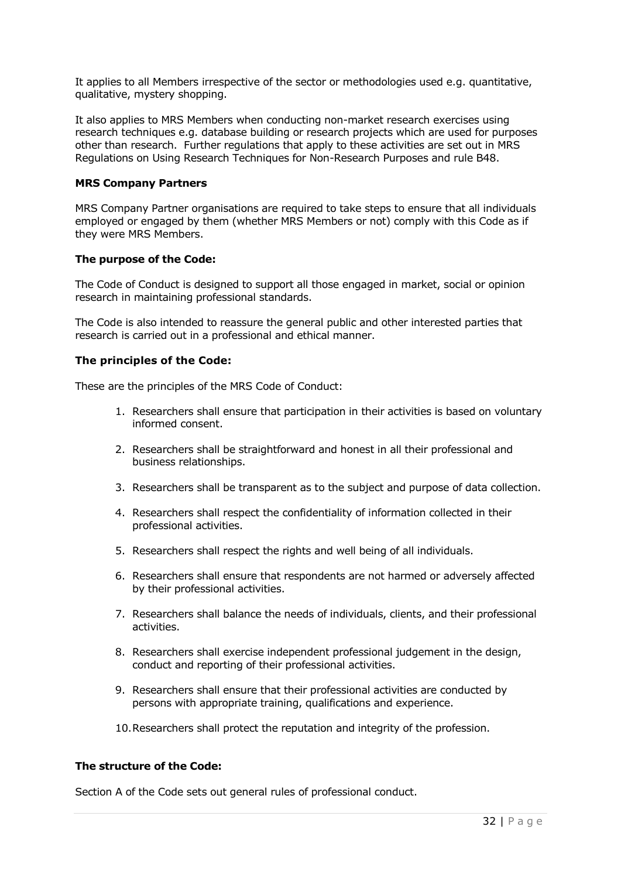It applies to all Members irrespective of the sector or methodologies used e.g. quantitative, qualitative, mystery shopping.

It also applies to MRS Members when conducting non-market research exercises using research techniques e.g. database building or research projects which are used for purposes other than research. Further regulations that apply to these activities are set out in MRS Regulations on Using Research Techniques for Non-Research Purposes and rule B48.

#### **MRS Company Partners**

MRS Company Partner organisations are required to take steps to ensure that all individuals employed or engaged by them (whether MRS Members or not) comply with this Code as if they were MRS Members.

#### **The purpose of the Code:**

The Code of Conduct is designed to support all those engaged in market, social or opinion research in maintaining professional standards.

The Code is also intended to reassure the general public and other interested parties that research is carried out in a professional and ethical manner.

#### **The principles of the Code:**

These are the principles of the MRS Code of Conduct:

- 1. Researchers shall ensure that participation in their activities is based on voluntary informed consent.
- 2. Researchers shall be straightforward and honest in all their professional and business relationships.
- 3. Researchers shall be transparent as to the subject and purpose of data collection.
- 4. Researchers shall respect the confidentiality of information collected in their professional activities.
- 5. Researchers shall respect the rights and well being of all individuals.
- 6. Researchers shall ensure that respondents are not harmed or adversely affected by their professional activities.
- 7. Researchers shall balance the needs of individuals, clients, and their professional activities.
- 8. Researchers shall exercise independent professional judgement in the design, conduct and reporting of their professional activities.
- 9. Researchers shall ensure that their professional activities are conducted by persons with appropriate training, qualifications and experience.
- 10.Researchers shall protect the reputation and integrity of the profession.

#### **The structure of the Code:**

Section A of the Code sets out general rules of professional conduct.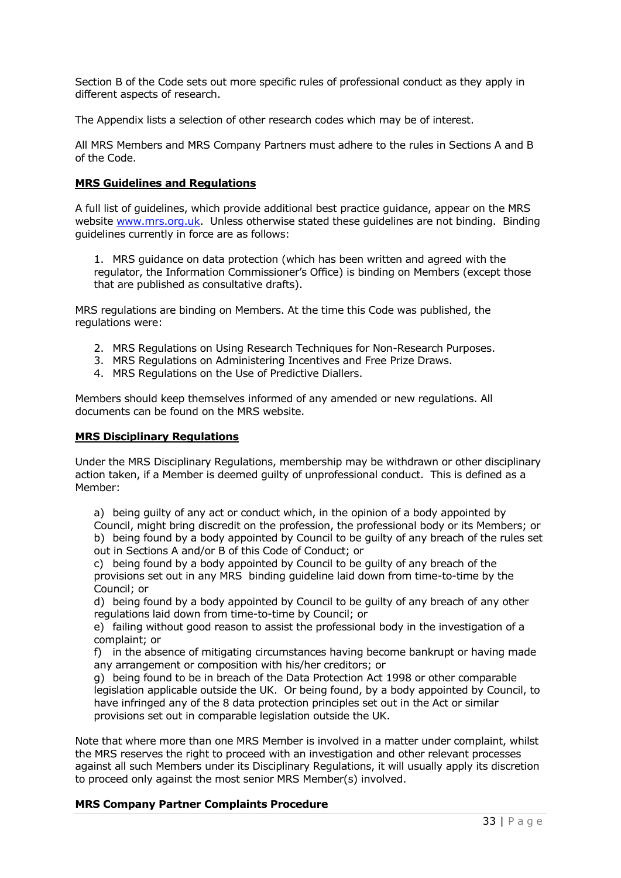Section B of the Code sets out more specific rules of professional conduct as they apply in different aspects of research.

The Appendix lists a selection of other research codes which may be of interest.

All MRS Members and MRS Company Partners must adhere to the rules in Sections A and B of the Code.

#### **MRS Guidelines and Regulations**

A full list of guidelines, which provide additional best practice guidance, appear on the MRS website [www.mrs.org.uk.](http://www.mrs.org.uk/) Unless otherwise stated these guidelines are not binding. Binding guidelines currently in force are as follows:

1. MRS guidance on data protection (which has been written and agreed with the regulator, the Information Commissioner's Office) is binding on Members (except those that are published as consultative drafts).

MRS regulations are binding on Members. At the time this Code was published, the regulations were:

- 2. MRS Regulations on Using Research Techniques for Non-Research Purposes.
- 3. MRS Regulations on Administering Incentives and Free Prize Draws.
- 4. MRS Regulations on the Use of Predictive Diallers.

Members should keep themselves informed of any amended or new regulations. All documents can be found on the MRS website.

#### **MRS Disciplinary Regulations**

Under the MRS Disciplinary Regulations, membership may be withdrawn or other disciplinary action taken, if a Member is deemed guilty of unprofessional conduct. This is defined as a Member:

a) being guilty of any act or conduct which, in the opinion of a body appointed by Council, might bring discredit on the profession, the professional body or its Members; or b) being found by a body appointed by Council to be guilty of any breach of the rules set out in Sections A and/or B of this Code of Conduct; or

c) being found by a body appointed by Council to be guilty of any breach of the provisions set out in any MRS binding guideline laid down from time-to-time by the Council; or

d) being found by a body appointed by Council to be guilty of any breach of any other regulations laid down from time-to-time by Council; or

e) failing without good reason to assist the professional body in the investigation of a complaint; or

f) in the absence of mitigating circumstances having become bankrupt or having made any arrangement or composition with his/her creditors; or

g) being found to be in breach of the Data Protection Act 1998 or other comparable legislation applicable outside the UK. Or being found, by a body appointed by Council, to have infringed any of the 8 data protection principles set out in the Act or similar provisions set out in comparable legislation outside the UK.

Note that where more than one MRS Member is involved in a matter under complaint, whilst the MRS reserves the right to proceed with an investigation and other relevant processes against all such Members under its Disciplinary Regulations, it will usually apply its discretion to proceed only against the most senior MRS Member(s) involved.

#### **MRS Company Partner Complaints Procedure**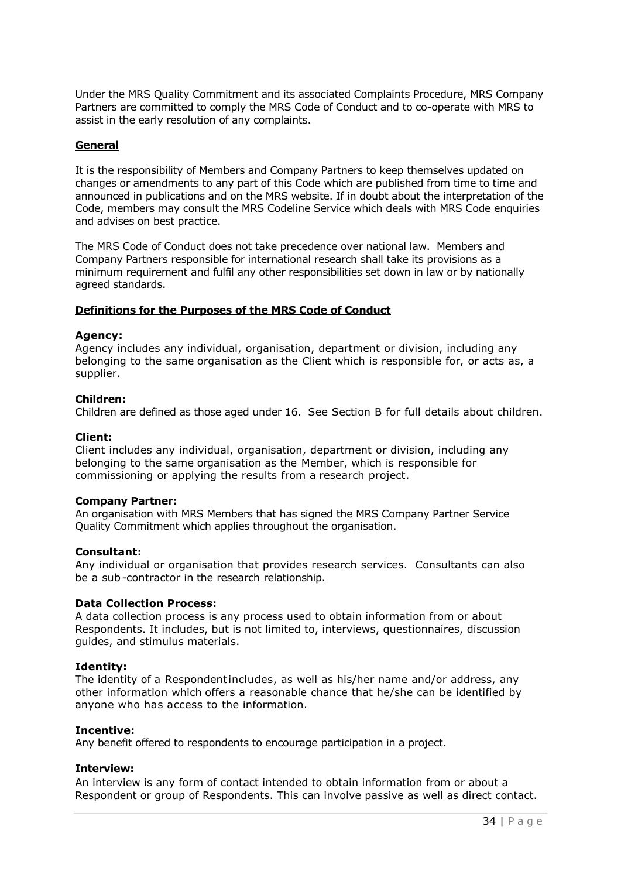Under the MRS Quality Commitment and its associated Complaints Procedure, MRS Company Partners are committed to comply the MRS Code of Conduct and to co-operate with MRS to assist in the early resolution of any complaints.

#### **General**

It is the responsibility of Members and Company Partners to keep themselves updated on changes or amendments to any part of this Code which are published from time to time and announced in publications and on the MRS website. If in doubt about the interpretation of the Code, members may consult the MRS Codeline Service which deals with MRS Code enquiries and advises on best practice.

The MRS Code of Conduct does not take precedence over national law. Members and Company Partners responsible for international research shall take its provisions as a minimum requirement and fulfil any other responsibilities set down in law or by nationally agreed standards.

#### **Definitions for the Purposes of the MRS Code of Conduct**

#### **Agency:**

Agency includes any individual, organisation, department or division, including any belonging to the same organisation as the Client which is responsible for, or acts as, a supplier.

#### **Children:**

Children are defined as those aged under 16. See Section B for full details about children.

#### **Client:**

Client includes any individual, organisation, department or division, including any belonging to the same organisation as the Member, which is responsible for commissioning or applying the results from a research project.

#### **Company Partner:**

An organisation with MRS Members that has signed the MRS Company Partner Service Quality Commitment which applies throughout the organisation.

#### **Consultant:**

Any individual or organisation that provides research services. Consultants can also be a sub-contractor in the research relationship.

#### **Data Collection Process:**

A data collection process is any process used to obtain information from or about Respondents. It includes, but is not limited to, interviews, questionnaires, discussion guides, and stimulus materials.

#### **Identity:**

The identity of a Respondentincludes, as well as his/her name and/or address, any other information which offers a reasonable chance that he/she can be identified by anyone who has access to the information.

#### **Incentive:**

Any benefit offered to respondents to encourage participation in a project.

#### **Interview:**

An interview is any form of contact intended to obtain information from or about a Respondent or group of Respondents. This can involve passive as well as direct contact.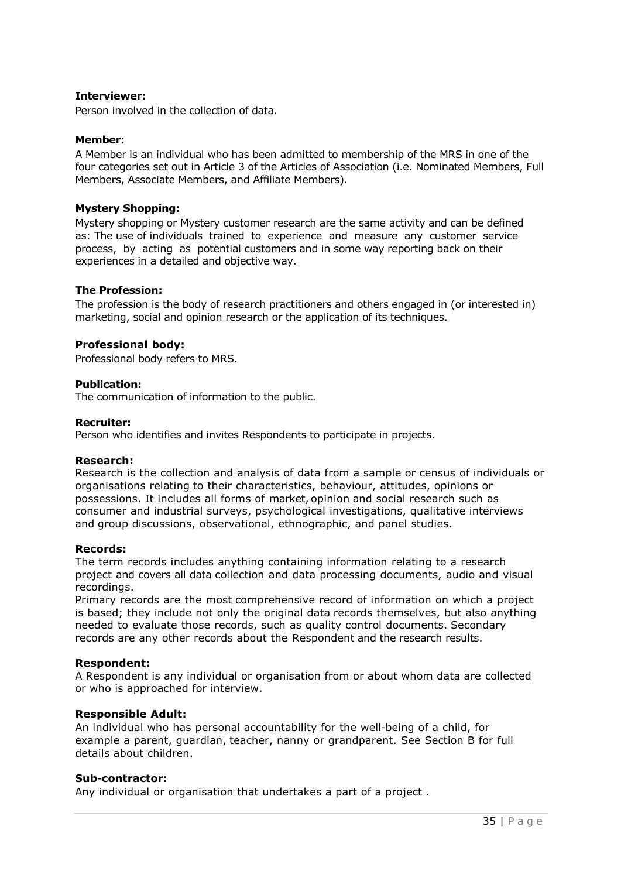#### **Interviewer:**

Person involved in the collection of data.

#### **Member**:

A Member is an individual who has been admitted to membership of the MRS in one of the four categories set out in Article 3 of the Articles of Association (i.e. Nominated Members, Full Members, Associate Members, and Affiliate Members).

#### **Mystery Shopping:**

Mystery shopping or Mystery customer research are the same activity and can be defined as: The use of individuals trained to experience and measure any customer service process, by acting as potential customers and in some way reporting back on their experiences in a detailed and objective way.

#### **The Profession:**

The profession is the body of research practitioners and others engaged in (or interested in) marketing, social and opinion research or the application of its techniques.

#### **Professional body:**

Professional body refers to MRS.

#### **Publication:**

The communication of information to the public.

#### **Recruiter:**

Person who identifies and invites Respondents to participate in projects.

#### **Research:**

Research is the collection and analysis of data from a sample or census of individuals or organisations relating to their characteristics, behaviour, attitudes, opinions or possessions. It includes all forms of market, opinion and social research such as consumer and industrial surveys, psychological investigations, qualitative interviews and group discussions, observational, ethnographic, and panel studies.

#### **Records:**

The term records includes anything containing information relating to a research project and covers all data collection and data processing documents, audio and visual recordings.

Primary records are the most comprehensive record of information on which a project is based; they include not only the original data records themselves, but also anything needed to evaluate those records, such as quality control documents. Secondary records are any other records about the Respondent and the research results.

#### **Respondent:**

A Respondent is any individual or organisation from or about whom data are collected or who is approached for interview.

#### **Responsible Adult:**

An individual who has personal accountability for the well-being of a child, for example a parent, guardian, teacher, nanny or grandparent. See Section B for full details about children.

#### **Sub-contractor:**

Any individual or organisation that undertakes a part of a project .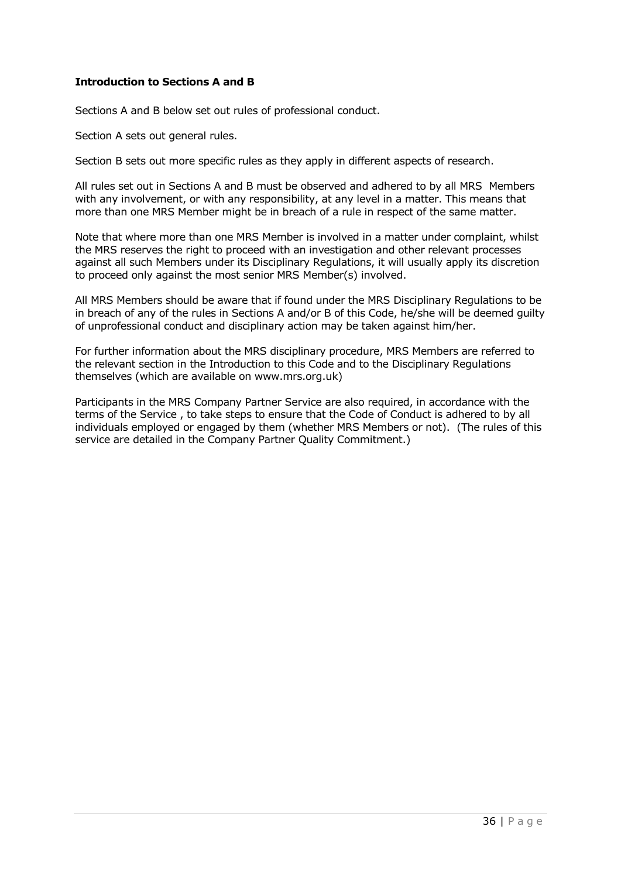#### **Introduction to Sections A and B**

Sections A and B below set out rules of professional conduct.

Section A sets out general rules.

Section B sets out more specific rules as they apply in different aspects of research.

All rules set out in Sections A and B must be observed and adhered to by all MRS Members with any involvement, or with any responsibility, at any level in a matter. This means that more than one MRS Member might be in breach of a rule in respect of the same matter.

Note that where more than one MRS Member is involved in a matter under complaint, whilst the MRS reserves the right to proceed with an investigation and other relevant processes against all such Members under its Disciplinary Regulations, it will usually apply its discretion to proceed only against the most senior MRS Member(s) involved.

All MRS Members should be aware that if found under the MRS Disciplinary Regulations to be in breach of any of the rules in Sections A and/or B of this Code, he/she will be deemed guilty of unprofessional conduct and disciplinary action may be taken against him/her.

For further information about the MRS disciplinary procedure, MRS Members are referred to the relevant section in the Introduction to this Code and to the Disciplinary Regulations themselves (which are available on www.mrs.org.uk)

Participants in the MRS Company Partner Service are also required, in accordance with the terms of the Service , to take steps to ensure that the Code of Conduct is adhered to by all individuals employed or engaged by them (whether MRS Members or not). (The rules of this service are detailed in the Company Partner Quality Commitment.)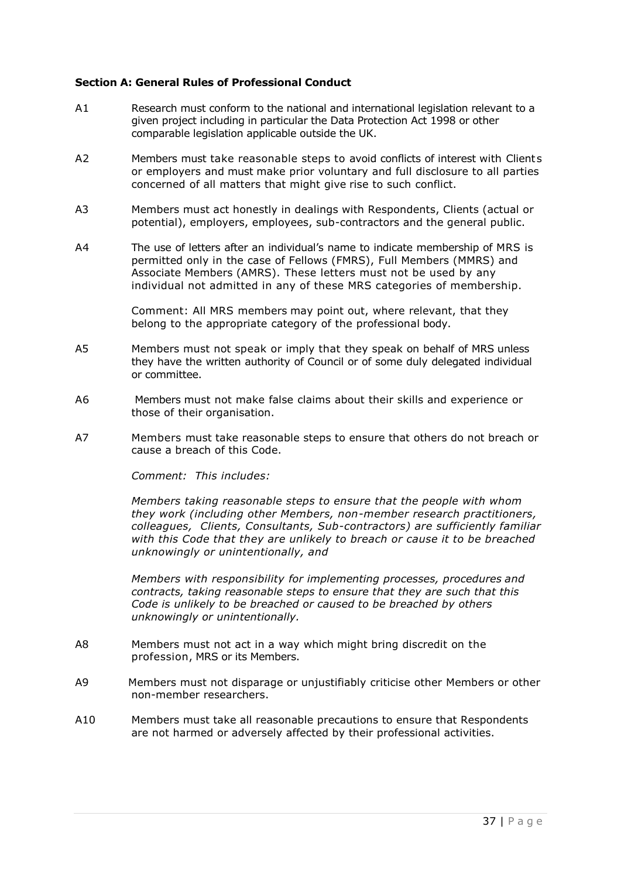#### **Section A: General Rules of Professional Conduct**

- A1 Research must conform to the national and international legislation relevant to a given project including in particular the Data Protection Act 1998 or other comparable legislation applicable outside the UK.
- A2 Members must take reasonable steps to avoid conflicts of interest with Clients or employers and must make prior voluntary and full disclosure to all parties concerned of all matters that might give rise to such conflict.
- A3 Members must act honestly in dealings with Respondents, Clients (actual or potential), employers, employees, sub-contractors and the general public.
- A4 The use of letters after an individual's name to indicate membership of MRS is permitted only in the case of Fellows (FMRS), Full Members (MMRS) and Associate Members (AMRS). These letters must not be used by any individual not admitted in any of these MRS categories of membership.

Comment: All MRS members may point out, where relevant, that they belong to the appropriate category of the professional body.

- A5 Members must not speak or imply that they speak on behalf of MRS unless they have the written authority of Council or of some duly delegated individual or committee.
- A6 Members must not make false claims about their skills and experience or those of their organisation.
- A7 Members must take reasonable steps to ensure that others do not breach or cause a breach of this Code.

*Comment: This includes:*

*Members taking reasonable steps to ensure that the people with whom they work (including other Members, non-member research practitioners, colleagues, Clients, Consultants, Sub-contractors) are sufficiently familiar with this Code that they are unlikely to breach or cause it to be breached unknowingly or unintentionally, and*

*Members with responsibility for implementing processes, procedures and contracts, taking reasonable steps to ensure that they are such that this Code is unlikely to be breached or caused to be breached by others unknowingly or unintentionally.*

- A8 Members must not act in a way which might bring discredit on the profession, MRS or its Members.
- A9 Members must not disparage or unjustifiably criticise other Members or other non-member researchers.
- A10 Members must take all reasonable precautions to ensure that Respondents are not harmed or adversely affected by their professional activities.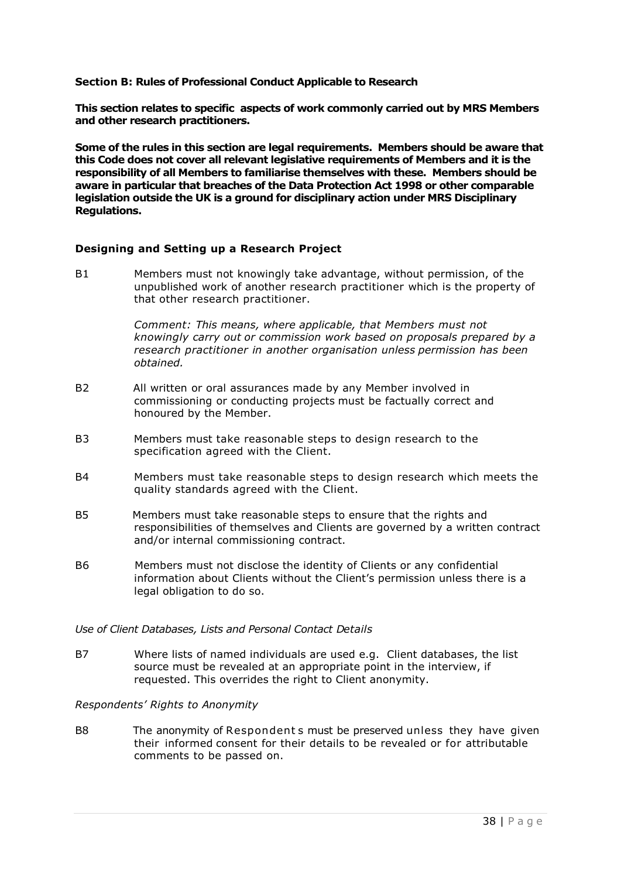#### **Section B: Rules of Professional Conduct Applicable to Research**

**This section relates to specific aspects of work commonly carried out by MRS Members and other research practitioners.**

**Some of the rules in this section are legal requirements. Members should be aware that this Code does not cover all relevant legislative requirements of Members and it is the responsibility of all Members to familiarise themselves with these. Members should be aware in particular that breaches of the Data Protection Act 1998 or other comparable legislation outside the UK is a ground for disciplinary action under MRS Disciplinary Regulations.**

#### **Designing and Setting up a Research Project**

B1 Members must not knowingly take advantage, without permission, of the unpublished work of another research practitioner which is the property of that other research practitioner.

> *Comment: This means, where applicable, that Members must not knowingly carry out or commission work based on proposals prepared by a research practitioner in another organisation unless permission has been obtained.*

- B2 All written or oral assurances made by any Member involved in commissioning or conducting projects must be factually correct and honoured by the Member.
- B3 Members must take reasonable steps to design research to the specification agreed with the Client.
- B4 Members must take reasonable steps to design research which meets the quality standards agreed with the Client.
- B5 Members must take reasonable steps to ensure that the rights and responsibilities of themselves and Clients are governed by a written contract and/or internal commissioning contract.
- B6 Members must not disclose the identity of Clients or any confidential information about Clients without the Client's permission unless there is a legal obligation to do so.

#### *Use of Client Databases, Lists and Personal Contact Details*

B7 Where lists of named individuals are used e.g. Client databases, the list source must be revealed at an appropriate point in the interview, if requested. This overrides the right to Client anonymity.

#### *Respondents' Rights to Anonymity*

B8 The anonymity of Respondent s must be preserved unless they have given their informed consent for their details to be revealed or for attributable comments to be passed on.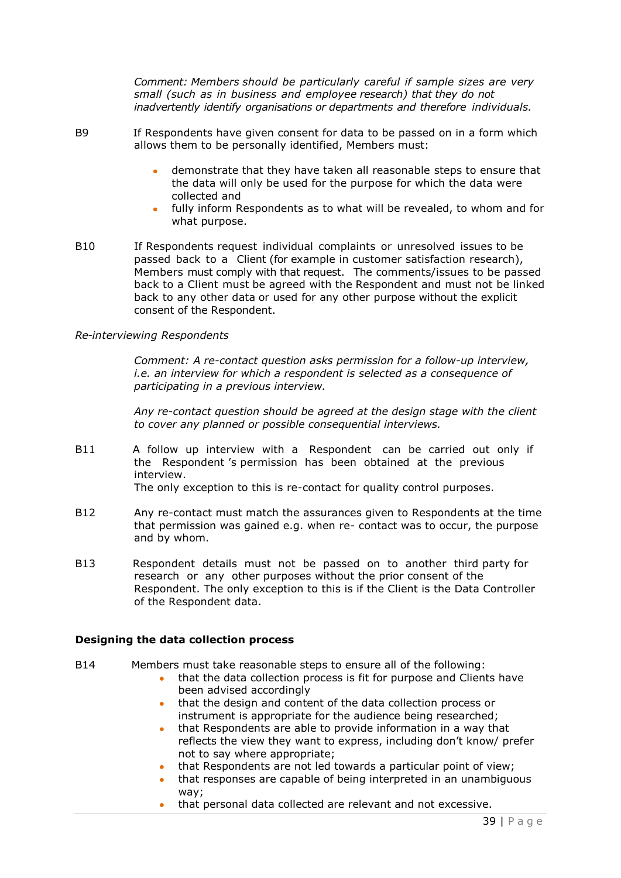*Comment: Members should be particularly careful if sample sizes are very small (such as in business and employee research) that they do not inadvertently identify organisations or departments and therefore individuals.* 

- B9 If Respondents have given consent for data to be passed on in a form which allows them to be personally identified, Members must:
	- demonstrate that they have taken all reasonable steps to ensure that  $\bullet$ the data will only be used for the purpose for which the data were collected and
	- fully inform Respondents as to what will be revealed, to whom and for  $\bullet$ what purpose.
- B10 If Respondents request individual complaints or unresolved issues to be passed back to a Client (for example in customer satisfaction research), Members must comply with that request. The comments/issues to be passed back to a Client must be agreed with the Respondent and must not be linked back to any other data or used for any other purpose without the explicit consent of the Respondent.

#### *Re-interviewing Respondents*

*Comment: A re-contact question asks permission for a follow-up interview, i.e. an interview for which a respondent is selected as a consequence of participating in a previous interview.* 

*Any re-contact question should be agreed at the design stage with the client to cover any planned or possible consequential interviews.*

B11 A follow up interview with a Respondent can be carried out only if the Respondent 's permission has been obtained at the previous interview. The only exception to this is re-contact for quality control purposes.

B12 Any re-contact must match the assurances given to Respondents at the time

- that permission was gained e.g. when re- contact was to occur, the purpose and by whom.
- B13 Respondent details must not be passed on to another third party for research or any other purposes without the prior consent of the Respondent. The only exception to this is if the Client is the Data Controller of the Respondent data.

#### **Designing the data collection process**

- B14 Members must take reasonable steps to ensure all of the following:
	- that the data collection process is fit for purpose and Clients have been advised accordingly
	- that the design and content of the data collection process or  $\bullet$ instrument is appropriate for the audience being researched;
	- that Respondents are able to provide information in a way that reflects the view they want to express, including don't know/ prefer not to say where appropriate;
	- that Respondents are not led towards a particular point of view;
	- that responses are capable of being interpreted in an unambiguous way;
	- that personal data collected are relevant and not excessive.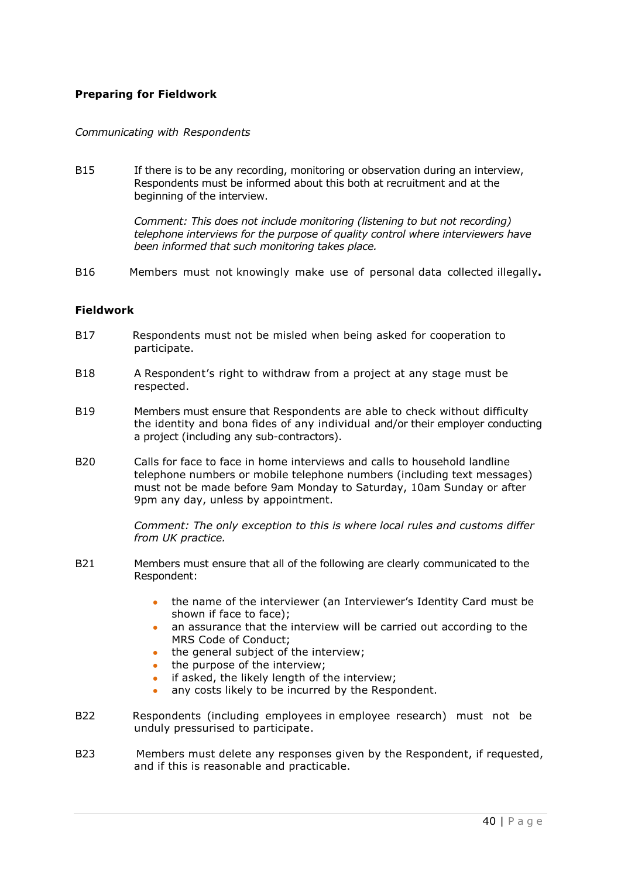## **Preparing for Fieldwork**

#### *Communicating with Respondents*

B15 If there is to be any recording, monitoring or observation during an interview, Respondents must be informed about this both at recruitment and at the beginning of the interview.

> *Comment: This does not include monitoring (listening to but not recording)*  telephone interviews for the purpose of quality control where interviewers have *been informed that such monitoring takes place.*

B16 Members must not knowingly make use of personal data collected illegally**.**

#### **Fieldwork**

- B17 Respondents must not be misled when being asked for cooperation to participate.
- B18 A Respondent's right to withdraw from a project at any stage must be respected.
- B19 Members must ensure that Respondents are able to check without difficulty the identity and bona fides of any individual and/or their employer conducting a project (including any sub-contractors).
- B20 Calls for face to face in home interviews and calls to household landline telephone numbers or mobile telephone numbers (including text messages) must not be made before 9am Monday to Saturday, 10am Sunday or after 9pm any day, unless by appointment.

*Comment: The only exception to this is where local rules and customs differ from UK practice.*

- B21 Members must ensure that all of the following are clearly communicated to the Respondent:
	- the name of the interviewer (an Interviewer's Identity Card must be  $\bullet$ shown if face to face);
	- an assurance that the interview will be carried out according to the MRS Code of Conduct;
	- the general subject of the interview;
	- the purpose of the interview;
	- if asked, the likely length of the interview;  $\bullet$
	- any costs likely to be incurred by the Respondent.
- B22 Respondents (including employees in employee research) must not be unduly pressurised to participate.
- B23 Members must delete any responses given by the Respondent, if requested, and if this is reasonable and practicable.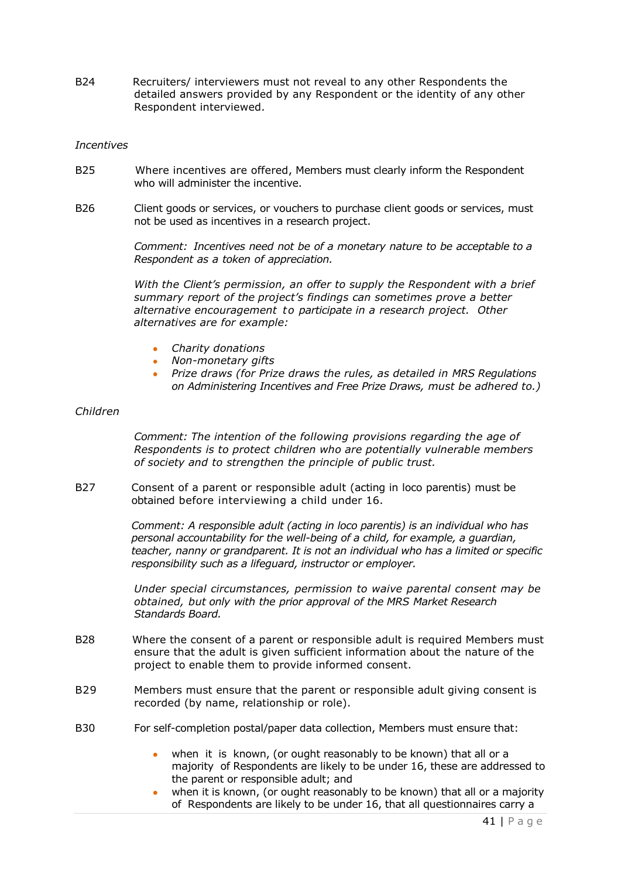B24 Recruiters/ interviewers must not reveal to any other Respondents the detailed answers provided by any Respondent or the identity of any other Respondent interviewed.

#### *Incentives*

- B25Where incentives are offered, Members must clearly inform the Respondent who will administer the incentive
- B26 Client goods or services, or vouchers to purchase client goods or services, must not be used as incentives in a research project.

*Comment: Incentives need not be of a monetary nature to be acceptable to a Respondent as a token of appreciation.* 

*With the Client's permission, an offer to supply the Respondent with a brief summary report of the project's findings can sometimes prove a better alternative encouragement to participate in a research project. Other alternatives are for example:*

- *Charity donations*
- *Non-monetary gifts*
- *Prize draws (for Prize draws the rules, as detailed in MRS Regulations on Administering Incentives and Free Prize Draws, must be adhered to.)*

#### *Children*

 *Comment: The intention of the following provisions regarding the age of Respondents is to protect children who are potentially vulnerable members of society and to strengthen the principle of public trust.*

B27 Consent of a parent or responsible adult (acting in loco parentis) must be obtained before interviewing a child under 16.

> *Comment: A responsible adult (acting in loco parentis) is an individual who has personal accountability for the well-being of a child, for example, a guardian, teacher, nanny or grandparent. It is not an individual who has a limited or specific responsibility such as a lifeguard, instructor or employer.*

> *Under special circumstances, permission to waive parental consent may be obtained, but only with the prior approval of the MRS Market Research Standards Board.*

- B28 Where the consent of a parent or responsible adult is required Members must ensure that the adult is given sufficient information about the nature of the project to enable them to provide informed consent.
- B29 Members must ensure that the parent or responsible adult giving consent is recorded (by name, relationship or role).
- B30 For self-completion postal/paper data collection, Members must ensure that:
	- when it is known, (or ought reasonably to be known) that all or a  $\bullet$ majority of Respondents are likely to be under 16, these are addressed to the parent or responsible adult; and
	- when it is known, (or ought reasonably to be known) that all or a majority  $\bullet$ of Respondents are likely to be under 16, that all questionnaires carry a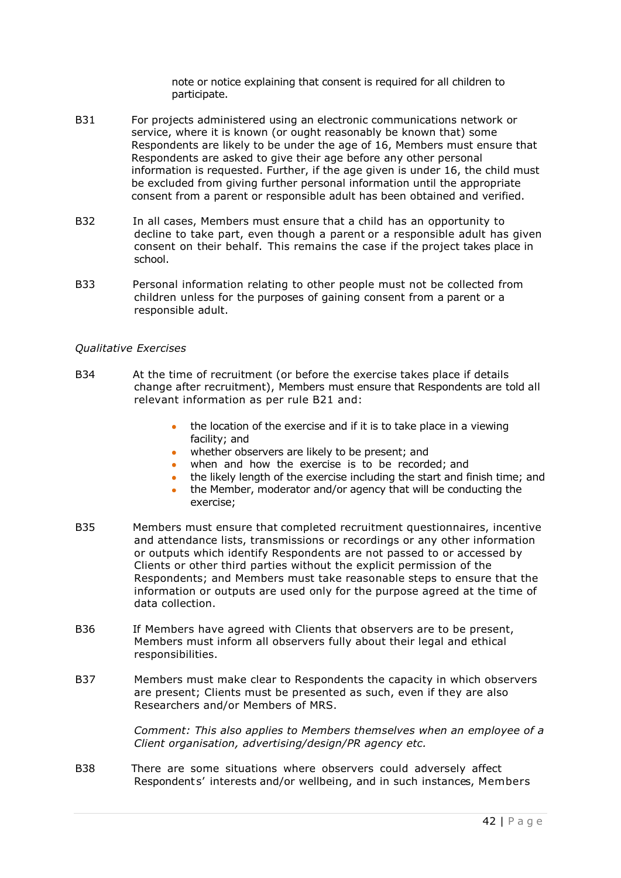note or notice explaining that consent is required for all children to participate.

- B31 For projects administered using an electronic communications network or service, where it is known (or ought reasonably be known that) some Respondents are likely to be under the age of 16, Members must ensure that Respondents are asked to give their age before any other personal information is requested. Further, if the age given is under 16, the child must be excluded from giving further personal information until the appropriate consent from a parent or responsible adult has been obtained and verified.
- B32 In all cases, Members must ensure that a child has an opportunity to decline to take part, even though a parent or a responsible adult has given consent on their behalf. This remains the case if the project takes place in school.
- B33 Personal information relating to other people must not be collected from children unless for the purposes of gaining consent from a parent or a responsible adult.

#### *Qualitative Exercises*

- B34 At the time of recruitment (or before the exercise takes place if details change after recruitment), Members must ensure that Respondents are told all relevant information as per rule B21 and:
	- $\bullet$ the location of the exercise and if it is to take place in a viewing facility; and
	- whether observers are likely to be present; and
	- when and how the exercise is to be recorded; and
	- the likely length of the exercise including the start and finish time; and
	- the Member, moderator and/or agency that will be conducting the  $\bullet$ exercise;
- B35 Members must ensure that completed recruitment questionnaires, incentive and attendance lists, transmissions or recordings or any other information or outputs which identify Respondents are not passed to or accessed by Clients or other third parties without the explicit permission of the Respondents; and Members must take reasonable steps to ensure that the information or outputs are used only for the purpose agreed at the time of data collection.
- B36 If Members have agreed with Clients that observers are to be present, Members must inform all observers fully about their legal and ethical responsibilities.
- B37 Members must make clear to Respondents the capacity in which observers are present; Clients must be presented as such, even if they are also Researchers and/or Members of MRS.

*Comment: This also applies to Members themselves when an employee of a Client organisation, advertising/design/PR agency etc.*

B38 There are some situations where observers could adversely affect Respondents' interests and/or wellbeing, and in such instances, Members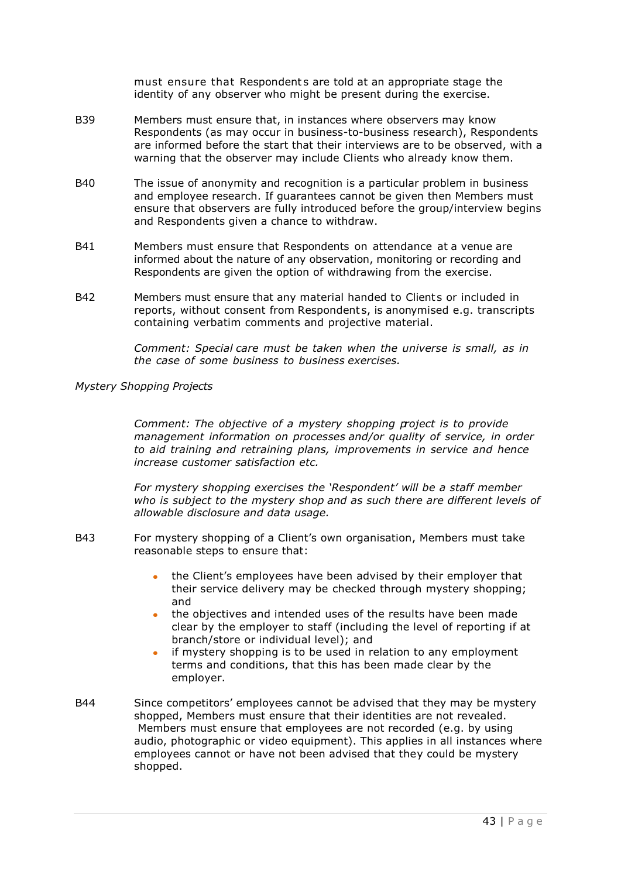must ensure that Respondents are told at an appropriate stage the identity of any observer who might be present during the exercise.

- B39 Members must ensure that, in instances where observers may know Respondents (as may occur in business-to-business research), Respondents are informed before the start that their interviews are to be observed, with a warning that the observer may include Clients who already know them.
- B40 The issue of anonymity and recognition is a particular problem in business and employee research. If guarantees cannot be given then Members must ensure that observers are fully introduced before the group/interview begins and Respondents given a chance to withdraw.
- B41 Members must ensure that Respondents on attendance at a venue are informed about the nature of any observation, monitoring or recording and Respondents are given the option of withdrawing from the exercise.
- B42 Members must ensure that any material handed to Clients or included in reports, without consent from Respondents, is anonymised e.g. transcripts containing verbatim comments and projective material.

*Comment: Special care must be taken when the universe is small, as in the case of some business to business exercises.*

#### *Mystery Shopping Projects*

*Comment: The objective of a mystery shopping project is to provide management information on processes and/or quality of service, in order to aid training and retraining plans, improvements in service and hence increase customer satisfaction etc.*

*For mystery shopping exercises the 'Respondent' will be a staff member who is subject to the mystery shop and as such there are different levels of allowable disclosure and data usage.*

- B43 For mystery shopping of a Client's own organisation, Members must take reasonable steps to ensure that:
	- the Client's employees have been advised by their employer that  $\bullet$ their service delivery may be checked through mystery shopping; and
	- the objectives and intended uses of the results have been made clear by the employer to staff (including the level of reporting if at branch/store or individual level); and
	- if mystery shopping is to be used in relation to any employment terms and conditions, that this has been made clear by the employer.
- B44 Since competitors' employees cannot be advised that they may be mystery shopped, Members must ensure that their identities are not revealed. Members must ensure that employees are not recorded (e.g. by using audio, photographic or video equipment). This applies in all instances where employees cannot or have not been advised that they could be mystery shopped.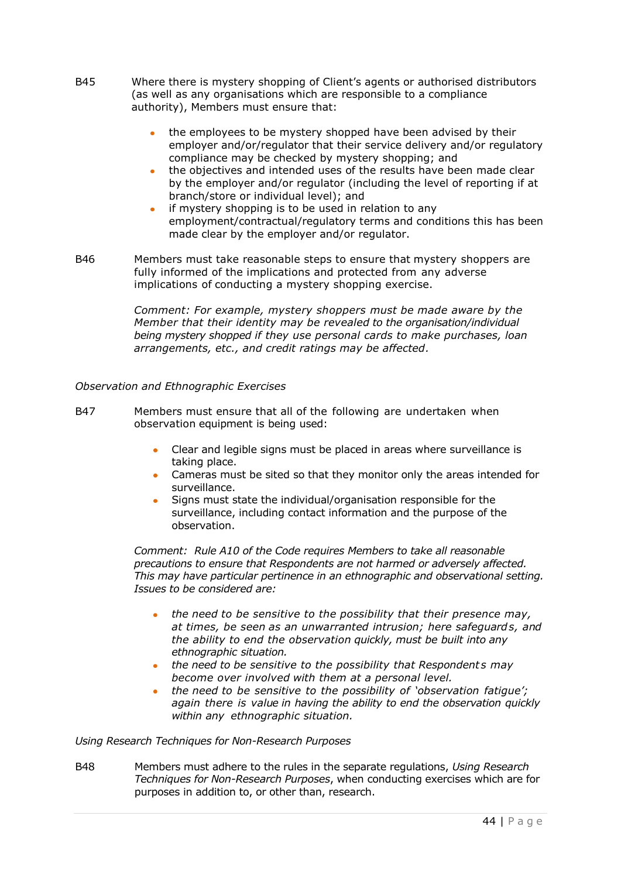- B45 Where there is mystery shopping of Client's agents or authorised distributors (as well as any organisations which are responsible to a compliance authority), Members must ensure that:
	- the employees to be mystery shopped have been advised by their employer and/or/regulator that their service delivery and/or regulatory compliance may be checked by mystery shopping; and
	- the objectives and intended uses of the results have been made clear  $\bullet$ by the employer and/or regulator (including the level of reporting if at branch/store or individual level); and
	- if mystery shopping is to be used in relation to any employment/contractual/regulatory terms and conditions this has been made clear by the employer and/or regulator.
- B46 Members must take reasonable steps to ensure that mystery shoppers are fully informed of the implications and protected from any adverse implications of conducting a mystery shopping exercise.

*Comment: For example, mystery shoppers must be made aware by the Member that their identity may be revealed to the organisation/individual being mystery shopped if they use personal cards to make purchases, loan arrangements, etc., and credit ratings may be affected.*

#### *Observation and Ethnographic Exercises*

- B47 Members must ensure that all of the following are undertaken when observation equipment is being used:
	- Clear and legible signs must be placed in areas where surveillance is Ä taking place.
	- Cameras must be sited so that they monitor only the areas intended for surveillance.
	- Signs must state the individual/organisation responsible for the surveillance, including contact information and the purpose of the observation.

*Comment: Rule A10 of the Code requires Members to take all reasonable precautions to ensure that Respondents are not harmed or adversely affected. This may have particular pertinence in an ethnographic and observational setting. Issues to be considered are:*

- *the need to be sensitive to the possibility that their presence may, at times, be seen as an unwarranted intrusion; here safeguards, and the ability to end the observation quickly, must be built into any ethnographic situation.*
- *the need to be sensitive to the possibility that Respondent s may*  $\bullet$ *become over involved with them at a personal level.*
- *the need to be sensitive to the possibility of 'observation fatigue';*  $\bullet$ *again there is value in having the ability to end the observation quickly within any ethnographic situation.*

#### *Using Research Techniques for Non-Research Purposes*

B48 Members must adhere to the rules in the separate regulations, *Using Research Techniques for Non-Research Purposes*, when conducting exercises which are for purposes in addition to, or other than, research.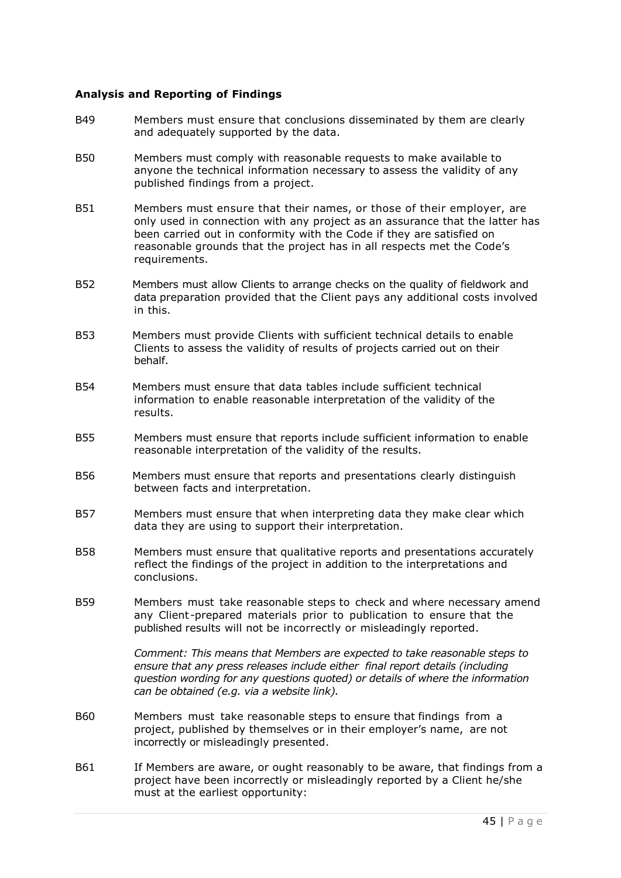#### **Analysis and Reporting of Findings**

- B49 Members must ensure that conclusions disseminated by them are clearly and adequately supported by the data.
- B50 Members must comply with reasonable requests to make available to anyone the technical information necessary to assess the validity of any published findings from a project.
- B51 Members must ensure that their names, or those of their employer, are only used in connection with any project as an assurance that the latter has been carried out in conformity with the Code if they are satisfied on reasonable grounds that the project has in all respects met the Code's requirements.
- B52 Members must allow Clients to arrange checks on the quality of fieldwork and data preparation provided that the Client pays any additional costs involved in this.
- B53 Members must provide Clients with sufficient technical details to enable Clients to assess the validity of results of projects carried out on their behalf.
- B54 Members must ensure that data tables include sufficient technical information to enable reasonable interpretation of the validity of the results.
- B55 Members must ensure that reports include sufficient information to enable reasonable interpretation of the validity of the results.
- B56 Members must ensure that reports and presentations clearly distinguish between facts and interpretation.
- B57 Members must ensure that when interpreting data they make clear which data they are using to support their interpretation.
- B58 Members must ensure that qualitative reports and presentations accurately reflect the findings of the project in addition to the interpretations and conclusions.
- B59 Members must take reasonable steps to check and where necessary amend any Client -prepared materials prior to publication to ensure that the published results will not be incorrectly or misleadingly reported.

*Comment: This means that Members are expected to take reasonable steps to ensure that any press releases include either final report details (including question wording for any questions quoted) or details of where the information can be obtained (e.g. via a website link).*

- B60 Members must take reasonable steps to ensure that findings from a project, published by themselves or in their employer's name, are not incorrectly or misleadingly presented.
- B61 If Members are aware, or ought reasonably to be aware, that findings from a project have been incorrectly or misleadingly reported by a Client he/she must at the earliest opportunity: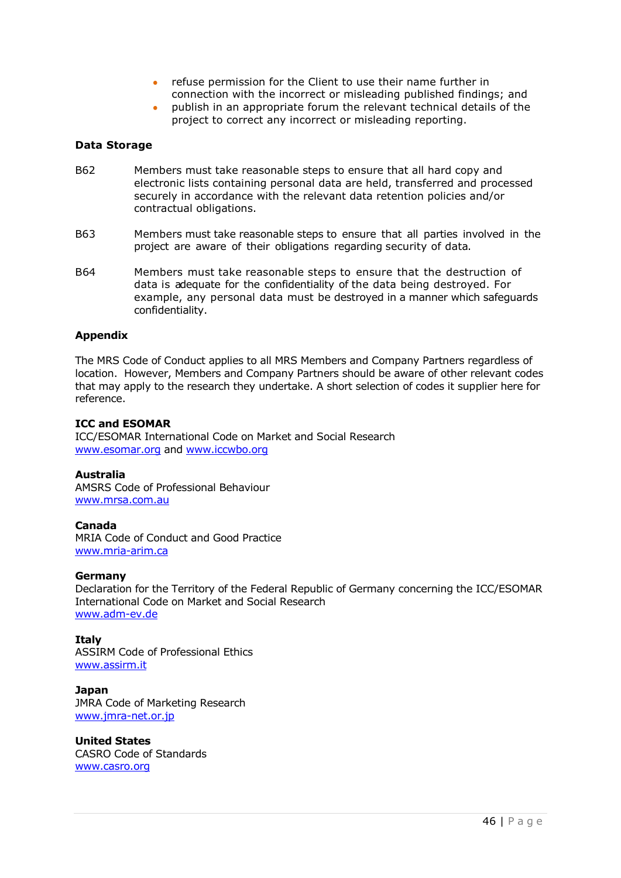- refuse permission for the Client to use their name further in  $\bullet$ connection with the incorrect or misleading published findings; and
- publish in an appropriate forum the relevant technical details of the  $\bullet$ project to correct any incorrect or misleading reporting.

#### **Data Storage**

- B62 Members must take reasonable steps to ensure that all hard copy and electronic lists containing personal data are held, transferred and processed securely in accordance with the relevant data retention policies and/or contractual obligations.
- B63 Members must take reasonable steps to ensure that all parties involved in the project are aware of their obligations regarding security of data.
- B64 Members must take reasonable steps to ensure that the destruction of data is adequate for the confidentiality of the data being destroyed. For example, any personal data must be destroyed in a manner which safeguards confidentiality.

#### **Appendix**

The MRS Code of Conduct applies to all MRS Members and Company Partners regardless of location. However, Members and Company Partners should be aware of other relevant codes that may apply to the research they undertake. A short selection of codes it supplier here for reference.

#### **ICC and ESOMAR**

ICC/ESOMAR International Code on Market and Social Research [www.esomar.org](http://www.esomar.org/) and [www.iccwbo.org](http://www.iccwbo.org/)

**Australia** AMSRS Code of Professional Behaviour [www.mrsa.com.au](http://www.mrsa.com.au/)

**Canada** MRIA Code of Conduct and Good Practice [www.mria-arim.ca](http://www.mria-arim.ca/)

#### **Germany**

Declaration for the Territory of the Federal Republic of Germany concerning the ICC/ESOMAR International Code on Market and Social Research [www.adm-ev.de](http://www.adm-ev.de/)

**Italy** ASSIRM Code of Professional Ethics [www.assirm.it](http://www.assirm.it/)

**Japan** JMRA Code of Marketing Research [www.jmra-net.or.jp](http://www.jmra-net.or.jp/)

## **United States**

CASRO Code of Standards [www.casro.org](http://www.casro.org/)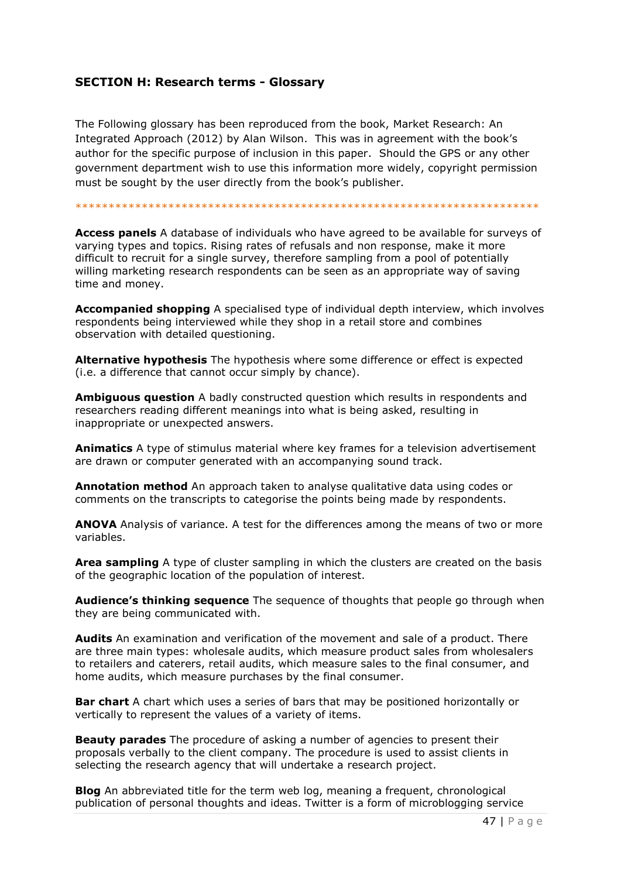## **SECTION H: Research terms - Glossary**

The Following glossary has been reproduced from the book, Market Research: An Integrated Approach (2012) by Alan Wilson. This was in agreement with the book's author for the specific purpose of inclusion in this paper. Should the GPS or any other government department wish to use this information more widely, copyright permission must be sought by the user directly from the book's publisher.

\*\*\*\*\*\*\*\*\*\*\*\*\*\*\*\*\*\*\*\*\*\*\*\*\*\*\*\*\*\*\*\*\*\*\*\*\*\*\*\*\*\*\*\*\*\*\*\*\*\*\*\*\*\*\*\*\*\*\*\*\*\*\*\*\*\*\*\*\*\*

**Access panels** A database of individuals who have agreed to be available for surveys of varying types and topics. Rising rates of refusals and non response, make it more difficult to recruit for a single survey, therefore sampling from a pool of potentially willing marketing research respondents can be seen as an appropriate way of saving time and money.

**Accompanied shopping** A specialised type of individual depth interview, which involves respondents being interviewed while they shop in a retail store and combines observation with detailed questioning.

**Alternative hypothesis** The hypothesis where some difference or effect is expected (i.e. a difference that cannot occur simply by chance).

**Ambiguous question** A badly constructed question which results in respondents and researchers reading different meanings into what is being asked, resulting in inappropriate or unexpected answers.

**Animatics** A type of stimulus material where key frames for a television advertisement are drawn or computer generated with an accompanying sound track.

**Annotation method** An approach taken to analyse qualitative data using codes or comments on the transcripts to categorise the points being made by respondents.

**ANOVA** Analysis of variance. A test for the differences among the means of two or more variables.

**Area sampling** A type of cluster sampling in which the clusters are created on the basis of the geographic location of the population of interest.

**Audience's thinking sequence** The sequence of thoughts that people go through when they are being communicated with.

**Audits** An examination and verification of the movement and sale of a product. There are three main types: wholesale audits, which measure product sales from wholesalers to retailers and caterers, retail audits, which measure sales to the final consumer, and home audits, which measure purchases by the final consumer.

**Bar chart** A chart which uses a series of bars that may be positioned horizontally or vertically to represent the values of a variety of items.

**Beauty parades** The procedure of asking a number of agencies to present their proposals verbally to the client company. The procedure is used to assist clients in selecting the research agency that will undertake a research project.

**Blog** An abbreviated title for the term web log, meaning a frequent, chronological publication of personal thoughts and ideas. Twitter is a form of microblogging service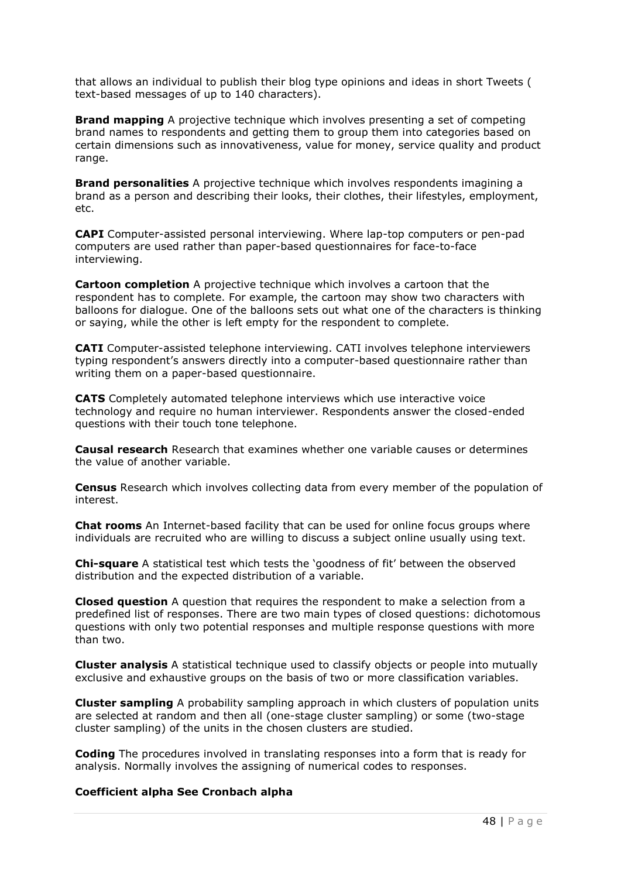that allows an individual to publish their blog type opinions and ideas in short Tweets ( text-based messages of up to 140 characters).

**Brand mapping** A projective technique which involves presenting a set of competing brand names to respondents and getting them to group them into categories based on certain dimensions such as innovativeness, value for money, service quality and product range.

**Brand personalities** A projective technique which involves respondents imagining a brand as a person and describing their looks, their clothes, their lifestyles, employment, etc.

**CAPI** Computer-assisted personal interviewing. Where lap-top computers or pen-pad computers are used rather than paper-based questionnaires for face-to-face interviewing.

**Cartoon completion** A projective technique which involves a cartoon that the respondent has to complete. For example, the cartoon may show two characters with balloons for dialogue. One of the balloons sets out what one of the characters is thinking or saying, while the other is left empty for the respondent to complete.

**CATI** Computer-assisted telephone interviewing. CATI involves telephone interviewers typing respondent's answers directly into a computer-based questionnaire rather than writing them on a paper-based questionnaire.

**CATS** Completely automated telephone interviews which use interactive voice technology and require no human interviewer. Respondents answer the closed-ended questions with their touch tone telephone.

**Causal research** Research that examines whether one variable causes or determines the value of another variable.

**Census** Research which involves collecting data from every member of the population of interest.

**Chat rooms** An Internet-based facility that can be used for online focus groups where individuals are recruited who are willing to discuss a subject online usually using text.

**Chi-square** A statistical test which tests the 'goodness of fit' between the observed distribution and the expected distribution of a variable.

**Closed question** A question that requires the respondent to make a selection from a predefined list of responses. There are two main types of closed questions: dichotomous questions with only two potential responses and multiple response questions with more than two.

**Cluster analysis** A statistical technique used to classify objects or people into mutually exclusive and exhaustive groups on the basis of two or more classification variables.

**Cluster sampling** A probability sampling approach in which clusters of population units are selected at random and then all (one-stage cluster sampling) or some (two-stage cluster sampling) of the units in the chosen clusters are studied.

**Coding** The procedures involved in translating responses into a form that is ready for analysis. Normally involves the assigning of numerical codes to responses.

#### **Coefficient alpha See Cronbach alpha**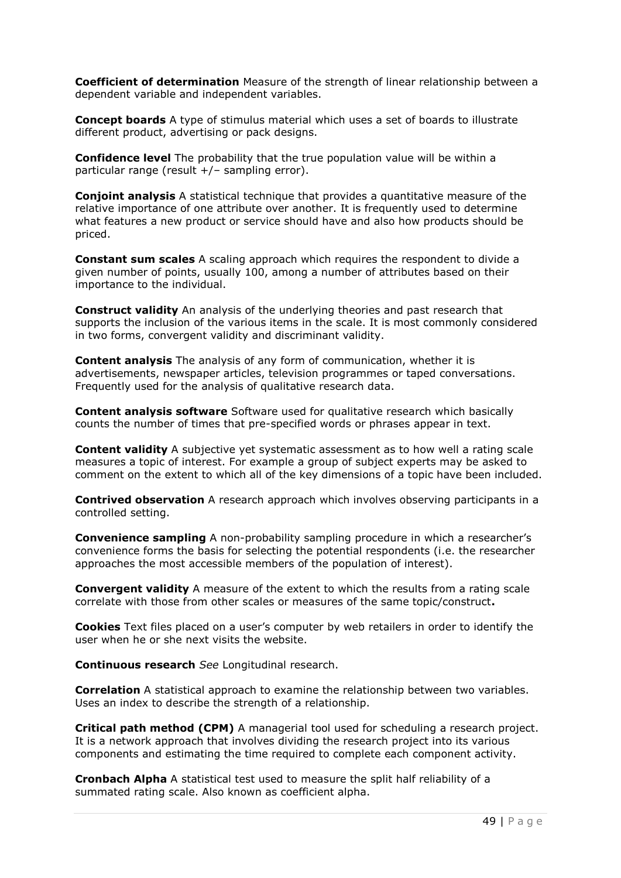**Coefficient of determination** Measure of the strength of linear relationship between a dependent variable and independent variables.

**Concept boards** A type of stimulus material which uses a set of boards to illustrate different product, advertising or pack designs.

**Confidence level** The probability that the true population value will be within a particular range (result +/– sampling error).

**Conjoint analysis** A statistical technique that provides a quantitative measure of the relative importance of one attribute over another. It is frequently used to determine what features a new product or service should have and also how products should be priced.

**Constant sum scales** A scaling approach which requires the respondent to divide a given number of points, usually 100, among a number of attributes based on their importance to the individual.

**Construct validity** An analysis of the underlying theories and past research that supports the inclusion of the various items in the scale. It is most commonly considered in two forms, convergent validity and discriminant validity.

**Content analysis** The analysis of any form of communication, whether it is advertisements, newspaper articles, television programmes or taped conversations. Frequently used for the analysis of qualitative research data.

**Content analysis software** Software used for qualitative research which basically counts the number of times that pre-specified words or phrases appear in text.

**Content validity** A subjective yet systematic assessment as to how well a rating scale measures a topic of interest. For example a group of subject experts may be asked to comment on the extent to which all of the key dimensions of a topic have been included.

**Contrived observation** A research approach which involves observing participants in a controlled setting.

**Convenience sampling** A non-probability sampling procedure in which a researcher's convenience forms the basis for selecting the potential respondents (i.e. the researcher approaches the most accessible members of the population of interest).

**Convergent validity** A measure of the extent to which the results from a rating scale correlate with those from other scales or measures of the same topic/construct**.** 

**Cookies** Text files placed on a user's computer by web retailers in order to identify the user when he or she next visits the website.

**Continuous research** *See* Longitudinal research.

**Correlation** A statistical approach to examine the relationship between two variables. Uses an index to describe the strength of a relationship.

**Critical path method (CPM)** A managerial tool used for scheduling a research project. It is a network approach that involves dividing the research project into its various components and estimating the time required to complete each component activity.

**Cronbach Alpha** A statistical test used to measure the split half reliability of a summated rating scale. Also known as coefficient alpha.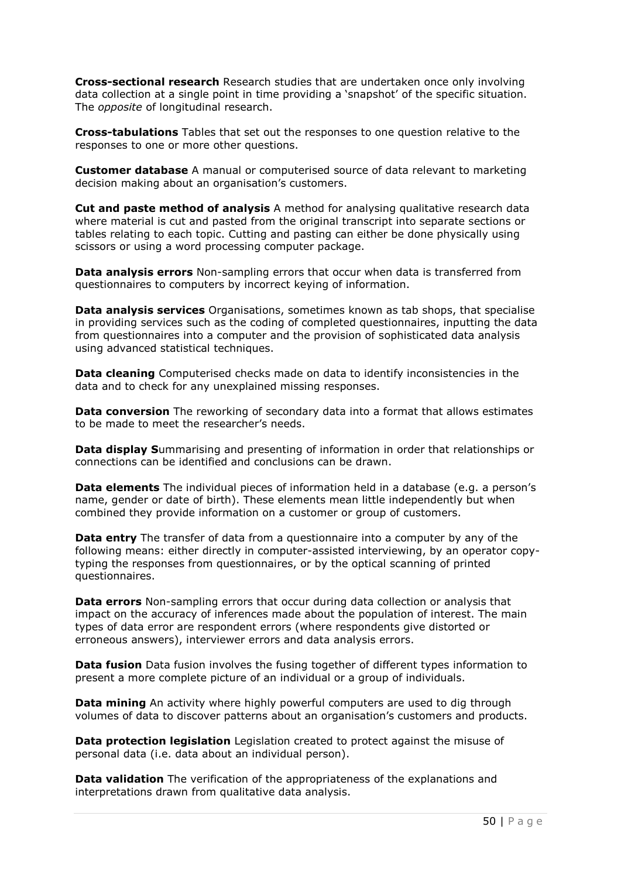**Cross-sectional research** Research studies that are undertaken once only involving data collection at a single point in time providing a 'snapshot' of the specific situation. The *opposite* of longitudinal research.

**Cross-tabulations** Tables that set out the responses to one question relative to the responses to one or more other questions.

**Customer database** A manual or computerised source of data relevant to marketing decision making about an organisation's customers.

**Cut and paste method of analysis** A method for analysing qualitative research data where material is cut and pasted from the original transcript into separate sections or tables relating to each topic. Cutting and pasting can either be done physically using scissors or using a word processing computer package.

**Data analysis errors** Non-sampling errors that occur when data is transferred from questionnaires to computers by incorrect keying of information.

**Data analysis services** Organisations, sometimes known as tab shops, that specialise in providing services such as the coding of completed questionnaires, inputting the data from questionnaires into a computer and the provision of sophisticated data analysis using advanced statistical techniques.

**Data cleaning** Computerised checks made on data to identify inconsistencies in the data and to check for any unexplained missing responses.

**Data conversion** The reworking of secondary data into a format that allows estimates to be made to meet the researcher's needs.

**Data display S**ummarising and presenting of information in order that relationships or connections can be identified and conclusions can be drawn.

**Data elements** The individual pieces of information held in a database (e.g. a person's name, gender or date of birth). These elements mean little independently but when combined they provide information on a customer or group of customers.

**Data entry** The transfer of data from a questionnaire into a computer by any of the following means: either directly in computer-assisted interviewing, by an operator copytyping the responses from questionnaires, or by the optical scanning of printed questionnaires.

**Data errors** Non-sampling errors that occur during data collection or analysis that impact on the accuracy of inferences made about the population of interest. The main types of data error are respondent errors (where respondents give distorted or erroneous answers), interviewer errors and data analysis errors.

**Data fusion** Data fusion involves the fusing together of different types information to present a more complete picture of an individual or a group of individuals.

**Data mining** An activity where highly powerful computers are used to dig through volumes of data to discover patterns about an organisation's customers and products.

**Data protection legislation** Legislation created to protect against the misuse of personal data (i.e. data about an individual person).

**Data validation** The verification of the appropriateness of the explanations and interpretations drawn from qualitative data analysis.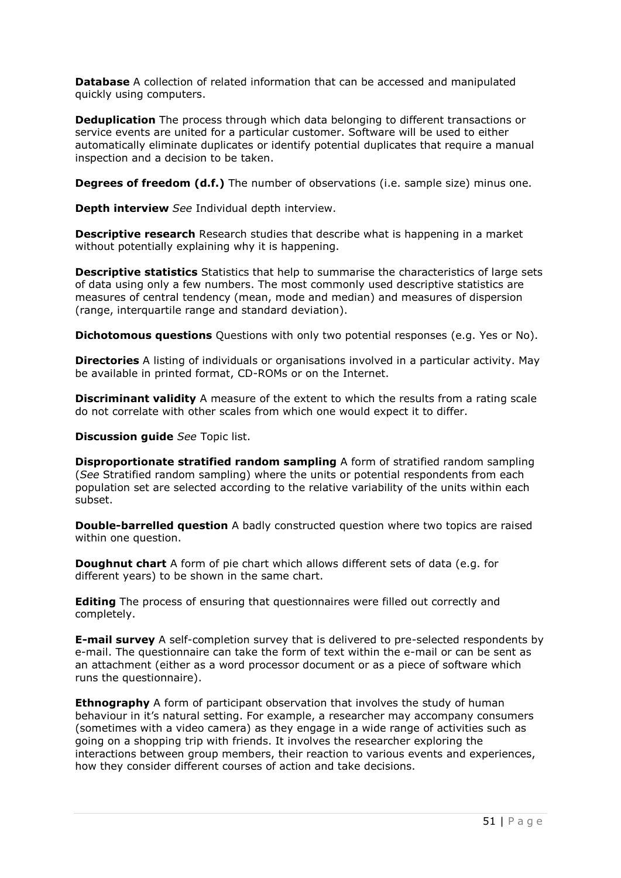**Database** A collection of related information that can be accessed and manipulated quickly using computers.

**Deduplication** The process through which data belonging to different transactions or service events are united for a particular customer. Software will be used to either automatically eliminate duplicates or identify potential duplicates that require a manual inspection and a decision to be taken.

**Degrees of freedom (d.f.)** The number of observations (i.e. sample size) minus one.

**Depth interview** *See* Individual depth interview.

**Descriptive research** Research studies that describe what is happening in a market without potentially explaining why it is happening.

**Descriptive statistics** Statistics that help to summarise the characteristics of large sets of data using only a few numbers. The most commonly used descriptive statistics are measures of central tendency (mean, mode and median) and measures of dispersion (range, interquartile range and standard deviation).

**Dichotomous questions** Questions with only two potential responses (e.g. Yes or No).

**Directories** A listing of individuals or organisations involved in a particular activity. May be available in printed format, CD-ROMs or on the Internet.

**Discriminant validity** A measure of the extent to which the results from a rating scale do not correlate with other scales from which one would expect it to differ.

**Discussion guide** *See* Topic list.

**Disproportionate stratified random sampling** A form of stratified random sampling (*See* Stratified random sampling) where the units or potential respondents from each population set are selected according to the relative variability of the units within each subset.

**Double-barrelled question** A badly constructed question where two topics are raised within one question.

**Doughnut chart** A form of pie chart which allows different sets of data (e.g. for different years) to be shown in the same chart.

**Editing** The process of ensuring that questionnaires were filled out correctly and completely.

**E-mail survey** A self-completion survey that is delivered to pre-selected respondents by e-mail. The questionnaire can take the form of text within the e-mail or can be sent as an attachment (either as a word processor document or as a piece of software which runs the questionnaire).

**Ethnography** A form of participant observation that involves the study of human behaviour in it's natural setting. For example, a researcher may accompany consumers (sometimes with a video camera) as they engage in a wide range of activities such as going on a shopping trip with friends. It involves the researcher exploring the interactions between group members, their reaction to various events and experiences, how they consider different courses of action and take decisions.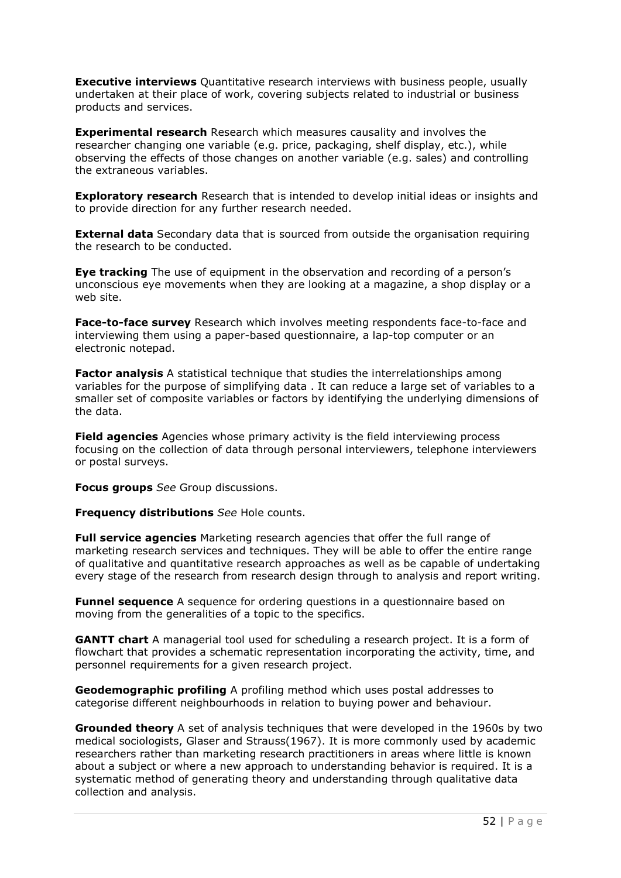**Executive interviews** Quantitative research interviews with business people, usually undertaken at their place of work, covering subjects related to industrial or business products and services.

**Experimental research** Research which measures causality and involves the researcher changing one variable (e.g. price, packaging, shelf display, etc.), while observing the effects of those changes on another variable (e.g. sales) and controlling the extraneous variables.

**Exploratory research** Research that is intended to develop initial ideas or insights and to provide direction for any further research needed.

**External data** Secondary data that is sourced from outside the organisation requiring the research to be conducted.

**Eye tracking** The use of equipment in the observation and recording of a person's unconscious eye movements when they are looking at a magazine, a shop display or a web site.

**Face-to-face survey** Research which involves meeting respondents face-to-face and interviewing them using a paper-based questionnaire, a lap-top computer or an electronic notepad.

**Factor analysis** A statistical technique that studies the interrelationships among variables for the purpose of simplifying data . It can reduce a large set of variables to a smaller set of composite variables or factors by identifying the underlying dimensions of the data.

**Field agencies** Agencies whose primary activity is the field interviewing process focusing on the collection of data through personal interviewers, telephone interviewers or postal surveys.

**Focus groups** *See* Group discussions.

**Frequency distributions** *See* Hole counts.

**Full service agencies** Marketing research agencies that offer the full range of marketing research services and techniques. They will be able to offer the entire range of qualitative and quantitative research approaches as well as be capable of undertaking every stage of the research from research design through to analysis and report writing.

**Funnel sequence** A sequence for ordering questions in a questionnaire based on moving from the generalities of a topic to the specifics.

**GANTT chart** A managerial tool used for scheduling a research project. It is a form of flowchart that provides a schematic representation incorporating the activity, time, and personnel requirements for a given research project.

**Geodemographic profiling** A profiling method which uses postal addresses to categorise different neighbourhoods in relation to buying power and behaviour.

**Grounded theory** A set of analysis techniques that were developed in the 1960s by two medical sociologists, Glaser and Strauss(1967). It is more commonly used by academic researchers rather than marketing research practitioners in areas where little is known about a subject or where a new approach to understanding behavior is required. It is a systematic method of generating theory and understanding through qualitative data collection and analysis.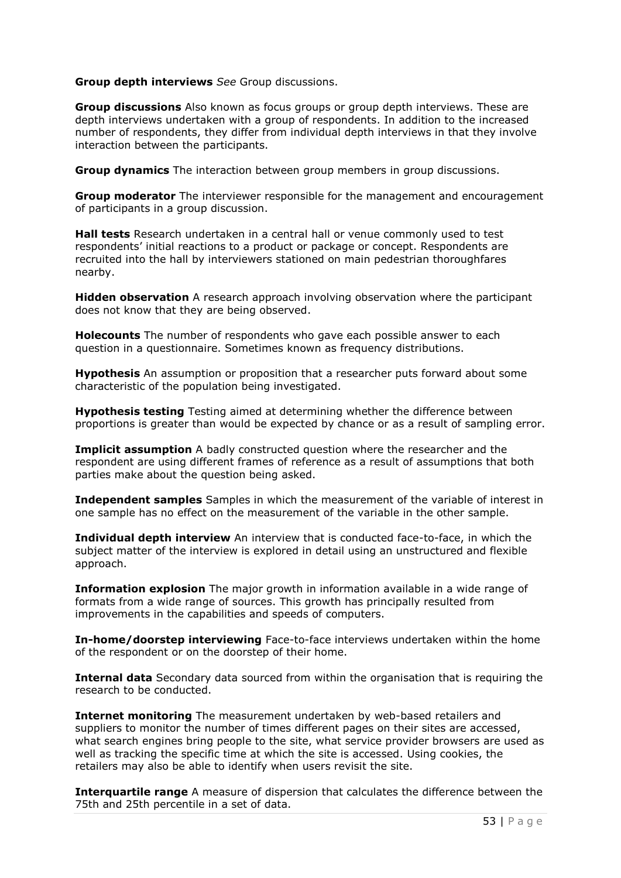**Group depth interviews** *See* Group discussions.

**Group discussions** Also known as focus groups or group depth interviews. These are depth interviews undertaken with a group of respondents. In addition to the increased number of respondents, they differ from individual depth interviews in that they involve interaction between the participants.

**Group dynamics** The interaction between group members in group discussions.

**Group moderator** The interviewer responsible for the management and encouragement of participants in a group discussion.

**Hall tests** Research undertaken in a central hall or venue commonly used to test respondents' initial reactions to a product or package or concept. Respondents are recruited into the hall by interviewers stationed on main pedestrian thoroughfares nearby.

**Hidden observation** A research approach involving observation where the participant does not know that they are being observed.

**Holecounts** The number of respondents who gave each possible answer to each question in a questionnaire. Sometimes known as frequency distributions.

**Hypothesis** An assumption or proposition that a researcher puts forward about some characteristic of the population being investigated.

**Hypothesis testing** Testing aimed at determining whether the difference between proportions is greater than would be expected by chance or as a result of sampling error.

**Implicit assumption** A badly constructed question where the researcher and the respondent are using different frames of reference as a result of assumptions that both parties make about the question being asked.

**Independent samples** Samples in which the measurement of the variable of interest in one sample has no effect on the measurement of the variable in the other sample.

**Individual depth interview** An interview that is conducted face-to-face, in which the subject matter of the interview is explored in detail using an unstructured and flexible approach.

**Information explosion** The major growth in information available in a wide range of formats from a wide range of sources. This growth has principally resulted from improvements in the capabilities and speeds of computers.

**In-home/doorstep interviewing** Face-to-face interviews undertaken within the home of the respondent or on the doorstep of their home.

**Internal data** Secondary data sourced from within the organisation that is requiring the research to be conducted.

**Internet monitoring** The measurement undertaken by web-based retailers and suppliers to monitor the number of times different pages on their sites are accessed, what search engines bring people to the site, what service provider browsers are used as well as tracking the specific time at which the site is accessed. Using cookies, the retailers may also be able to identify when users revisit the site.

**Interquartile range** A measure of dispersion that calculates the difference between the 75th and 25th percentile in a set of data.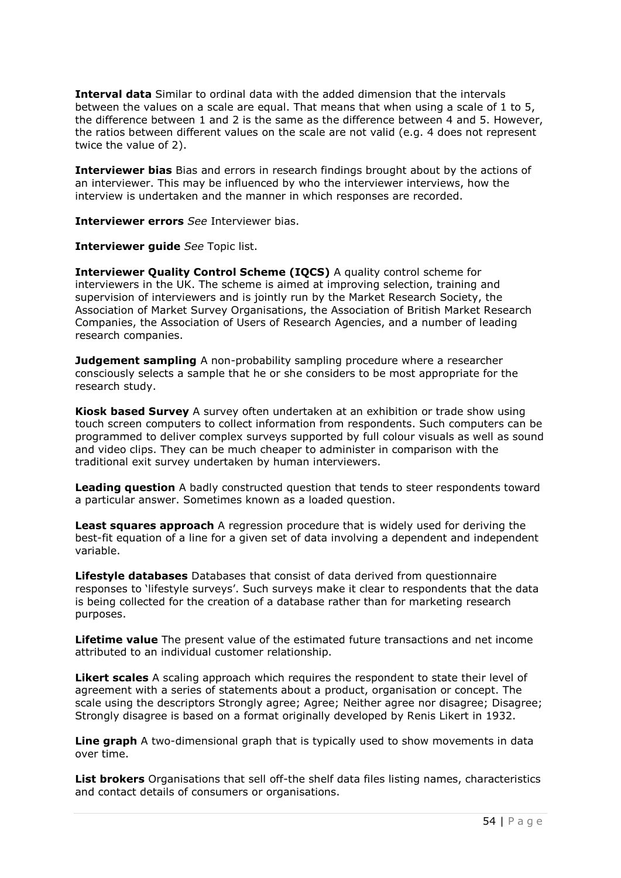**Interval data** Similar to ordinal data with the added dimension that the intervals between the values on a scale are equal. That means that when using a scale of 1 to 5, the difference between 1 and 2 is the same as the difference between 4 and 5. However, the ratios between different values on the scale are not valid (e.g. 4 does not represent twice the value of 2).

**Interviewer bias** Bias and errors in research findings brought about by the actions of an interviewer. This may be influenced by who the interviewer interviews, how the interview is undertaken and the manner in which responses are recorded.

**Interviewer errors** *See* Interviewer bias.

**Interviewer guide** *See* Topic list.

**Interviewer Quality Control Scheme (IQCS)** A quality control scheme for interviewers in the UK. The scheme is aimed at improving selection, training and supervision of interviewers and is jointly run by the Market Research Society, the Association of Market Survey Organisations, the Association of British Market Research Companies, the Association of Users of Research Agencies, and a number of leading research companies.

**Judgement sampling** A non-probability sampling procedure where a researcher consciously selects a sample that he or she considers to be most appropriate for the research study.

**Kiosk based Survey** A survey often undertaken at an exhibition or trade show using touch screen computers to collect information from respondents. Such computers can be programmed to deliver complex surveys supported by full colour visuals as well as sound and video clips. They can be much cheaper to administer in comparison with the traditional exit survey undertaken by human interviewers.

**Leading question** A badly constructed question that tends to steer respondents toward a particular answer. Sometimes known as a loaded question.

**Least squares approach** A regression procedure that is widely used for deriving the best-fit equation of a line for a given set of data involving a dependent and independent variable.

**Lifestyle databases** Databases that consist of data derived from questionnaire responses to 'lifestyle surveys'. Such surveys make it clear to respondents that the data is being collected for the creation of a database rather than for marketing research purposes.

**Lifetime value** The present value of the estimated future transactions and net income attributed to an individual customer relationship.

**Likert scales** A scaling approach which requires the respondent to state their level of agreement with a series of statements about a product, organisation or concept. The scale using the descriptors Strongly agree; Agree; Neither agree nor disagree; Disagree; Strongly disagree is based on a format originally developed by Renis Likert in 1932.

**Line graph** A two-dimensional graph that is typically used to show movements in data over time.

**List brokers** Organisations that sell off-the shelf data files listing names, characteristics and contact details of consumers or organisations.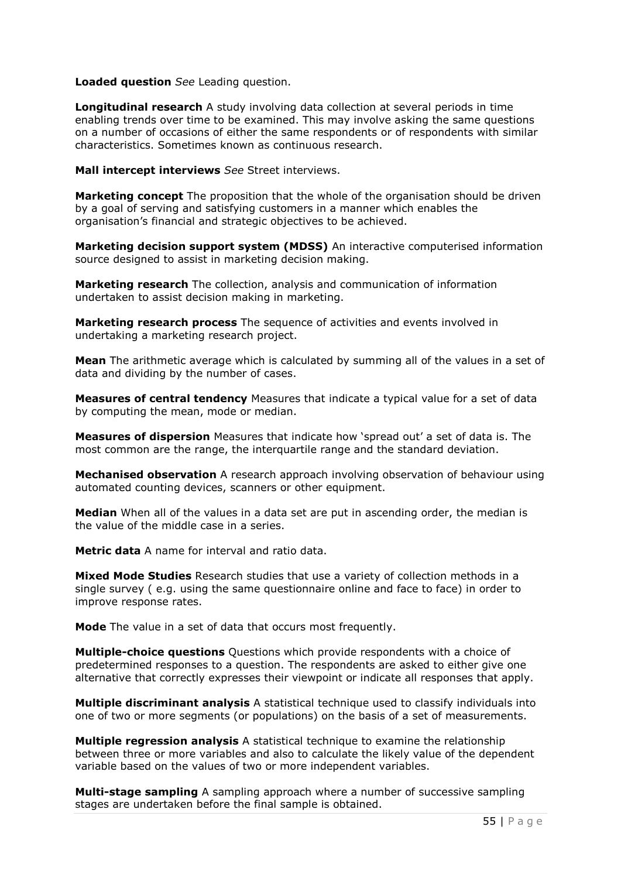#### **Loaded question** *See* Leading question.

**Longitudinal research** A study involving data collection at several periods in time enabling trends over time to be examined. This may involve asking the same questions on a number of occasions of either the same respondents or of respondents with similar characteristics. Sometimes known as continuous research.

**Mall intercept interviews** *See* Street interviews.

**Marketing concept** The proposition that the whole of the organisation should be driven by a goal of serving and satisfying customers in a manner which enables the organisation's financial and strategic objectives to be achieved.

**Marketing decision support system (MDSS)** An interactive computerised information source designed to assist in marketing decision making.

**Marketing research** The collection, analysis and communication of information undertaken to assist decision making in marketing.

**Marketing research process** The sequence of activities and events involved in undertaking a marketing research project.

**Mean** The arithmetic average which is calculated by summing all of the values in a set of data and dividing by the number of cases.

**Measures of central tendency** Measures that indicate a typical value for a set of data by computing the mean, mode or median.

**Measures of dispersion** Measures that indicate how 'spread out' a set of data is. The most common are the range, the interquartile range and the standard deviation.

**Mechanised observation** A research approach involving observation of behaviour using automated counting devices, scanners or other equipment.

**Median** When all of the values in a data set are put in ascending order, the median is the value of the middle case in a series.

**Metric data** A name for interval and ratio data.

**Mixed Mode Studies** Research studies that use a variety of collection methods in a single survey ( e.g. using the same questionnaire online and face to face) in order to improve response rates.

**Mode** The value in a set of data that occurs most frequently.

**Multiple-choice questions** Questions which provide respondents with a choice of predetermined responses to a question. The respondents are asked to either give one alternative that correctly expresses their viewpoint or indicate all responses that apply.

**Multiple discriminant analysis** A statistical technique used to classify individuals into one of two or more segments (or populations) on the basis of a set of measurements.

**Multiple regression analysis** A statistical technique to examine the relationship between three or more variables and also to calculate the likely value of the dependent variable based on the values of two or more independent variables.

**Multi-stage sampling** A sampling approach where a number of successive sampling stages are undertaken before the final sample is obtained.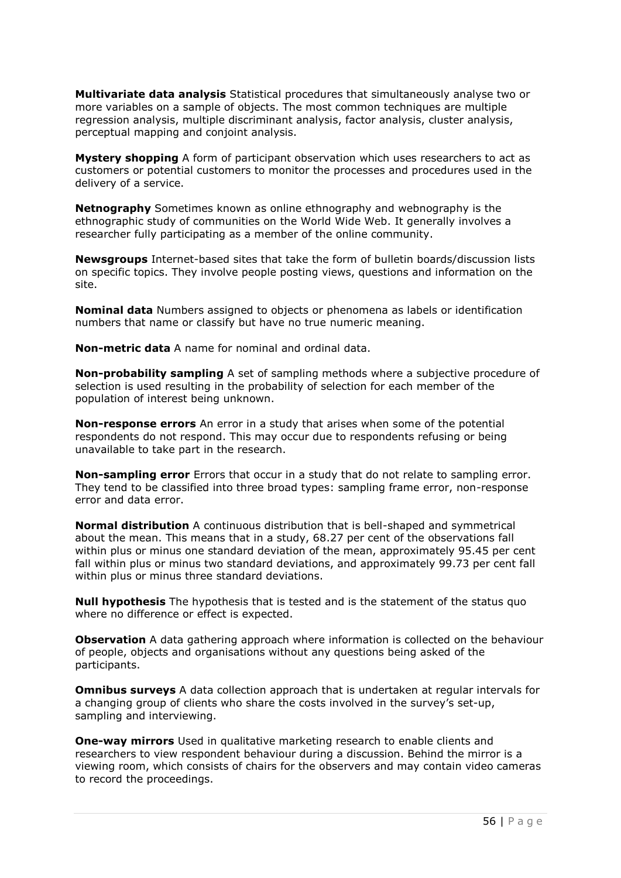**Multivariate data analysis** Statistical procedures that simultaneously analyse two or more variables on a sample of objects. The most common techniques are multiple regression analysis, multiple discriminant analysis, factor analysis, cluster analysis, perceptual mapping and conjoint analysis.

**Mystery shopping** A form of participant observation which uses researchers to act as customers or potential customers to monitor the processes and procedures used in the delivery of a service.

**Netnography** Sometimes known as online ethnography and webnography is the ethnographic study of communities on the World Wide Web. It generally involves a researcher fully participating as a member of the online community.

**Newsgroups** Internet-based sites that take the form of bulletin boards/discussion lists on specific topics. They involve people posting views, questions and information on the site.

**Nominal data** Numbers assigned to objects or phenomena as labels or identification numbers that name or classify but have no true numeric meaning.

**Non-metric data** A name for nominal and ordinal data.

**Non-probability sampling** A set of sampling methods where a subjective procedure of selection is used resulting in the probability of selection for each member of the population of interest being unknown.

**Non-response errors** An error in a study that arises when some of the potential respondents do not respond. This may occur due to respondents refusing or being unavailable to take part in the research.

**Non-sampling error** Errors that occur in a study that do not relate to sampling error. They tend to be classified into three broad types: sampling frame error, non-response error and data error.

**Normal distribution** A continuous distribution that is bell-shaped and symmetrical about the mean. This means that in a study, 68.27 per cent of the observations fall within plus or minus one standard deviation of the mean, approximately 95.45 per cent fall within plus or minus two standard deviations, and approximately 99.73 per cent fall within plus or minus three standard deviations.

**Null hypothesis** The hypothesis that is tested and is the statement of the status quo where no difference or effect is expected.

**Observation** A data gathering approach where information is collected on the behaviour of people, objects and organisations without any questions being asked of the participants.

**Omnibus surveys** A data collection approach that is undertaken at regular intervals for a changing group of clients who share the costs involved in the survey's set-up, sampling and interviewing.

**One-way mirrors** Used in qualitative marketing research to enable clients and researchers to view respondent behaviour during a discussion. Behind the mirror is a viewing room, which consists of chairs for the observers and may contain video cameras to record the proceedings.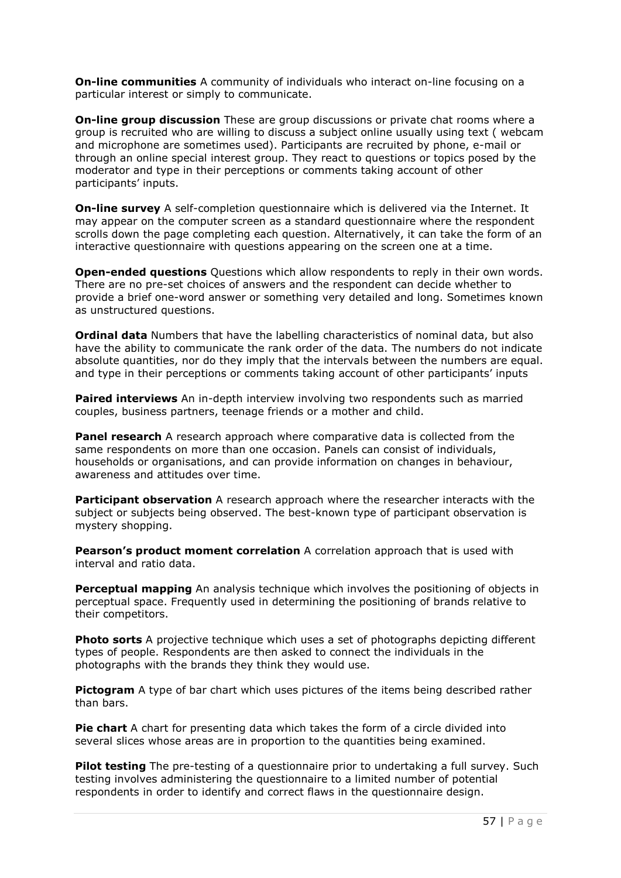**On-line communities** A community of individuals who interact on-line focusing on a particular interest or simply to communicate.

**On-line group discussion** These are group discussions or private chat rooms where a group is recruited who are willing to discuss a subject online usually using text ( webcam and microphone are sometimes used). Participants are recruited by phone, e-mail or through an online special interest group. They react to questions or topics posed by the moderator and type in their perceptions or comments taking account of other participants' inputs.

**On-line survey** A self-completion questionnaire which is delivered via the Internet. It may appear on the computer screen as a standard questionnaire where the respondent scrolls down the page completing each question. Alternatively, it can take the form of an interactive questionnaire with questions appearing on the screen one at a time.

**Open-ended questions** Ouestions which allow respondents to reply in their own words. There are no pre-set choices of answers and the respondent can decide whether to provide a brief one-word answer or something very detailed and long. Sometimes known as unstructured questions.

**Ordinal data** Numbers that have the labelling characteristics of nominal data, but also have the ability to communicate the rank order of the data. The numbers do not indicate absolute quantities, nor do they imply that the intervals between the numbers are equal. and type in their perceptions or comments taking account of other participants' inputs

**Paired interviews** An in-depth interview involving two respondents such as married couples, business partners, teenage friends or a mother and child.

**Panel research** A research approach where comparative data is collected from the same respondents on more than one occasion. Panels can consist of individuals, households or organisations, and can provide information on changes in behaviour, awareness and attitudes over time.

**Participant observation** A research approach where the researcher interacts with the subject or subjects being observed. The best-known type of participant observation is mystery shopping.

**Pearson's product moment correlation** A correlation approach that is used with interval and ratio data.

**Perceptual mapping** An analysis technique which involves the positioning of objects in perceptual space. Frequently used in determining the positioning of brands relative to their competitors.

**Photo sorts** A projective technique which uses a set of photographs depicting different types of people. Respondents are then asked to connect the individuals in the photographs with the brands they think they would use.

**Pictogram** A type of bar chart which uses pictures of the items being described rather than bars.

**Pie chart** A chart for presenting data which takes the form of a circle divided into several slices whose areas are in proportion to the quantities being examined.

**Pilot testing** The pre-testing of a questionnaire prior to undertaking a full survey. Such testing involves administering the questionnaire to a limited number of potential respondents in order to identify and correct flaws in the questionnaire design.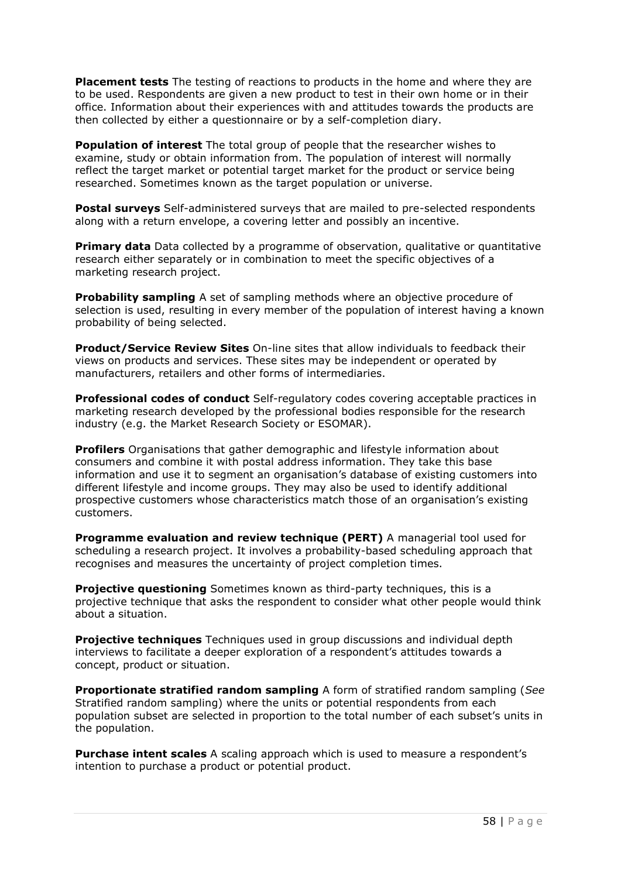**Placement tests** The testing of reactions to products in the home and where they are to be used. Respondents are given a new product to test in their own home or in their office. Information about their experiences with and attitudes towards the products are then collected by either a questionnaire or by a self-completion diary.

**Population of interest** The total group of people that the researcher wishes to examine, study or obtain information from. The population of interest will normally reflect the target market or potential target market for the product or service being researched. Sometimes known as the target population or universe.

**Postal surveys** Self-administered surveys that are mailed to pre-selected respondents along with a return envelope, a covering letter and possibly an incentive.

**Primary data** Data collected by a programme of observation, qualitative or quantitative research either separately or in combination to meet the specific objectives of a marketing research project.

**Probability sampling** A set of sampling methods where an objective procedure of selection is used, resulting in every member of the population of interest having a known probability of being selected.

**Product/Service Review Sites** On-line sites that allow individuals to feedback their views on products and services. These sites may be independent or operated by manufacturers, retailers and other forms of intermediaries.

**Professional codes of conduct** Self-regulatory codes covering acceptable practices in marketing research developed by the professional bodies responsible for the research industry (e.g. the Market Research Society or ESOMAR).

**Profilers** Organisations that gather demographic and lifestyle information about consumers and combine it with postal address information. They take this base information and use it to segment an organisation's database of existing customers into different lifestyle and income groups. They may also be used to identify additional prospective customers whose characteristics match those of an organisation's existing customers.

**Programme evaluation and review technique (PERT)** A managerial tool used for scheduling a research project. It involves a probability-based scheduling approach that recognises and measures the uncertainty of project completion times.

**Projective questioning** Sometimes known as third-party techniques, this is a projective technique that asks the respondent to consider what other people would think about a situation.

**Projective techniques** Techniques used in group discussions and individual depth interviews to facilitate a deeper exploration of a respondent's attitudes towards a concept, product or situation.

**Proportionate stratified random sampling** A form of stratified random sampling (*See*  Stratified random sampling) where the units or potential respondents from each population subset are selected in proportion to the total number of each subset's units in the population.

**Purchase intent scales** A scaling approach which is used to measure a respondent's intention to purchase a product or potential product.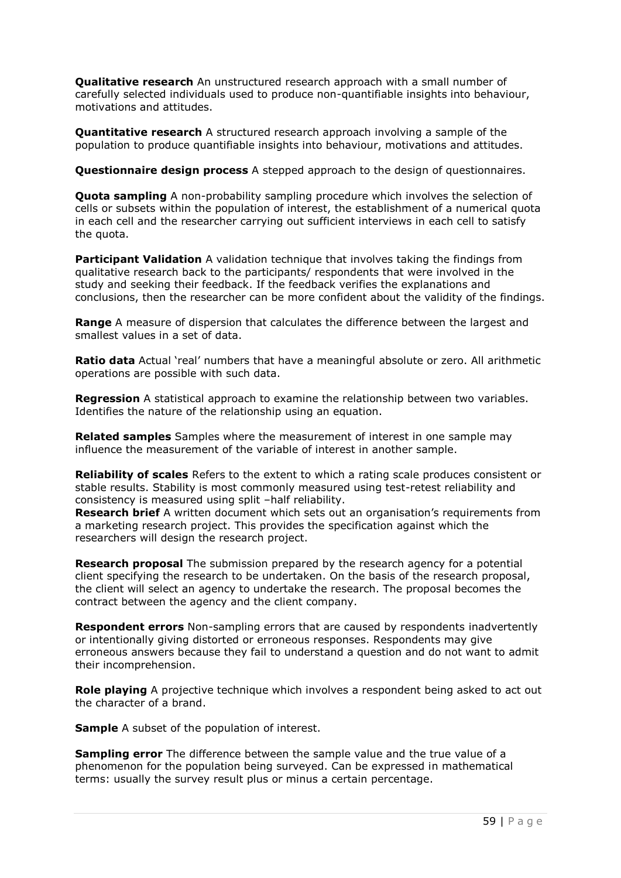**Qualitative research** An unstructured research approach with a small number of carefully selected individuals used to produce non-quantifiable insights into behaviour, motivations and attitudes.

**Quantitative research** A structured research approach involving a sample of the population to produce quantifiable insights into behaviour, motivations and attitudes.

**Questionnaire design process** A stepped approach to the design of questionnaires.

**Quota sampling** A non-probability sampling procedure which involves the selection of cells or subsets within the population of interest, the establishment of a numerical quota in each cell and the researcher carrying out sufficient interviews in each cell to satisfy the quota.

**Participant Validation** A validation technique that involves taking the findings from qualitative research back to the participants/ respondents that were involved in the study and seeking their feedback. If the feedback verifies the explanations and conclusions, then the researcher can be more confident about the validity of the findings.

**Range** A measure of dispersion that calculates the difference between the largest and smallest values in a set of data.

**Ratio data** Actual 'real' numbers that have a meaningful absolute or zero. All arithmetic operations are possible with such data.

**Regression** A statistical approach to examine the relationship between two variables. Identifies the nature of the relationship using an equation.

**Related samples** Samples where the measurement of interest in one sample may influence the measurement of the variable of interest in another sample.

**Reliability of scales** Refers to the extent to which a rating scale produces consistent or stable results. Stability is most commonly measured using test-retest reliability and consistency is measured using split –half reliability.

**Research brief** A written document which sets out an organisation's requirements from a marketing research project. This provides the specification against which the researchers will design the research project.

**Research proposal** The submission prepared by the research agency for a potential client specifying the research to be undertaken. On the basis of the research proposal, the client will select an agency to undertake the research. The proposal becomes the contract between the agency and the client company.

**Respondent errors** Non-sampling errors that are caused by respondents inadvertently or intentionally giving distorted or erroneous responses. Respondents may give erroneous answers because they fail to understand a question and do not want to admit their incomprehension.

**Role playing** A projective technique which involves a respondent being asked to act out the character of a brand.

**Sample** A subset of the population of interest.

**Sampling error** The difference between the sample value and the true value of a phenomenon for the population being surveyed. Can be expressed in mathematical terms: usually the survey result plus or minus a certain percentage.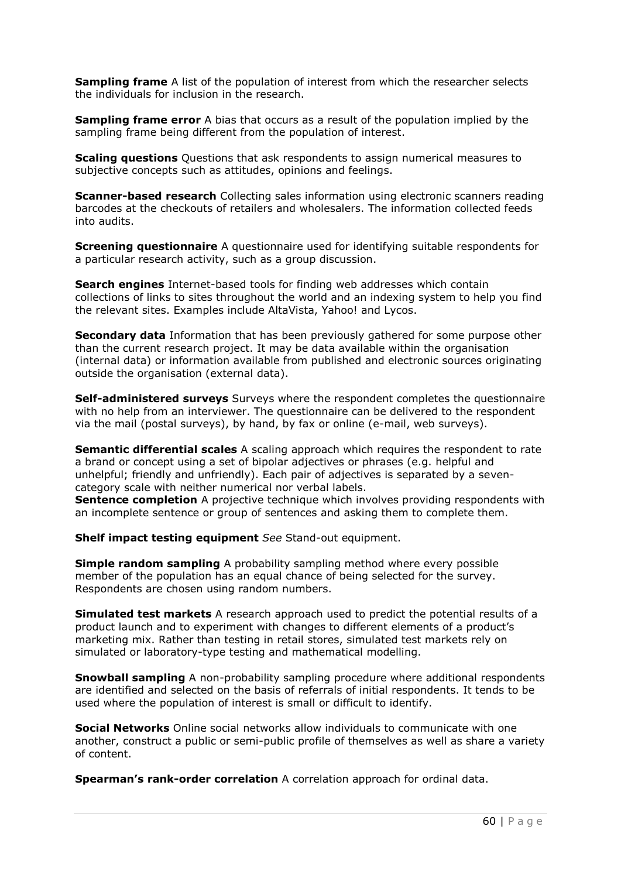**Sampling frame** A list of the population of interest from which the researcher selects the individuals for inclusion in the research.

**Sampling frame error** A bias that occurs as a result of the population implied by the sampling frame being different from the population of interest.

**Scaling questions** Questions that ask respondents to assign numerical measures to subjective concepts such as attitudes, opinions and feelings.

**Scanner-based research** Collecting sales information using electronic scanners reading barcodes at the checkouts of retailers and wholesalers. The information collected feeds into audits.

**Screening questionnaire** A questionnaire used for identifying suitable respondents for a particular research activity, such as a group discussion.

**Search engines** Internet-based tools for finding web addresses which contain collections of links to sites throughout the world and an indexing system to help you find the relevant sites. Examples include AltaVista, Yahoo! and Lycos.

**Secondary data** Information that has been previously gathered for some purpose other than the current research project. It may be data available within the organisation (internal data) or information available from published and electronic sources originating outside the organisation (external data).

**Self-administered surveys** Surveys where the respondent completes the questionnaire with no help from an interviewer. The questionnaire can be delivered to the respondent via the mail (postal surveys), by hand, by fax or online (e-mail, web surveys).

**Semantic differential scales** A scaling approach which requires the respondent to rate a brand or concept using a set of bipolar adjectives or phrases (e.g. helpful and unhelpful; friendly and unfriendly). Each pair of adjectives is separated by a sevencategory scale with neither numerical nor verbal labels.

**Sentence completion** A projective technique which involves providing respondents with an incomplete sentence or group of sentences and asking them to complete them.

**Shelf impact testing equipment** *See* Stand-out equipment.

**Simple random sampling** A probability sampling method where every possible member of the population has an equal chance of being selected for the survey. Respondents are chosen using random numbers.

**Simulated test markets** A research approach used to predict the potential results of a product launch and to experiment with changes to different elements of a product's marketing mix. Rather than testing in retail stores, simulated test markets rely on simulated or laboratory-type testing and mathematical modelling.

**Snowball sampling** A non-probability sampling procedure where additional respondents are identified and selected on the basis of referrals of initial respondents. It tends to be used where the population of interest is small or difficult to identify.

**Social Networks** Online social networks allow individuals to communicate with one another, construct a public or semi-public profile of themselves as well as share a variety of content.

**Spearman's rank-order correlation** A correlation approach for ordinal data.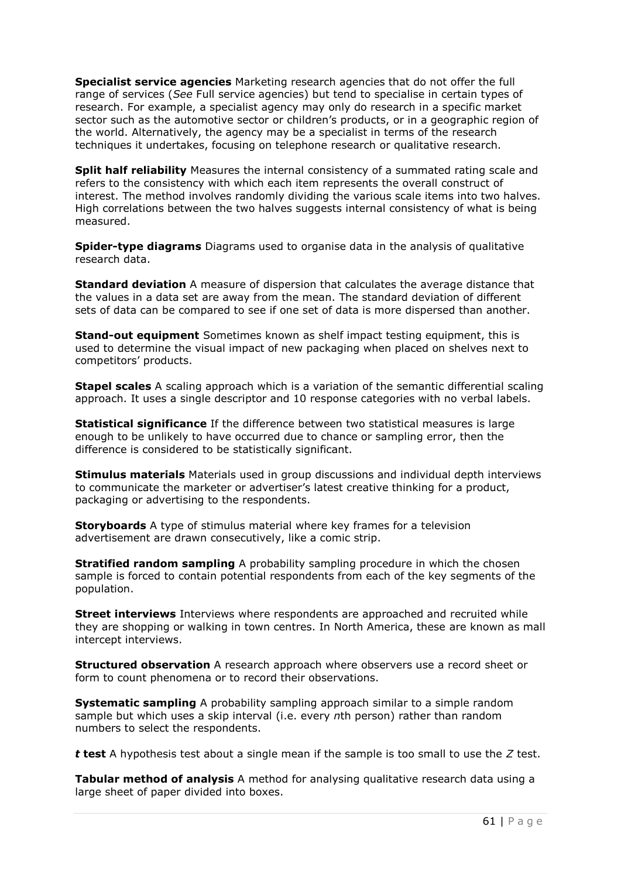**Specialist service agencies** Marketing research agencies that do not offer the full range of services (*See* Full service agencies) but tend to specialise in certain types of research. For example, a specialist agency may only do research in a specific market sector such as the automotive sector or children's products, or in a geographic region of the world. Alternatively, the agency may be a specialist in terms of the research techniques it undertakes, focusing on telephone research or qualitative research.

**Split half reliability** Measures the internal consistency of a summated rating scale and refers to the consistency with which each item represents the overall construct of interest. The method involves randomly dividing the various scale items into two halves. High correlations between the two halves suggests internal consistency of what is being measured.

**Spider-type diagrams** Diagrams used to organise data in the analysis of qualitative research data.

**Standard deviation** A measure of dispersion that calculates the average distance that the values in a data set are away from the mean. The standard deviation of different sets of data can be compared to see if one set of data is more dispersed than another.

**Stand-out equipment** Sometimes known as shelf impact testing equipment, this is used to determine the visual impact of new packaging when placed on shelves next to competitors' products.

**Stapel scales** A scaling approach which is a variation of the semantic differential scaling approach. It uses a single descriptor and 10 response categories with no verbal labels.

**Statistical significance** If the difference between two statistical measures is large enough to be unlikely to have occurred due to chance or sampling error, then the difference is considered to be statistically significant.

**Stimulus materials** Materials used in group discussions and individual depth interviews to communicate the marketer or advertiser's latest creative thinking for a product, packaging or advertising to the respondents.

**Storyboards** A type of stimulus material where key frames for a television advertisement are drawn consecutively, like a comic strip.

**Stratified random sampling** A probability sampling procedure in which the chosen sample is forced to contain potential respondents from each of the key segments of the population.

**Street interviews** Interviews where respondents are approached and recruited while they are shopping or walking in town centres. In North America, these are known as mall intercept interviews.

**Structured observation** A research approach where observers use a record sheet or form to count phenomena or to record their observations.

**Systematic sampling** A probability sampling approach similar to a simple random sample but which uses a skip interval (i.e. every *n*th person) rather than random numbers to select the respondents.

*t* **test** A hypothesis test about a single mean if the sample is too small to use the *Z* test.

**Tabular method of analysis** A method for analysing qualitative research data using a large sheet of paper divided into boxes.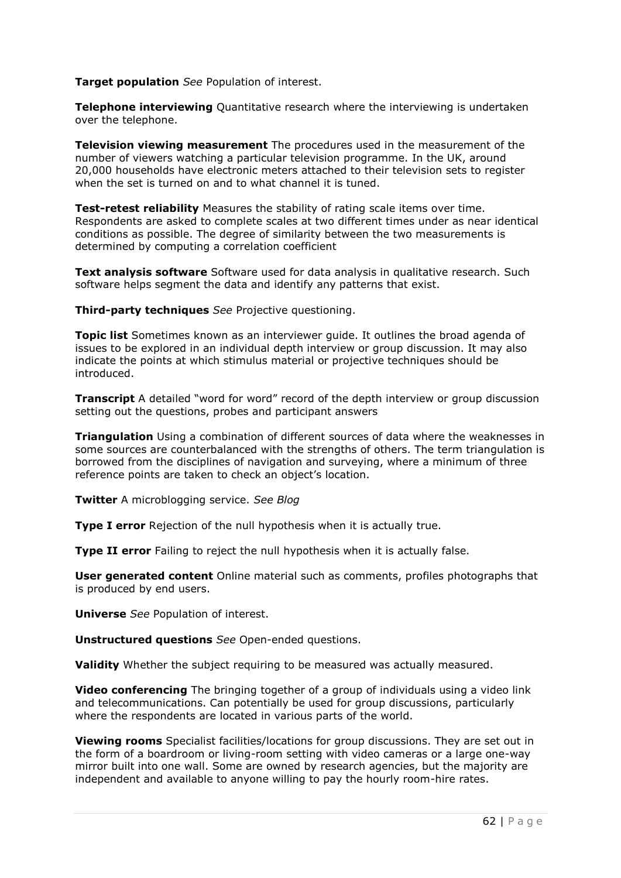#### **Target population** *See* Population of interest.

**Telephone interviewing** Quantitative research where the interviewing is undertaken over the telephone.

**Television viewing measurement** The procedures used in the measurement of the number of viewers watching a particular television programme. In the UK, around 20,000 households have electronic meters attached to their television sets to register when the set is turned on and to what channel it is tuned.

**Test-retest reliability** Measures the stability of rating scale items over time. Respondents are asked to complete scales at two different times under as near identical conditions as possible. The degree of similarity between the two measurements is determined by computing a correlation coefficient

**Text analysis software** Software used for data analysis in qualitative research. Such software helps segment the data and identify any patterns that exist.

**Third-party techniques** *See* Projective questioning.

**Topic list** Sometimes known as an interviewer guide. It outlines the broad agenda of issues to be explored in an individual depth interview or group discussion. It may also indicate the points at which stimulus material or projective techniques should be introduced.

**Transcript** A detailed "word for word" record of the depth interview or group discussion setting out the questions, probes and participant answers

**Triangulation** Using a combination of different sources of data where the weaknesses in some sources are counterbalanced with the strengths of others. The term triangulation is borrowed from the disciplines of navigation and surveying, where a minimum of three reference points are taken to check an object's location.

**Twitter** A microblogging service. *See Blog* 

**Type I error** Rejection of the null hypothesis when it is actually true.

**Type II error** Failing to reject the null hypothesis when it is actually false.

**User generated content** Online material such as comments, profiles photographs that is produced by end users.

**Universe** *See* Population of interest.

**Unstructured questions** *See* Open-ended questions.

**Validity** Whether the subject requiring to be measured was actually measured.

**Video conferencing** The bringing together of a group of individuals using a video link and telecommunications. Can potentially be used for group discussions, particularly where the respondents are located in various parts of the world.

**Viewing rooms** Specialist facilities/locations for group discussions. They are set out in the form of a boardroom or living-room setting with video cameras or a large one-way mirror built into one wall. Some are owned by research agencies, but the majority are independent and available to anyone willing to pay the hourly room-hire rates.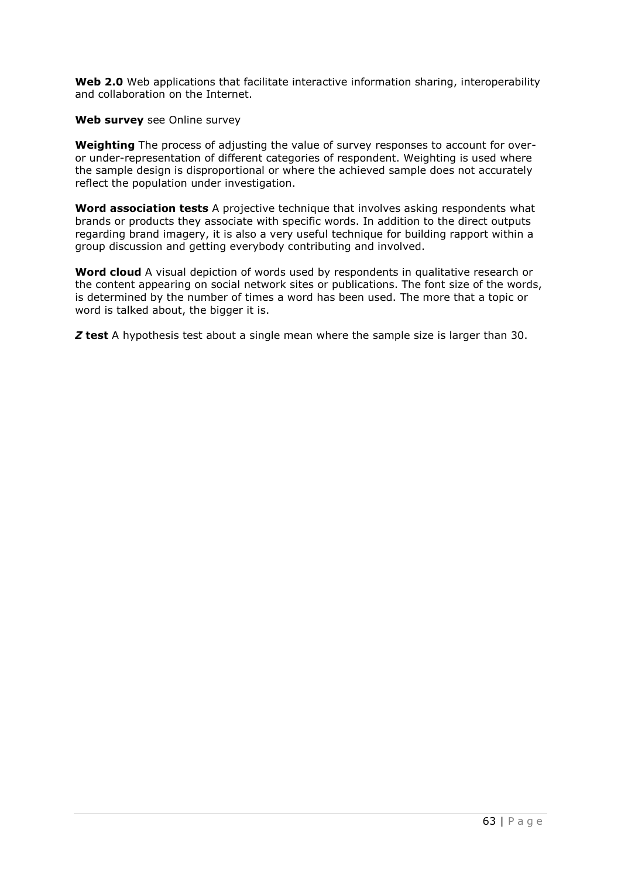**Web 2.0** Web applications that facilitate interactive information sharing, interoperability and collaboration on the Internet.

**Web survey** see Online survey

**Weighting** The process of adjusting the value of survey responses to account for overor under-representation of different categories of respondent. Weighting is used where the sample design is disproportional or where the achieved sample does not accurately reflect the population under investigation.

**Word association tests** A projective technique that involves asking respondents what brands or products they associate with specific words. In addition to the direct outputs regarding brand imagery, it is also a very useful technique for building rapport within a group discussion and getting everybody contributing and involved.

**Word cloud** A visual depiction of words used by respondents in qualitative research or the content appearing on social network sites or publications. The font size of the words, is determined by the number of times a word has been used. The more that a topic or word is talked about, the bigger it is.

*Z* **test** A hypothesis test about a single mean where the sample size is larger than 30.